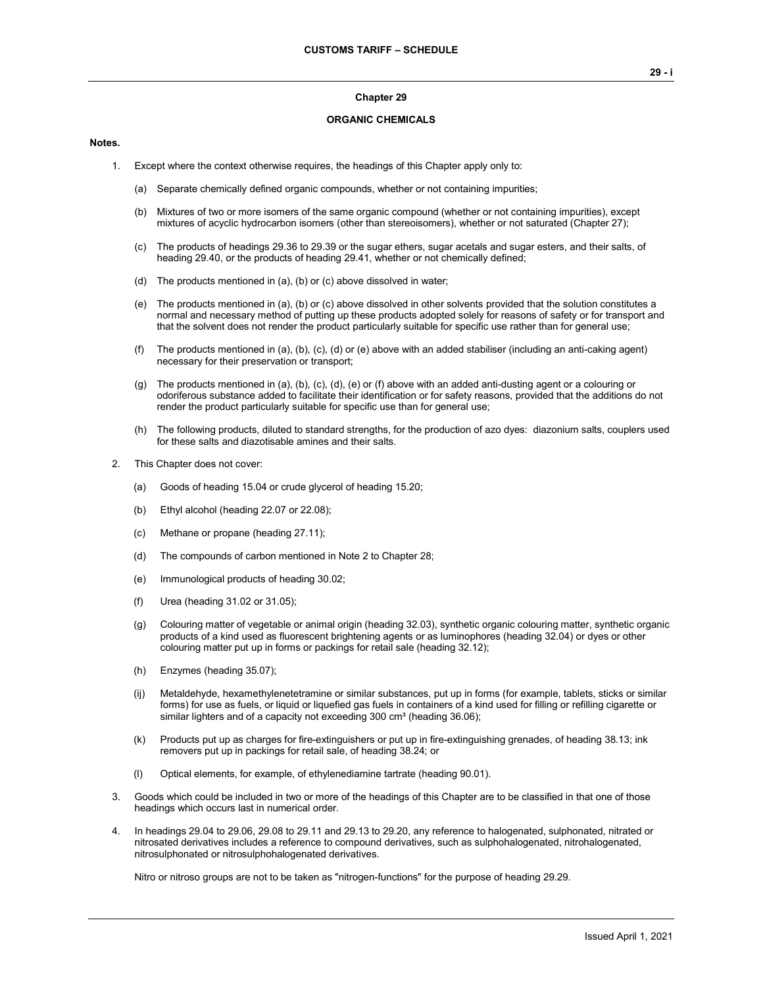#### **Chapter 29**

#### **ORGANIC CHEMICALS**

#### **Notes.**

- 1. Except where the context otherwise requires, the headings of this Chapter apply only to:
	- (a) Separate chemically defined organic compounds, whether or not containing impurities;
	- (b) Mixtures of two or more isomers of the same organic compound (whether or not containing impurities), except mixtures of acyclic hydrocarbon isomers (other than stereoisomers), whether or not saturated (Chapter 27);
	- (c) The products of headings 29.36 to 29.39 or the sugar ethers, sugar acetals and sugar esters, and their salts, of heading 29.40, or the products of heading 29.41, whether or not chemically defined;
	- (d) The products mentioned in (a), (b) or (c) above dissolved in water;
	- (e) The products mentioned in (a), (b) or (c) above dissolved in other solvents provided that the solution constitutes a normal and necessary method of putting up these products adopted solely for reasons of safety or for transport and that the solvent does not render the product particularly suitable for specific use rather than for general use;
	- (f) The products mentioned in (a), (b), (c), (d) or (e) above with an added stabiliser (including an anti-caking agent) necessary for their preservation or transport;
	- (g) The products mentioned in (a), (b), (c), (d), (e) or (f) above with an added anti-dusting agent or a colouring or odoriferous substance added to facilitate their identification or for safety reasons, provided that the additions do not render the product particularly suitable for specific use than for general use;
	- (h) The following products, diluted to standard strengths, for the production of azo dyes: diazonium salts, couplers used for these salts and diazotisable amines and their salts.
- 2. This Chapter does not cover:
	- (a) Goods of heading 15.04 or crude glycerol of heading 15.20;
	- (b) Ethyl alcohol (heading 22.07 or 22.08);
	- (c) Methane or propane (heading 27.11);
	- (d) The compounds of carbon mentioned in Note 2 to Chapter 28;
	- (e) Immunological products of heading 30.02;
	- (f) Urea (heading 31.02 or 31.05);
	- (g) Colouring matter of vegetable or animal origin (heading 32.03), synthetic organic colouring matter, synthetic organic products of a kind used as fluorescent brightening agents or as luminophores (heading 32.04) or dyes or other colouring matter put up in forms or packings for retail sale (heading 32.12);
	- (h) Enzymes (heading 35.07);
	- (ij) Metaldehyde, hexamethylenetetramine or similar substances, put up in forms (for example, tablets, sticks or similar forms) for use as fuels, or liquid or liquefied gas fuels in containers of a kind used for filling or refilling cigarette or similar lighters and of a capacity not exceeding  $300 \text{ cm}^3$  (heading  $36.06$ );
	- (k) Products put up as charges for fire-extinguishers or put up in fire-extinguishing grenades, of heading 38.13; ink removers put up in packings for retail sale, of heading 38.24; or
	- (l) Optical elements, for example, of ethylenediamine tartrate (heading 90.01).
- 3. Goods which could be included in two or more of the headings of this Chapter are to be classified in that one of those headings which occurs last in numerical order.
- 4. In headings 29.04 to 29.06, 29.08 to 29.11 and 29.13 to 29.20, any reference to halogenated, sulphonated, nitrated or nitrosated derivatives includes a reference to compound derivatives, such as sulphohalogenated, nitrohalogenated, nitrosulphonated or nitrosulphohalogenated derivatives.

Nitro or nitroso groups are not to be taken as "nitrogen-functions" for the purpose of heading 29.29.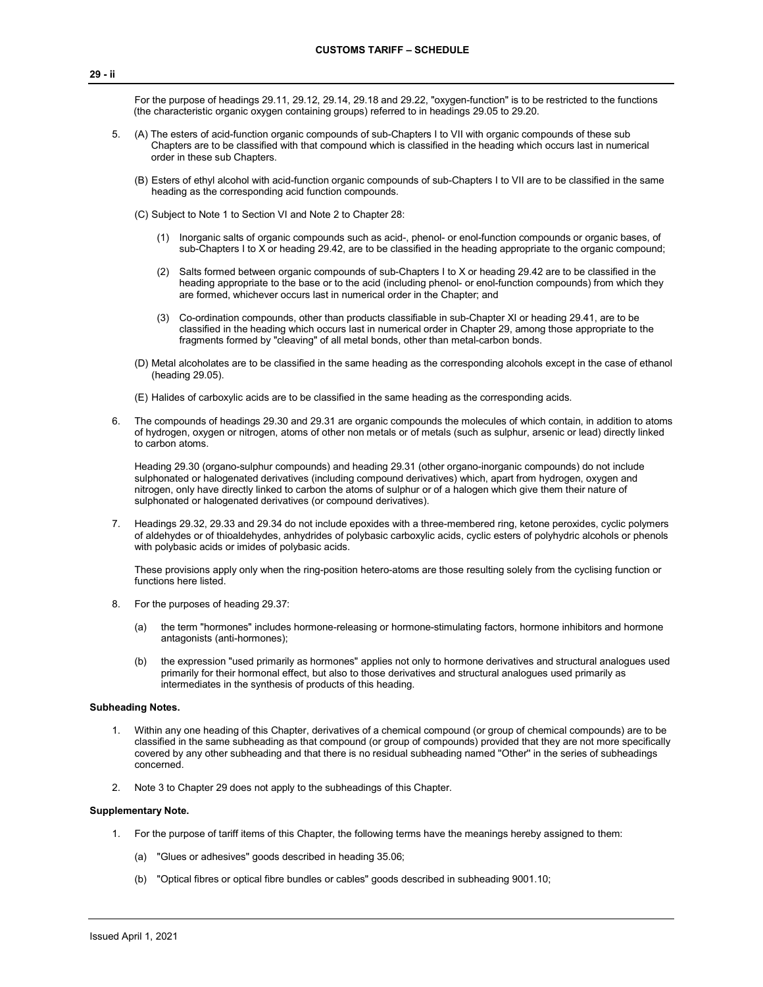For the purpose of headings 29.11, 29.12, 29.14, 29.18 and 29.22, "oxygen-function" is to be restricted to the functions (the characteristic organic oxygen containing groups) referred to in headings 29.05 to 29.20.

- 5. (A) The esters of acid-function organic compounds of sub-Chapters I to VII with organic compounds of these sub Chapters are to be classified with that compound which is classified in the heading which occurs last in numerical order in these sub Chapters.
	- (B) Esters of ethyl alcohol with acid-function organic compounds of sub-Chapters I to VII are to be classified in the same heading as the corresponding acid function compounds.
	- (C) Subject to Note 1 to Section VI and Note 2 to Chapter 28:
		- (1) Inorganic salts of organic compounds such as acid-, phenol- or enol-function compounds or organic bases, of sub-Chapters I to X or heading 29.42, are to be classified in the heading appropriate to the organic compound;
		- (2) Salts formed between organic compounds of sub-Chapters I to X or heading 29.42 are to be classified in the heading appropriate to the base or to the acid (including phenol- or enol-function compounds) from which they are formed, whichever occurs last in numerical order in the Chapter; and
		- (3) Co-ordination compounds, other than products classifiable in sub-Chapter XI or heading 29.41, are to be classified in the heading which occurs last in numerical order in Chapter 29, among those appropriate to the fragments formed by "cleaving" of all metal bonds, other than metal-carbon bonds.
	- (D) Metal alcoholates are to be classified in the same heading as the corresponding alcohols except in the case of ethanol (heading 29.05).
	- (E) Halides of carboxylic acids are to be classified in the same heading as the corresponding acids.
- 6. The compounds of headings 29.30 and 29.31 are organic compounds the molecules of which contain, in addition to atoms of hydrogen, oxygen or nitrogen, atoms of other non metals or of metals (such as sulphur, arsenic or lead) directly linked to carbon atoms.

Heading 29.30 (organo-sulphur compounds) and heading 29.31 (other organo-inorganic compounds) do not include sulphonated or halogenated derivatives (including compound derivatives) which, apart from hydrogen, oxygen and nitrogen, only have directly linked to carbon the atoms of sulphur or of a halogen which give them their nature of sulphonated or halogenated derivatives (or compound derivatives).

7. Headings 29.32, 29.33 and 29.34 do not include epoxides with a three-membered ring, ketone peroxides, cyclic polymers of aldehydes or of thioaldehydes, anhydrides of polybasic carboxylic acids, cyclic esters of polyhydric alcohols or phenols with polybasic acids or imides of polybasic acids.

These provisions apply only when the ring-position hetero-atoms are those resulting solely from the cyclising function or functions here listed.

- 8. For the purposes of heading 29.37:
	- (a) the term "hormones" includes hormone-releasing or hormone-stimulating factors, hormone inhibitors and hormone antagonists (anti-hormones);
	- (b) the expression "used primarily as hormones" applies not only to hormone derivatives and structural analogues used primarily for their hormonal effect, but also to those derivatives and structural analogues used primarily as intermediates in the synthesis of products of this heading.

#### **Subheading Notes.**

- 1. Within any one heading of this Chapter, derivatives of a chemical compound (or group of chemical compounds) are to be classified in the same subheading as that compound (or group of compounds) provided that they are not more specifically covered by any other subheading and that there is no residual subheading named ''Other'' in the series of subheadings concerned.
- 2. Note 3 to Chapter 29 does not apply to the subheadings of this Chapter.

#### **Supplementary Note.**

- 1. For the purpose of tariff items of this Chapter, the following terms have the meanings hereby assigned to them:
	- (a) "Glues or adhesives" goods described in heading 35.06;
	- (b) "Optical fibres or optical fibre bundles or cables" goods described in subheading 9001.10;

**29 - ii**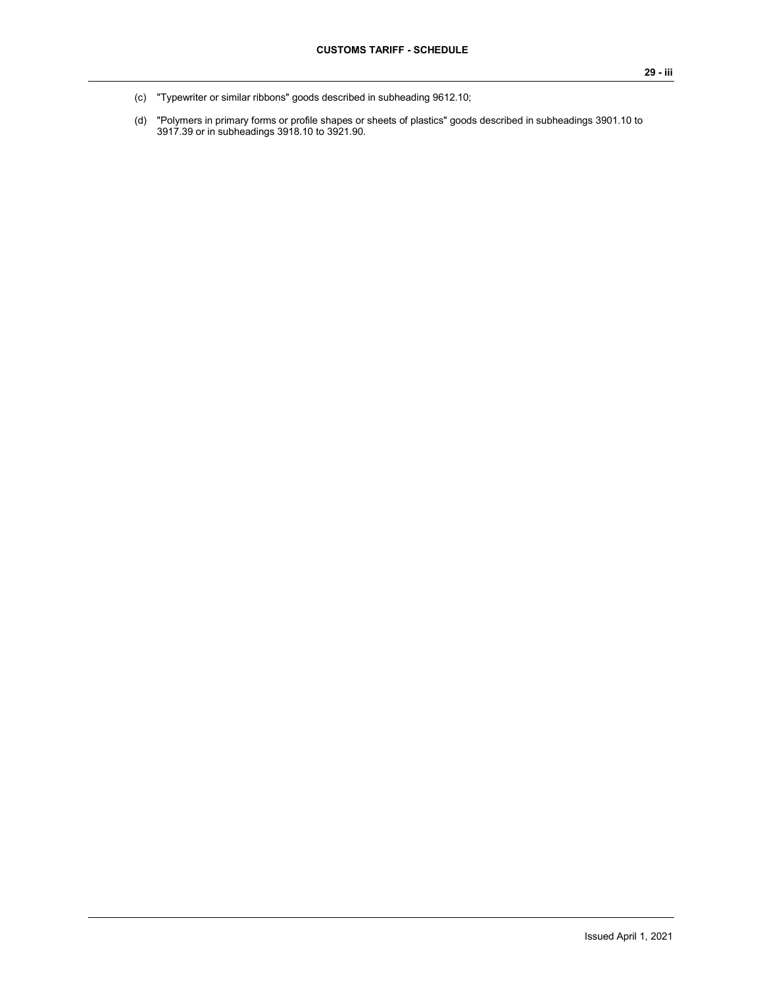- (c) "Typewriter or similar ribbons" goods described in subheading 9612.10;
- (d) "Polymers in primary forms or profile shapes or sheets of plastics" goods described in subheadings 3901.10 to 3917.39 or in subheadings 3918.10 to 3921.90.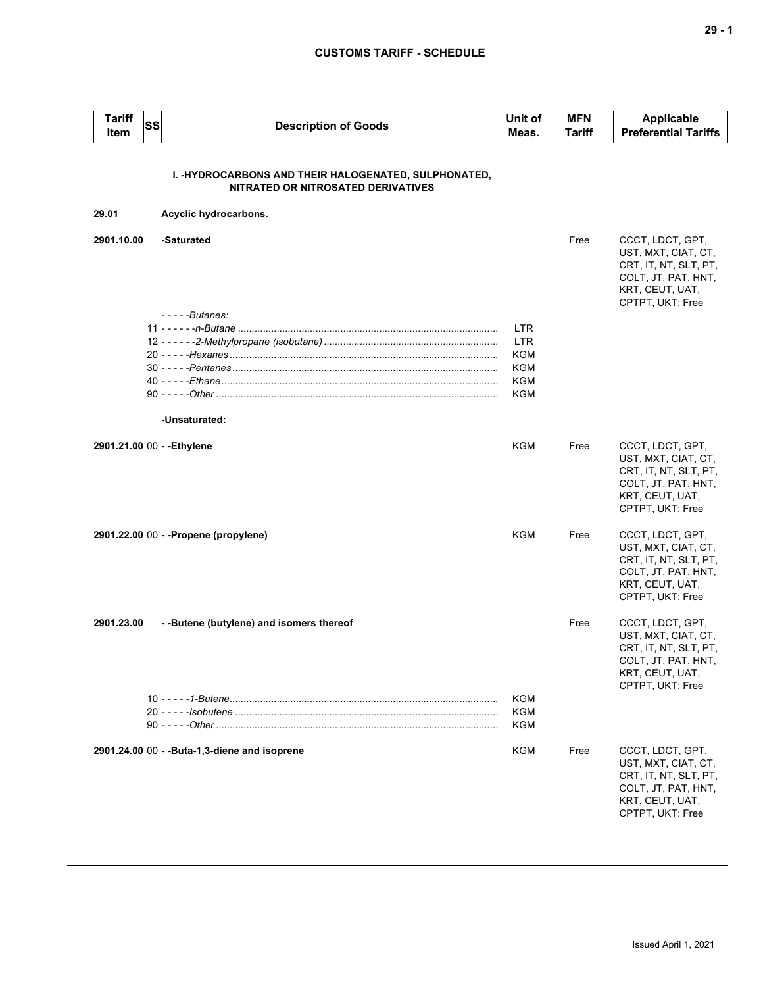| <b>Tariff</b><br>Item      | SS | <b>Description of Goods</b>                                                                | Unit of<br>Meas.                                     | <b>MFN</b><br>Tariff | <b>Applicable</b><br><b>Preferential Tariffs</b>                                                                               |
|----------------------------|----|--------------------------------------------------------------------------------------------|------------------------------------------------------|----------------------|--------------------------------------------------------------------------------------------------------------------------------|
|                            |    | I. -HYDROCARBONS AND THEIR HALOGENATED, SULPHONATED,<br>NITRATED OR NITROSATED DERIVATIVES |                                                      |                      |                                                                                                                                |
| 29.01                      |    | Acyclic hydrocarbons.                                                                      |                                                      |                      |                                                                                                                                |
| 2901.10.00                 |    | -Saturated                                                                                 |                                                      | Free                 | CCCT, LDCT, GPT,<br>UST, MXT, CIAT, CT,<br>CRT, IT, NT, SLT, PT,<br>COLT, JT, PAT, HNT,<br>KRT, CEUT, UAT,<br>CPTPT, UKT: Free |
|                            |    | $---Butanes:$<br>-Unsaturated:                                                             | <b>LTR</b><br><b>LTR</b><br>KGM<br>KGM<br>KGM<br>KGM |                      |                                                                                                                                |
| 2901.21.00 00 - - Ethylene |    |                                                                                            | KGM                                                  | Free                 | CCCT, LDCT, GPT,<br>UST, MXT, CIAT, CT,<br>CRT, IT, NT, SLT, PT,<br>COLT, JT, PAT, HNT,<br>KRT, CEUT, UAT,<br>CPTPT, UKT: Free |
|                            |    | 2901.22.00 00 - - Propene (propylene)                                                      | KGM                                                  | Free                 | CCCT, LDCT, GPT,<br>UST, MXT, CIAT, CT,<br>CRT, IT, NT, SLT, PT,<br>COLT, JT, PAT, HNT,<br>KRT, CEUT, UAT,<br>CPTPT, UKT: Free |
| 2901.23.00                 |    | --Butene (butylene) and isomers thereof                                                    |                                                      | Free                 | CCCT, LDCT, GPT,<br>UST, MXT, CIAT, CT,<br>CRT, IT, NT, SLT, PT,<br>COLT, JT, PAT, HNT,<br>KRT, CEUT, UAT,<br>CPTPT, UKT: Free |
|                            |    |                                                                                            | KGM<br>KGM<br>KGM                                    |                      |                                                                                                                                |
|                            |    | 2901.24.00 00 - - Buta-1,3-diene and isoprene                                              | KGM                                                  | Free                 | CCCT, LDCT, GPT,<br>UST, MXT, CIAT, CT,<br>CRT, IT, NT, SLT, PT,<br>COLT, JT, PAT, HNT,<br>KRT, CEUT, UAT,<br>CPTPT, UKT: Free |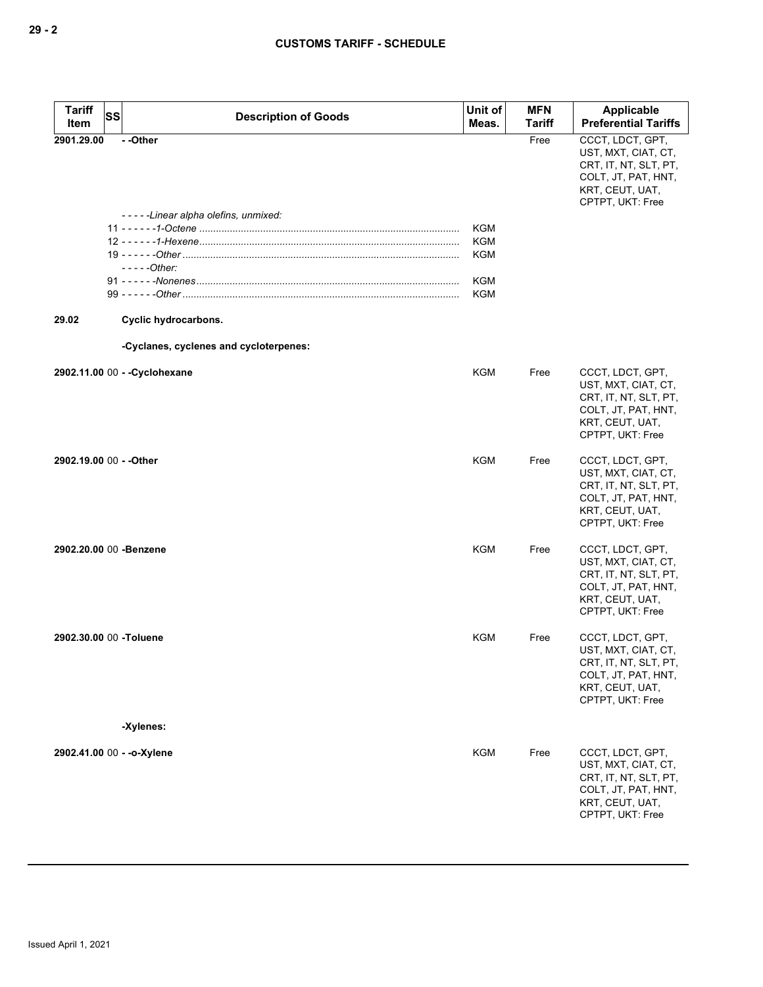| <b>Tariff</b><br>Item   | SS | <b>Description of Goods</b>            | Unit of<br>Meas. | <b>MFN</b><br><b>Tariff</b> | Applicable<br><b>Preferential Tariffs</b>                                                                                      |
|-------------------------|----|----------------------------------------|------------------|-----------------------------|--------------------------------------------------------------------------------------------------------------------------------|
| 2901.29.00              |    | --Other                                |                  | Free                        | CCCT, LDCT, GPT,                                                                                                               |
|                         |    |                                        |                  |                             | UST, MXT, CIAT, CT,<br>CRT, IT, NT, SLT, PT,<br>COLT, JT, PAT, HNT,<br>KRT, CEUT, UAT,<br>CPTPT, UKT: Free                     |
|                         |    | -----Linear alpha olefins, unmixed:    |                  |                             |                                                                                                                                |
|                         |    |                                        | KGM              |                             |                                                                                                                                |
|                         |    |                                        | <b>KGM</b>       |                             |                                                                                                                                |
|                         |    |                                        | <b>KGM</b>       |                             |                                                                                                                                |
|                         |    | - - - - - Other:                       |                  |                             |                                                                                                                                |
|                         |    |                                        | <b>KGM</b>       |                             |                                                                                                                                |
|                         |    |                                        | <b>KGM</b>       |                             |                                                                                                                                |
| 29.02                   |    | Cyclic hydrocarbons.                   |                  |                             |                                                                                                                                |
|                         |    | -Cyclanes, cyclenes and cycloterpenes: |                  |                             |                                                                                                                                |
|                         |    | 2902.11.00 00 - - Cyclohexane          | <b>KGM</b>       | Free                        | CCCT, LDCT, GPT,<br>UST, MXT, CIAT, CT,<br>CRT, IT, NT, SLT, PT,<br>COLT, JT, PAT, HNT,<br>KRT, CEUT, UAT,<br>CPTPT, UKT: Free |
| 2902.19.00 00 - - Other |    |                                        | KGM              | Free                        | CCCT, LDCT, GPT,<br>UST, MXT, CIAT, CT,<br>CRT, IT, NT, SLT, PT,<br>COLT, JT, PAT, HNT,<br>KRT, CEUT, UAT,<br>CPTPT, UKT: Free |
| 2902.20.00 00 -Benzene  |    |                                        | KGM              | Free                        | CCCT, LDCT, GPT,<br>UST, MXT, CIAT, CT,<br>CRT, IT, NT, SLT, PT,<br>COLT, JT, PAT, HNT,<br>KRT, CEUT, UAT,<br>CPTPT, UKT: Free |
| 2902.30.00 00 -Toluene  |    | -Xylenes:                              | <b>KGM</b>       | Free                        | CCCT, LDCT, GPT,<br>UST, MXT, CIAT, CT,<br>CRT, IT, NT, SLT, PT,<br>COLT, JT, PAT, HNT,<br>KRT, CEUT, UAT,<br>CPTPT, UKT: Free |
|                         |    |                                        |                  |                             |                                                                                                                                |
|                         |    | 2902.41.00 00 - - o-Xylene             | <b>KGM</b>       | Free                        | CCCT, LDCT, GPT,<br>UST, MXT, CIAT, CT,<br>CRT, IT, NT, SLT, PT,<br>COLT, JT, PAT, HNT,<br>KRT, CEUT, UAT,<br>CPTPT, UKT: Free |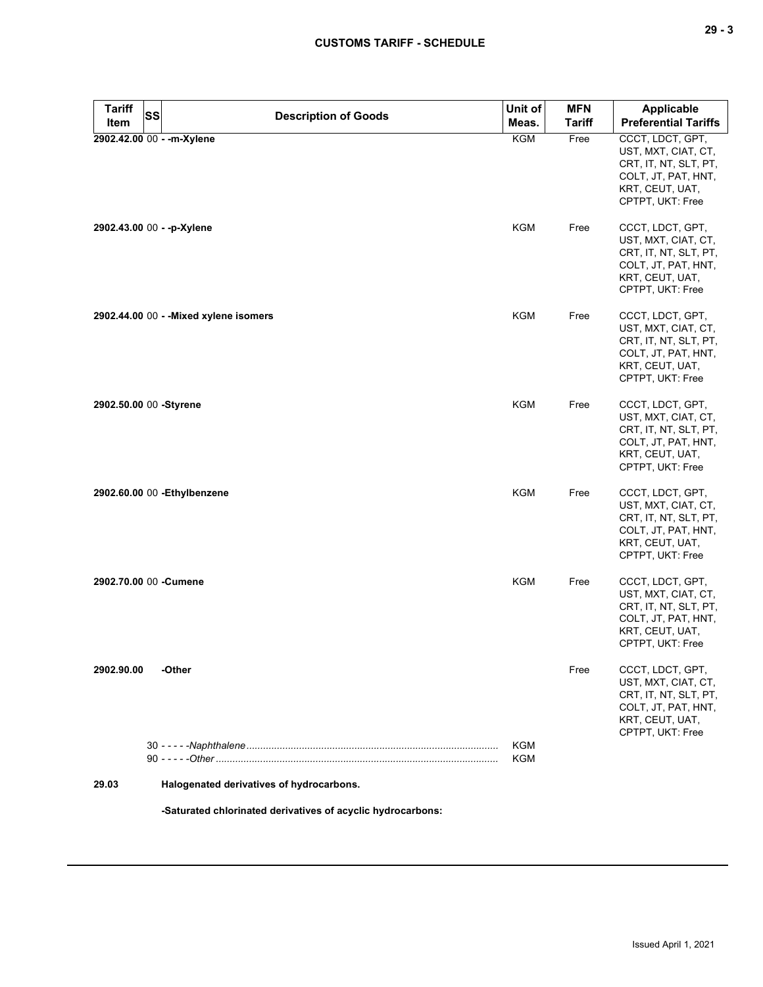| <b>Tariff</b><br><b>SS</b> | <b>Description of Goods</b>              | Unit of    | <b>MFN</b>    | Applicable                                                                                                                     |
|----------------------------|------------------------------------------|------------|---------------|--------------------------------------------------------------------------------------------------------------------------------|
| Item                       |                                          | Meas.      | <b>Tariff</b> | <b>Preferential Tariffs</b>                                                                                                    |
|                            | 2902.42.00 00 - - m-Xylene               | <b>KGM</b> | Free          | CCCT, LDCT, GPT,<br>UST, MXT, CIAT, CT,<br>CRT, IT, NT, SLT, PT,<br>COLT, JT, PAT, HNT,<br>KRT, CEUT, UAT,<br>CPTPT, UKT: Free |
| 2902.43.00 00 - -p-Xylene  |                                          | <b>KGM</b> | Free          | CCCT, LDCT, GPT,<br>UST, MXT, CIAT, CT,<br>CRT, IT, NT, SLT, PT,<br>COLT, JT, PAT, HNT,<br>KRT, CEUT, UAT,<br>CPTPT, UKT: Free |
|                            | 2902.44.00 00 - - Mixed xylene isomers   | <b>KGM</b> | Free          | CCCT, LDCT, GPT,<br>UST, MXT, CIAT, CT,<br>CRT, IT, NT, SLT, PT,<br>COLT, JT, PAT, HNT,<br>KRT, CEUT, UAT,<br>CPTPT, UKT: Free |
| 2902.50.00 00 -Styrene     |                                          | <b>KGM</b> | Free          | CCCT, LDCT, GPT,<br>UST, MXT, CIAT, CT,<br>CRT, IT, NT, SLT, PT,<br>COLT, JT, PAT, HNT,<br>KRT, CEUT, UAT,<br>CPTPT, UKT: Free |
|                            | 2902.60.00 00 - Ethylbenzene             | <b>KGM</b> | Free          | CCCT, LDCT, GPT,<br>UST, MXT, CIAT, CT,<br>CRT, IT, NT, SLT, PT,<br>COLT, JT, PAT, HNT,<br>KRT, CEUT, UAT,<br>CPTPT, UKT: Free |
| 2902.70.00 00 -Cumene      |                                          | <b>KGM</b> | Free          | CCCT, LDCT, GPT,<br>UST, MXT, CIAT, CT,<br>CRT, IT, NT, SLT, PT,<br>COLT, JT, PAT, HNT,<br>KRT, CEUT, UAT,<br>CPTPT, UKT: Free |
| 2902.90.00                 | -Other                                   | KGM        | Free          | CCCT, LDCT, GPT,<br>UST, MXT, CIAT, CT,<br>CRT, IT, NT, SLT, PT,<br>COLT, JT, PAT, HNT,<br>KRT, CEUT, UAT,<br>CPTPT, UKT: Free |
|                            |                                          | KGM        |               |                                                                                                                                |
| 29.03                      | Halogenated derivatives of hydrocarbons. |            |               |                                                                                                                                |

**-Saturated chlorinated derivatives of acyclic hydrocarbons:**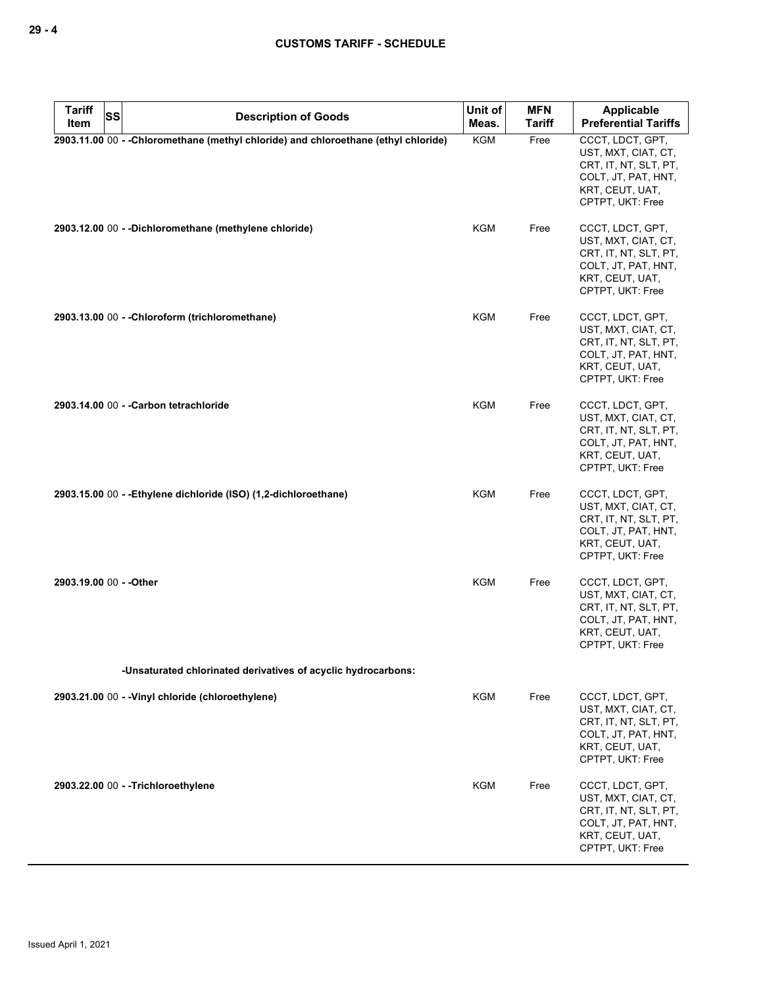| <b>Tariff</b><br>Item   | <b>SS</b><br><b>Description of Goods</b>                                            | Unit of<br>Meas. | <b>MFN</b><br><b>Tariff</b> | Applicable<br><b>Preferential Tariffs</b>                                                                                      |
|-------------------------|-------------------------------------------------------------------------------------|------------------|-----------------------------|--------------------------------------------------------------------------------------------------------------------------------|
|                         | 2903.11.00 00 - - Chloromethane (methyl chloride) and chloroethane (ethyl chloride) | KGM              | Free                        | CCCT, LDCT, GPT,                                                                                                               |
|                         |                                                                                     |                  |                             | UST, MXT, CIAT, CT,<br>CRT, IT, NT, SLT, PT,<br>COLT, JT, PAT, HNT,<br>KRT, CEUT, UAT,<br>CPTPT, UKT: Free                     |
|                         | 2903.12.00 00 - - Dichloromethane (methylene chloride)                              | KGM              | Free                        | CCCT, LDCT, GPT,<br>UST, MXT, CIAT, CT,<br>CRT, IT, NT, SLT, PT,<br>COLT, JT, PAT, HNT,<br>KRT, CEUT, UAT,<br>CPTPT, UKT: Free |
|                         | 2903.13.00 00 - - Chloroform (trichloromethane)                                     | KGM              | Free                        | CCCT, LDCT, GPT,<br>UST, MXT, CIAT, CT,<br>CRT, IT, NT, SLT, PT,<br>COLT, JT, PAT, HNT,<br>KRT, CEUT, UAT,<br>CPTPT, UKT: Free |
|                         | 2903.14.00 00 - - Carbon tetrachloride                                              | KGM              | Free                        | CCCT, LDCT, GPT,<br>UST, MXT, CIAT, CT,<br>CRT, IT, NT, SLT, PT,<br>COLT, JT, PAT, HNT,<br>KRT, CEUT, UAT,<br>CPTPT, UKT: Free |
|                         | 2903.15.00 00 - - Ethylene dichloride (ISO) (1,2-dichloroethane)                    | <b>KGM</b>       | Free                        | CCCT, LDCT, GPT,<br>UST, MXT, CIAT, CT,<br>CRT, IT, NT, SLT, PT,<br>COLT, JT, PAT, HNT,<br>KRT, CEUT, UAT,<br>CPTPT, UKT: Free |
| 2903.19.00 00 - - Other |                                                                                     | <b>KGM</b>       | Free                        | CCCT, LDCT, GPT,<br>UST, MXT, CIAT, CT,<br>CRT, IT, NT, SLT, PT,<br>COLT, JT, PAT, HNT,<br>KRT, CEUT, UAT,<br>CPTPT, UKT: Free |
|                         | -Unsaturated chlorinated derivatives of acyclic hydrocarbons:                       |                  |                             |                                                                                                                                |
|                         | 2903.21.00 00 - - Vinyl chloride (chloroethylene)                                   | <b>KGM</b>       | Free                        | CCCT, LDCT, GPT,<br>UST, MXT, CIAT, CT,<br>CRT, IT, NT, SLT, PT,<br>COLT, JT, PAT, HNT,<br>KRT, CEUT, UAT,<br>CPTPT, UKT: Free |
|                         | 2903.22.00 00 - - Trichloroethylene                                                 | KGM              | Free                        | CCCT, LDCT, GPT,<br>UST, MXT, CIAT, CT,<br>CRT, IT, NT, SLT, PT,<br>COLT, JT, PAT, HNT,<br>KRT, CEUT, UAT,<br>CPTPT, UKT: Free |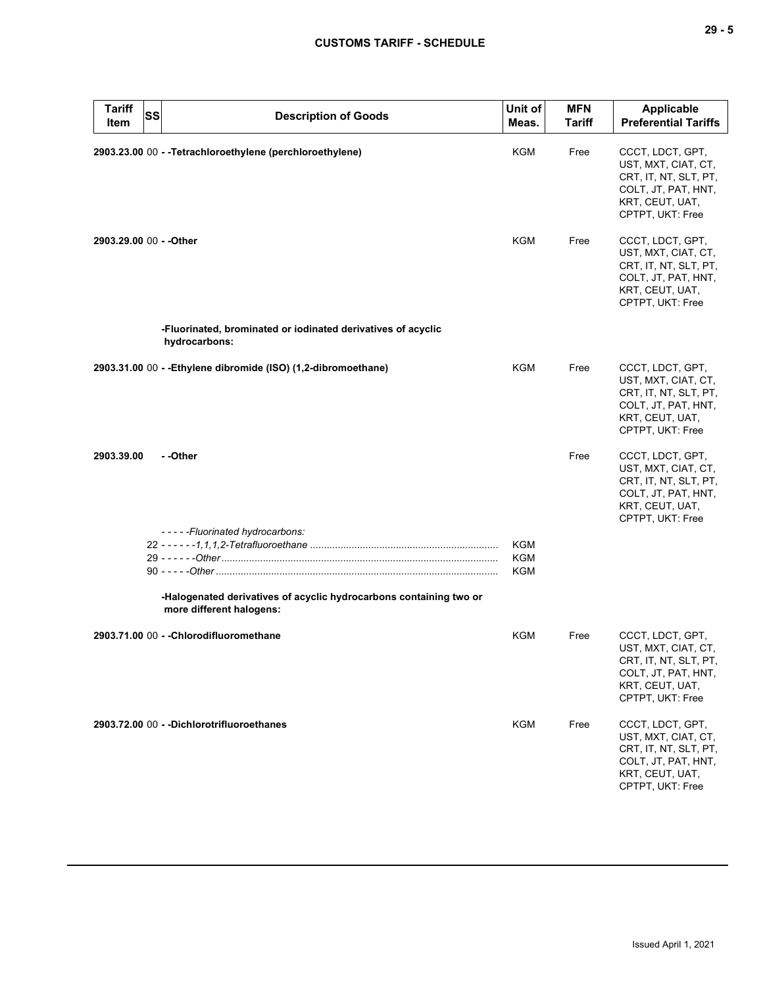|                         |           |                                                                                                | Unit of | <b>MFN</b>    | Applicable                                                                                                                     |
|-------------------------|-----------|------------------------------------------------------------------------------------------------|---------|---------------|--------------------------------------------------------------------------------------------------------------------------------|
| Tariff<br>Item          | <b>SS</b> | <b>Description of Goods</b>                                                                    | Meas.   | <b>Tariff</b> | <b>Preferential Tariffs</b>                                                                                                    |
|                         |           | 2903.23.00 00 - - Tetrachloroethylene (perchloroethylene)                                      | KGM     | Free          | CCCT, LDCT, GPT,<br>UST, MXT, CIAT, CT,<br>CRT, IT, NT, SLT, PT,<br>COLT, JT, PAT, HNT,<br>KRT, CEUT, UAT,<br>CPTPT, UKT: Free |
| 2903.29.00 00 - - Other |           |                                                                                                | KGM     | Free          | CCCT, LDCT, GPT,<br>UST, MXT, CIAT, CT,<br>CRT, IT, NT, SLT, PT,<br>COLT, JT, PAT, HNT,<br>KRT, CEUT, UAT,<br>CPTPT, UKT: Free |
|                         |           | -Fluorinated, brominated or iodinated derivatives of acyclic<br>hydrocarbons:                  |         |               |                                                                                                                                |
|                         |           | 2903.31.00 00 - - Ethylene dibromide (ISO) (1,2-dibromoethane)                                 | KGM     | Free          | CCCT, LDCT, GPT,<br>UST, MXT, CIAT, CT,<br>CRT, IT, NT, SLT, PT,<br>COLT, JT, PAT, HNT,<br>KRT, CEUT, UAT,<br>CPTPT, UKT: Free |
| 2903.39.00              |           | - -Other                                                                                       |         | Free          | CCCT, LDCT, GPT,<br>UST, MXT, CIAT, CT,<br>CRT, IT, NT, SLT, PT,<br>COLT, JT, PAT, HNT,<br>KRT, CEUT, UAT,<br>CPTPT, UKT: Free |
|                         |           | -----Fluorinated hydrocarbons:                                                                 | KGM     |               |                                                                                                                                |
|                         |           |                                                                                                | KGM     |               |                                                                                                                                |
|                         |           |                                                                                                | KGM     |               |                                                                                                                                |
|                         |           | -Halogenated derivatives of acyclic hydrocarbons containing two or<br>more different halogens: |         |               |                                                                                                                                |
|                         |           | 2903.71.00 00 - - Chlorodifluoromethane                                                        | KGM     | Free          | CCCT, LDCT, GPT,<br>UST, MXT, CIAT, CT,<br>CRT, IT, NT, SLT, PT,<br>COLT, JT, PAT, HNT,<br>KRT, CEUT, UAT,<br>CPTPT, UKT: Free |
|                         |           | 2903.72.00 00 - - Dichlorotrifluoroethanes                                                     | KGM     | Free          | CCCT, LDCT, GPT,<br>UST, MXT, CIAT, CT,<br>CRT, IT, NT, SLT, PT,<br>COLT, JT, PAT, HNT,<br>KRT, CEUT, UAT,<br>CPTPT, UKT: Free |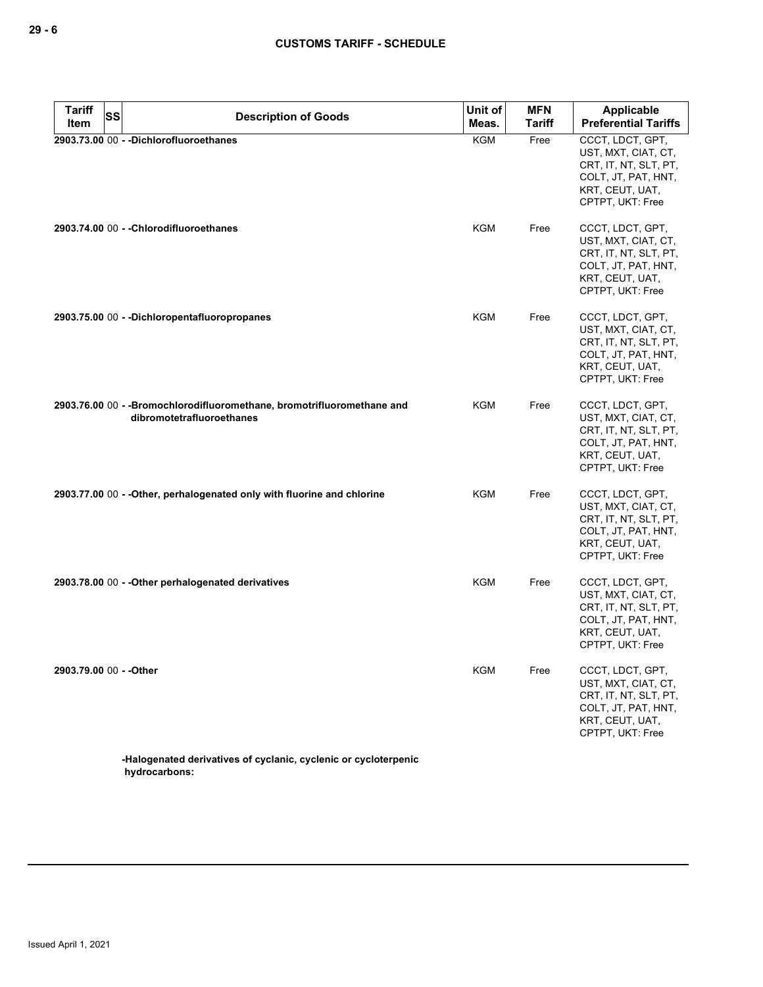| <b>Tariff</b><br>Item   | <b>SS</b> | <b>Description of Goods</b>                                                                          | Unit of<br>Meas. | <b>MFN</b><br><b>Tariff</b> | Applicable<br><b>Preferential Tariffs</b>                                                                                      |
|-------------------------|-----------|------------------------------------------------------------------------------------------------------|------------------|-----------------------------|--------------------------------------------------------------------------------------------------------------------------------|
|                         |           | 2903.73.00 00 - - Dichlorofluoroethanes                                                              | <b>KGM</b>       | Free                        | CCCT, LDCT, GPT,<br>UST, MXT, CIAT, CT,<br>CRT, IT, NT, SLT, PT,<br>COLT, JT, PAT, HNT,<br>KRT, CEUT, UAT,<br>CPTPT, UKT: Free |
|                         |           | 2903.74.00 00 - - Chlorodifluoroethanes                                                              | KGM              | Free                        | CCCT, LDCT, GPT,<br>UST, MXT, CIAT, CT,<br>CRT, IT, NT, SLT, PT,<br>COLT, JT, PAT, HNT,<br>KRT, CEUT, UAT,<br>CPTPT, UKT: Free |
|                         |           | 2903.75.00 00 - - Dichloropentafluoropropanes                                                        | KGM              | Free                        | CCCT, LDCT, GPT,<br>UST, MXT, CIAT, CT,<br>CRT, IT, NT, SLT, PT,<br>COLT, JT, PAT, HNT,<br>KRT, CEUT, UAT,<br>CPTPT, UKT: Free |
|                         |           | 2903.76.00 00 - - Bromochlorodifluoromethane, bromotrifluoromethane and<br>dibromotetrafluoroethanes | <b>KGM</b>       | Free                        | CCCT, LDCT, GPT,<br>UST, MXT, CIAT, CT,<br>CRT, IT, NT, SLT, PT,<br>COLT, JT, PAT, HNT,<br>KRT, CEUT, UAT,<br>CPTPT, UKT: Free |
|                         |           | 2903.77.00 00 - - Other, perhalogenated only with fluorine and chlorine                              | KGM              | Free                        | CCCT, LDCT, GPT,<br>UST, MXT, CIAT, CT,<br>CRT, IT, NT, SLT, PT,<br>COLT, JT, PAT, HNT,<br>KRT, CEUT, UAT,<br>CPTPT, UKT: Free |
|                         |           | 2903.78.00 00 - - Other perhalogenated derivatives                                                   | KGM              | Free                        | CCCT, LDCT, GPT,<br>UST, MXT, CIAT, CT,<br>CRT, IT, NT, SLT, PT,<br>COLT, JT, PAT, HNT,<br>KRT, CEUT, UAT,<br>CPTPT, UKT: Free |
| 2903.79.00 00 - - Other |           |                                                                                                      | <b>KGM</b>       | Free                        | CCCT, LDCT, GPT,<br>UST, MXT, CIAT, CT,<br>CRT, IT, NT, SLT, PT,<br>COLT, JT, PAT, HNT,<br>KRT, CEUT, UAT,<br>CPTPT, UKT: Free |
|                         |           | -Halogenated derivatives of cyclanic, cyclenic or cycloterpenic                                      |                  |                             |                                                                                                                                |

**hydrocarbons:**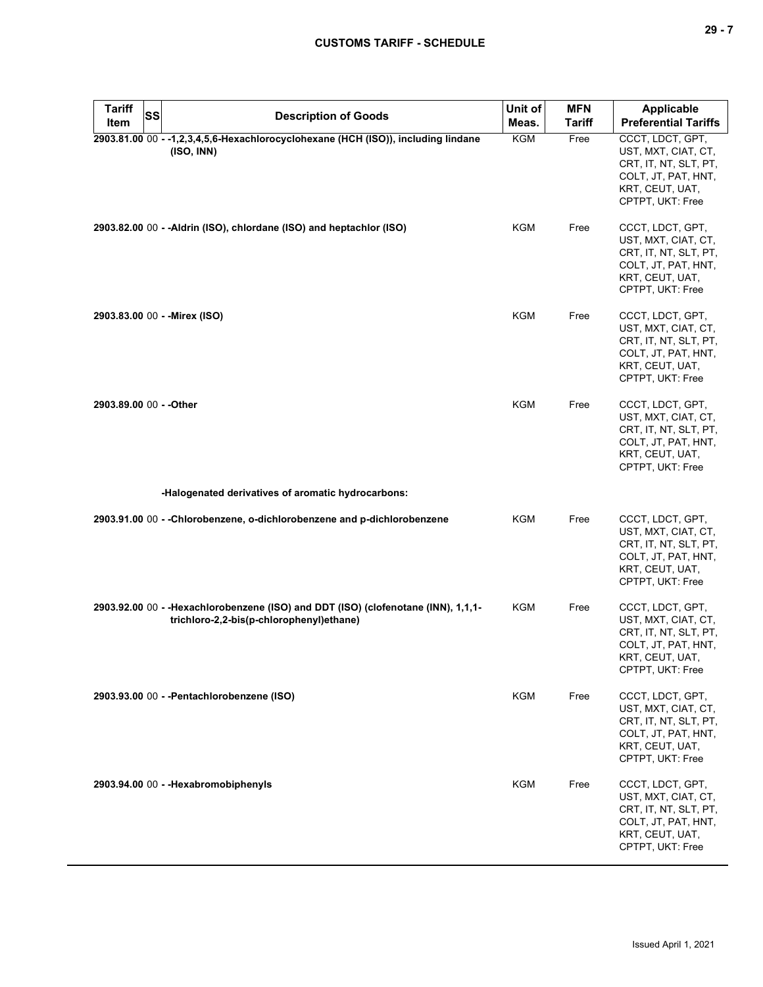| 29 - 7                                           |  |
|--------------------------------------------------|--|
|                                                  |  |
|                                                  |  |
| <b>Applicable</b><br><b>Proforantial Tariffe</b> |  |

| <b>Tariff</b><br><b>Item</b>  | <b>SS</b> | <b>Description of Goods</b>                                                                                                    | Unit of<br>Meas. | <b>MFN</b><br><b>Tariff</b> | <b>Applicable</b><br><b>Preferential Tariffs</b>                                                                               |
|-------------------------------|-----------|--------------------------------------------------------------------------------------------------------------------------------|------------------|-----------------------------|--------------------------------------------------------------------------------------------------------------------------------|
|                               |           | 2903.81.00 00 - -1,2,3,4,5,6-Hexachlorocyclohexane (HCH (ISO)), including lindane<br>(ISO, INN)                                | <b>KGM</b>       | Free                        | CCCT, LDCT, GPT,<br>UST, MXT, CIAT, CT,<br>CRT, IT, NT, SLT, PT,<br>COLT, JT, PAT, HNT,<br>KRT, CEUT, UAT,<br>CPTPT, UKT: Free |
|                               |           | 2903.82.00 00 - - Aldrin (ISO), chlordane (ISO) and heptachlor (ISO)                                                           | KGM              | Free                        | CCCT, LDCT, GPT,<br>UST, MXT, CIAT, CT,<br>CRT, IT, NT, SLT, PT,<br>COLT, JT, PAT, HNT,<br>KRT, CEUT, UAT,<br>CPTPT, UKT: Free |
| 2903.83.00 00 - - Mirex (ISO) |           |                                                                                                                                | KGM              | Free                        | CCCT, LDCT, GPT,<br>UST, MXT, CIAT, CT,<br>CRT, IT, NT, SLT, PT,<br>COLT, JT, PAT, HNT,<br>KRT, CEUT, UAT,<br>CPTPT, UKT: Free |
| 2903.89.00 00 - - Other       |           |                                                                                                                                | KGM              | Free                        | CCCT, LDCT, GPT,<br>UST, MXT, CIAT, CT,<br>CRT, IT, NT, SLT, PT,<br>COLT, JT, PAT, HNT,<br>KRT, CEUT, UAT,<br>CPTPT, UKT: Free |
|                               |           | -Halogenated derivatives of aromatic hydrocarbons:                                                                             |                  |                             |                                                                                                                                |
|                               |           | 2903.91.00 00 - -Chlorobenzene, o-dichlorobenzene and p-dichlorobenzene                                                        | KGM              | Free                        | CCCT, LDCT, GPT,<br>UST, MXT, CIAT, CT,<br>CRT, IT, NT, SLT, PT,<br>COLT, JT, PAT, HNT,<br>KRT, CEUT, UAT,<br>CPTPT, UKT: Free |
|                               |           | 2903.92.00 00 - - Hexachlorobenzene (ISO) and DDT (ISO) (clofenotane (INN), 1,1,1-<br>trichloro-2,2-bis(p-chlorophenyl)ethane) | KGM              | Free                        | CCCT, LDCT, GPT,<br>UST, MXT, CIAT, CT,<br>CRT, IT, NT, SLT, PT,<br>COLT, JT, PAT, HNT,<br>KRI, CEUI, UAI,<br>CPTPT, UKT: Free |
|                               |           | 2903.93.00 00 - - Pentachlorobenzene (ISO)                                                                                     | KGM              | Free                        | CCCT, LDCT, GPT,<br>UST, MXT, CIAT, CT,<br>CRT, IT, NT, SLT, PT,<br>COLT, JT, PAT, HNT,<br>KRT, CEUT, UAT,<br>CPTPT, UKT: Free |
|                               |           | 2903.94.00 00 - - Hexabromobiphenyls                                                                                           | <b>KGM</b>       | Free                        | CCCT, LDCT, GPT,<br>UST, MXT, CIAT, CT,<br>CRT, IT, NT, SLT, PT,<br>COLT, JT, PAT, HNT,<br>KRT, CEUT, UAT,<br>CPTPT, UKT: Free |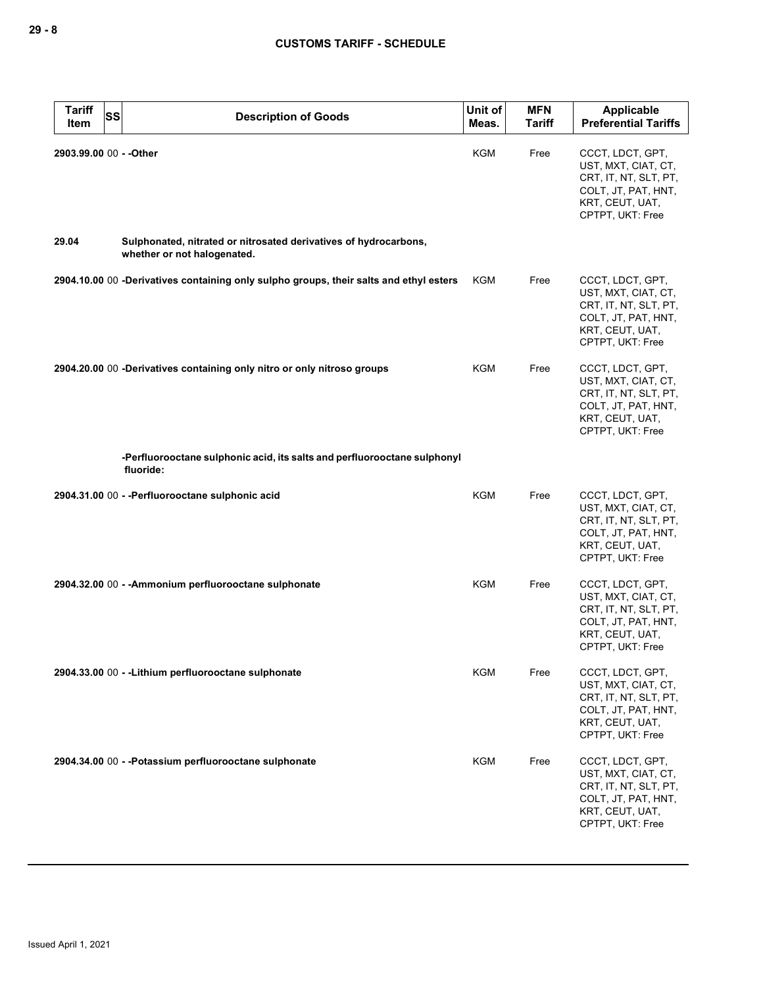| <b>Tariff</b><br><b>SS</b><br>Item | <b>Description of Goods</b>                                                                     | Unit of<br>Meas. | <b>MFN</b><br><b>Tariff</b> | <b>Applicable</b><br><b>Preferential Tariffs</b>                                                                               |
|------------------------------------|-------------------------------------------------------------------------------------------------|------------------|-----------------------------|--------------------------------------------------------------------------------------------------------------------------------|
| 2903.99.00 00 - - Other            |                                                                                                 | <b>KGM</b>       | Free                        | CCCT, LDCT, GPT,<br>UST, MXT, CIAT, CT,<br>CRT, IT, NT, SLT, PT,<br>COLT, JT, PAT, HNT,<br>KRT, CEUT, UAT,<br>CPTPT, UKT: Free |
| 29.04                              | Sulphonated, nitrated or nitrosated derivatives of hydrocarbons,<br>whether or not halogenated. |                  |                             |                                                                                                                                |
|                                    | 2904.10.00 00 -Derivatives containing only sulpho groups, their salts and ethyl esters          | KGM              | Free                        | CCCT, LDCT, GPT,<br>UST, MXT, CIAT, CT,<br>CRT, IT, NT, SLT, PT,<br>COLT, JT, PAT, HNT,<br>KRT, CEUT, UAT,<br>CPTPT, UKT: Free |
|                                    | 2904.20.00 00 -Derivatives containing only nitro or only nitroso groups                         | KGM              | Free                        | CCCT, LDCT, GPT,<br>UST, MXT, CIAT, CT,<br>CRT, IT, NT, SLT, PT,<br>COLT, JT, PAT, HNT,<br>KRT, CEUT, UAT,<br>CPTPT, UKT: Free |
|                                    | -Perfluorooctane sulphonic acid, its salts and perfluorooctane sulphonyl<br>fluoride:           |                  |                             |                                                                                                                                |
|                                    | 2904.31.00 00 - - Perfluorooctane sulphonic acid                                                | <b>KGM</b>       | Free                        | CCCT, LDCT, GPT,<br>UST, MXT, CIAT, CT,<br>CRT, IT, NT, SLT, PT,<br>COLT, JT, PAT, HNT,<br>KRT, CEUT, UAT,<br>CPTPT, UKT: Free |
|                                    | 2904.32.00 00 - - Ammonium perfluorooctane sulphonate                                           | <b>KGM</b>       | Free                        | CCCT, LDCT, GPT,<br>UST, MXT, CIAT, CT,<br>CRT, IT, NT, SLT, PT,<br>COLT, JT, PAT, HNT,<br>KRT, CEUT, UAT,<br>CPTPT, UKT: Free |
|                                    | 2904.33.00 00 - - Lithium perfluorooctane sulphonate                                            | <b>KGM</b>       | Free                        | CCCT, LDCT, GPT,<br>UST, MXT, CIAT, CT,<br>CRT, IT, NT, SLT, PT,<br>COLT, JT, PAT, HNT,<br>KRT, CEUT, UAT,<br>CPTPT, UKT: Free |
|                                    | 2904.34.00 00 - - Potassium perfluorooctane sulphonate                                          | <b>KGM</b>       | Free                        | CCCT, LDCT, GPT,<br>UST, MXT, CIAT, CT,<br>CRT, IT, NT, SLT, PT,<br>COLT, JT, PAT, HNT,<br>KRT, CEUT, UAT,<br>CPTPT, UKT: Free |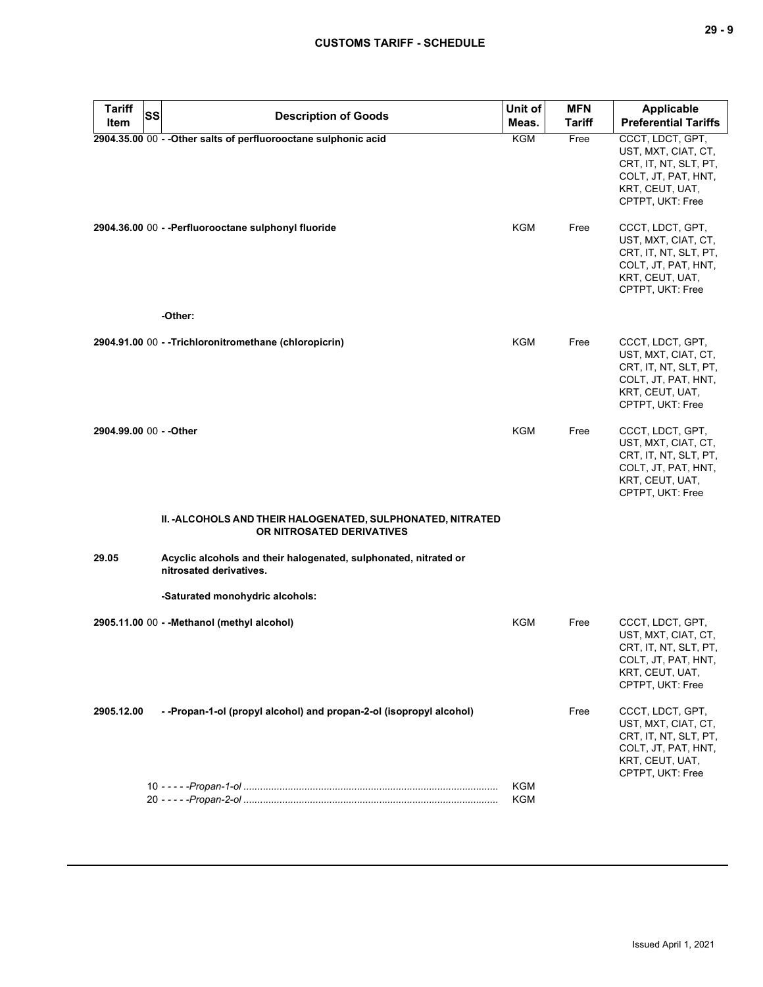| 29 - 9                                           |  |
|--------------------------------------------------|--|
|                                                  |  |
| <b>Applicable</b><br><b>Preferential Tariffs</b> |  |
| CCCT, LDCT, GPT,                                 |  |

| <b>Tariff</b>           | <b>SS</b> | <b>Description of Goods</b>                                                                 | Unit of    | <b>MFN</b>    | <b>Applicable</b>                                                                                                              |
|-------------------------|-----------|---------------------------------------------------------------------------------------------|------------|---------------|--------------------------------------------------------------------------------------------------------------------------------|
| Item                    |           |                                                                                             | Meas.      | <b>Tariff</b> | <b>Preferential Tariffs</b>                                                                                                    |
|                         |           | 2904.35.00 00 - - Other salts of perfluorooctane sulphonic acid                             | <b>KGM</b> | Free          | CCCT, LDCT, GPT,<br>UST, MXT, CIAT, CT,<br>CRT, IT, NT, SLT, PT,<br>COLT, JT, PAT, HNT,<br>KRT, CEUT, UAT,<br>CPTPT, UKT: Free |
|                         |           | 2904.36.00 00 - - Perfluorooctane sulphonyl fluoride                                        | KGM        | Free          | CCCT, LDCT, GPT,<br>UST, MXT, CIAT, CT,<br>CRT, IT, NT, SLT, PT,<br>COLT, JT, PAT, HNT,<br>KRT, CEUT, UAT,<br>CPTPT, UKT: Free |
|                         |           | -Other:                                                                                     |            |               |                                                                                                                                |
|                         |           | 2904.91.00 00 - - Trichloronitromethane (chloropicrin)                                      | <b>KGM</b> | Free          | CCCT, LDCT, GPT,<br>UST, MXT, CIAT, CT,<br>CRT, IT, NT, SLT, PT,<br>COLT, JT, PAT, HNT,<br>KRT, CEUT, UAT,<br>CPTPT, UKT: Free |
| 2904.99.00 00 - - Other |           |                                                                                             | <b>KGM</b> | Free          | CCCT, LDCT, GPT,<br>UST, MXT, CIAT, CT,<br>CRT, IT, NT, SLT, PT,<br>COLT, JT, PAT, HNT,<br>KRT, CEUT, UAT,<br>CPTPT, UKT: Free |
|                         |           | II. - ALCOHOLS AND THEIR HALOGENATED, SULPHONATED, NITRATED<br>OR NITROSATED DERIVATIVES    |            |               |                                                                                                                                |
| 29.05                   |           | Acyclic alcohols and their halogenated, sulphonated, nitrated or<br>nitrosated derivatives. |            |               |                                                                                                                                |
|                         |           | -Saturated monohydric alcohols:                                                             |            |               |                                                                                                                                |
|                         |           | 2905.11.00 00 - - Methanol (methyl alcohol)                                                 | <b>KGM</b> | Free          | CCCT, LDCT, GPT,<br>UST, MXT, CIAT, CT,<br>CRT, IT, NT, SLT, PT,<br>COLT, JT, PAT, HNT,<br>KRT, CEUT, UAT,<br>CPTPT, UKT: Free |
| 2905.12.00              |           | - - Propan-1-ol (propyl alcohol) and propan-2-ol (isopropyl alcohol)                        |            | Free          | CCCT, LDCT, GPT,<br>UST, MXT, CIAT, CT,<br>CRT, IT, NT, SLT, PT,<br>COLT, JT, PAT, HNT,<br>KRT, CEUT, UAT,<br>CPTPT, UKT: Free |
|                         |           |                                                                                             | KGM        |               |                                                                                                                                |
|                         |           |                                                                                             | KGM        |               |                                                                                                                                |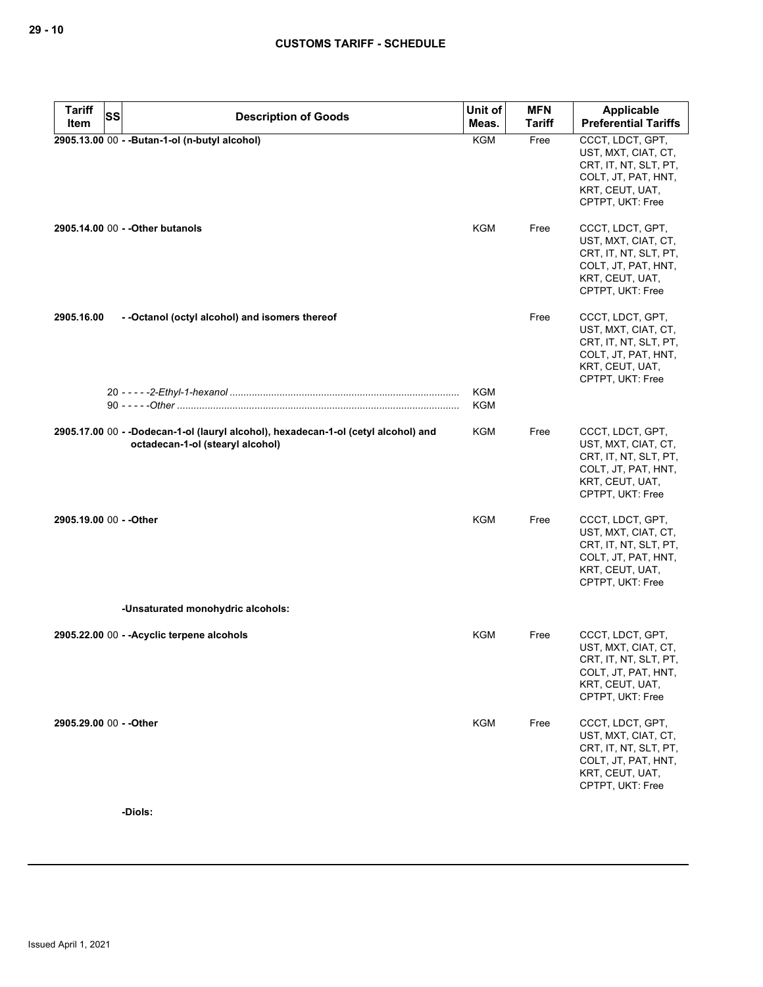| <b>Tariff</b><br><b>SS</b> | <b>Description of Goods</b>                                                                                            | Unit of                  | <b>MFN</b>    | <b>Applicable</b>                                                                                                              |
|----------------------------|------------------------------------------------------------------------------------------------------------------------|--------------------------|---------------|--------------------------------------------------------------------------------------------------------------------------------|
| Item                       |                                                                                                                        | Meas.                    | <b>Tariff</b> | <b>Preferential Tariffs</b>                                                                                                    |
|                            | 2905.13.00 00 - - Butan-1-ol (n-butyl alcohol)                                                                         | <b>KGM</b>               | Free          | CCCT, LDCT, GPT,<br>UST, MXT, CIAT, CT,<br>CRT, IT, NT, SLT, PT,<br>COLT, JT, PAT, HNT,<br>KRT, CEUT, UAT,<br>CPTPT, UKT: Free |
|                            | 2905.14.00 00 - - Other butanols                                                                                       | <b>KGM</b>               | Free          | CCCT, LDCT, GPT,<br>UST, MXT, CIAT, CT,<br>CRT, IT, NT, SLT, PT,<br>COLT, JT, PAT, HNT,<br>KRT, CEUT, UAT,<br>CPTPT, UKT: Free |
| 2905.16.00                 | - - Octanol (octyl alcohol) and isomers thereof                                                                        |                          | Free          | CCCT, LDCT, GPT,<br>UST, MXT, CIAT, CT,<br>CRT, IT, NT, SLT, PT,<br>COLT, JT, PAT, HNT,<br>KRT, CEUT, UAT,<br>CPTPT, UKT: Free |
|                            |                                                                                                                        | <b>KGM</b><br><b>KGM</b> |               |                                                                                                                                |
|                            | 2905.17.00 00 - -Dodecan-1-ol (lauryl alcohol), hexadecan-1-ol (cetyl alcohol) and<br>octadecan-1-ol (stearyl alcohol) | <b>KGM</b>               | Free          | CCCT, LDCT, GPT,<br>UST, MXT, CIAT, CT,<br>CRT, IT, NT, SLT, PT,<br>COLT, JT, PAT, HNT,<br>KRT, CEUT, UAT,<br>CPTPT, UKT: Free |
| 2905.19.00 00 - - Other    |                                                                                                                        | <b>KGM</b>               | Free          | CCCT, LDCT, GPT,<br>UST, MXT, CIAT, CT,<br>CRT, IT, NT, SLT, PT,<br>COLT, JT, PAT, HNT,<br>KRT, CEUT, UAT,<br>CPTPT, UKT: Free |
|                            | -Unsaturated monohydric alcohols:                                                                                      |                          |               |                                                                                                                                |
|                            | 2905.22.00 00 - - Acyclic terpene alcohols                                                                             | <b>KGM</b>               | Free          | CCCT, LDCT, GPT,<br>UST, MXT, CIAT, CT,<br>CRT, IT, NT, SLT, PT,<br>COLT, JT, PAT, HNT,<br>KRT, CEUT, UAT,<br>CPTPT, UKT: Free |
| 2905.29.00 00 - - Other    |                                                                                                                        | <b>KGM</b>               | Free          | CCCT, LDCT, GPT,<br>UST, MXT, CIAT, CT,<br>CRT, IT, NT, SLT, PT,<br>COLT, JT, PAT, HNT,<br>KRT, CEUT, UAT,<br>CPTPT, UKT: Free |
|                            | -Diols:                                                                                                                |                          |               |                                                                                                                                |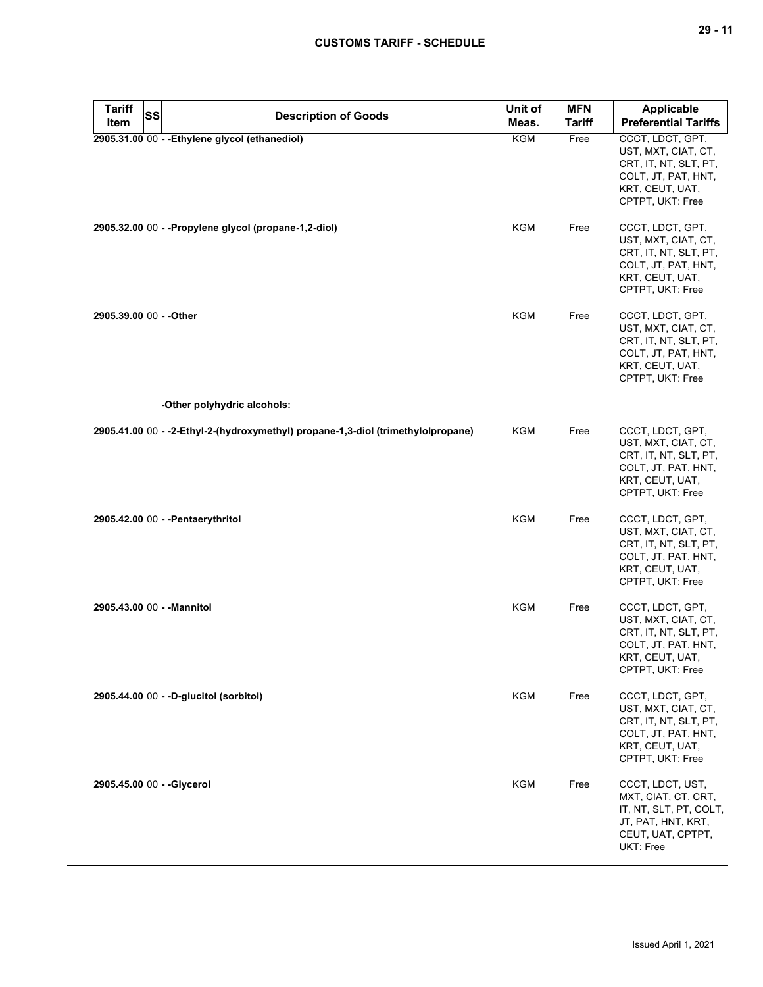| <b>Tariff</b> | <b>SS</b><br><b>Description of Goods</b>                                         | Unit of    | <b>MFN</b>    | <b>Applicable</b>                                                                                                              |
|---------------|----------------------------------------------------------------------------------|------------|---------------|--------------------------------------------------------------------------------------------------------------------------------|
| Item          |                                                                                  | Meas.      | <b>Tariff</b> | <b>Preferential Tariffs</b>                                                                                                    |
|               | 2905.31.00 00 - - Ethylene glycol (ethanediol)                                   | KGM        | Free          | CCCT, LDCT, GPT,<br>UST, MXT, CIAT, CT,<br>CRT, IT, NT, SLT, PT,<br>COLT, JT, PAT, HNT,<br>KRT, CEUT, UAT,<br>CPTPT, UKT: Free |
|               | 2905.32.00 00 - - Propylene glycol (propane-1,2-diol)                            | KGM        | Free          | CCCT, LDCT, GPT,<br>UST, MXT, CIAT, CT,<br>CRT, IT, NT, SLT, PT,<br>COLT, JT, PAT, HNT,<br>KRT, CEUT, UAT,<br>CPTPT, UKT: Free |
|               | 2905.39.00 00 - - Other                                                          | KGM        | Free          | CCCT, LDCT, GPT,<br>UST, MXT, CIAT, CT,<br>CRT, IT, NT, SLT, PT,<br>COLT, JT, PAT, HNT,<br>KRT, CEUT, UAT,<br>CPTPT, UKT: Free |
|               | -Other polyhydric alcohols:                                                      |            |               |                                                                                                                                |
|               | 2905.41.00 00 - -2-Ethyl-2-(hydroxymethyl) propane-1,3-diol (trimethylolpropane) | KGM        | Free          | CCCT, LDCT, GPT,<br>UST, MXT, CIAT, CT,<br>CRT, IT, NT, SLT, PT,<br>COLT, JT, PAT, HNT,<br>KRT, CEUT, UAT,<br>CPTPT, UKT: Free |
|               | 2905.42.00 00 - - Pentaerythritol                                                | <b>KGM</b> | Free          | CCCT, LDCT, GPT,<br>UST, MXT, CIAT, CT,<br>CRT, IT, NT, SLT, PT,<br>COLT, JT, PAT, HNT,<br>KRT, CEUT, UAT,<br>CPTPT, UKT: Free |
|               | 2905.43.00 00 - - Mannitol                                                       | <b>KGM</b> | Free          | CCCT, LDCT, GPT,<br>UST, MXT, CIAT, CT,<br>CRT, IT, NT, SLT, PT,<br>COLT, JT, PAT, HNT,<br>KRT, CEUT, UAT,<br>CPTPT, UKT: Free |
|               | 2905.44.00 00 - - D-glucitol (sorbitol)                                          | <b>KGM</b> | Free          | CCCT, LDCT, GPT,<br>UST, MXT, CIAT, CT,<br>CRT, IT, NT, SLT, PT,<br>COLT, JT, PAT, HNT,<br>KRT, CEUT, UAT,<br>CPTPT, UKT: Free |
|               | 2905.45.00 00 - - Glycerol                                                       | KGM        | Free          | CCCT, LDCT, UST,<br>MXT, CIAT, CT, CRT,<br>IT, NT, SLT, PT, COLT,<br>JT, PAT, HNT, KRT,<br>CEUT, UAT, CPTPT,<br>UKT: Free      |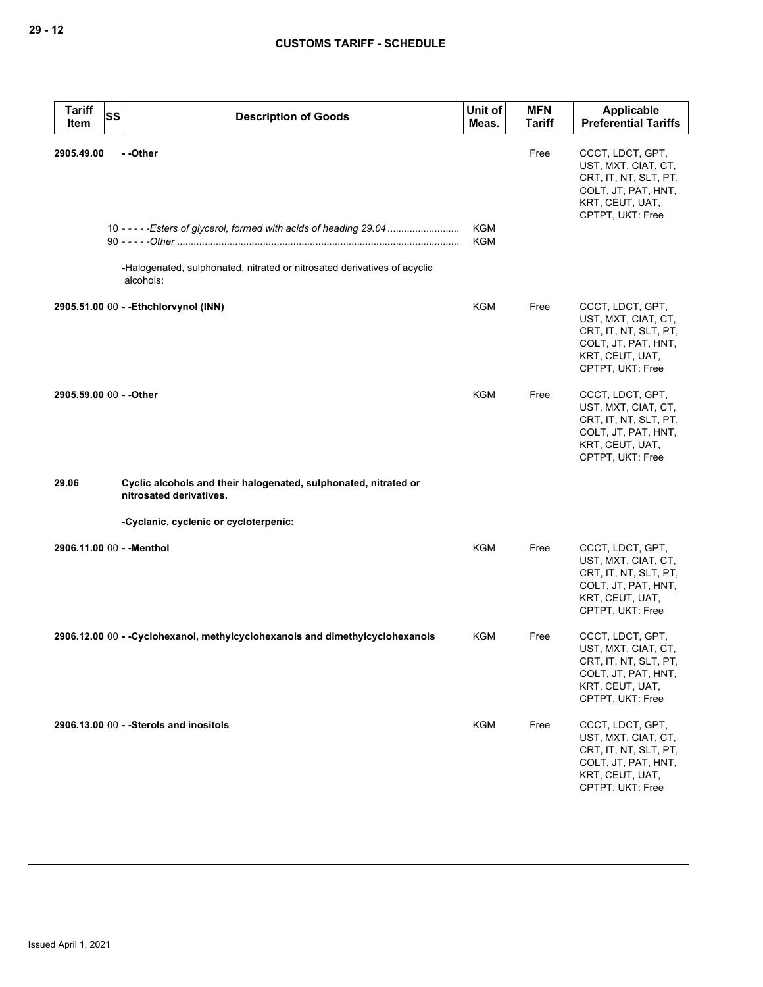| <b>Tariff</b><br>SS<br>Item | <b>Description of Goods</b>                                                                                                                                              | Unit of<br>Meas.         | <b>MFN</b><br><b>Tariff</b> | <b>Applicable</b><br><b>Preferential Tariffs</b>                                                                               |
|-----------------------------|--------------------------------------------------------------------------------------------------------------------------------------------------------------------------|--------------------------|-----------------------------|--------------------------------------------------------------------------------------------------------------------------------|
| 2905.49.00                  | - -Other<br>10 - - - - - Esters of glycerol, formed with acids of heading 29.04<br>-Halogenated, sulphonated, nitrated or nitrosated derivatives of acyclic<br>alcohols: | <b>KGM</b><br><b>KGM</b> | Free                        | CCCT, LDCT, GPT,<br>UST, MXT, CIAT, CT,<br>CRT, IT, NT, SLT, PT,<br>COLT, JT, PAT, HNT,<br>KRT, CEUT, UAT,<br>CPTPT, UKT: Free |
|                             | 2905.51.00 00 - - Ethchlorvynol (INN)                                                                                                                                    | KGM                      | Free                        | CCCT, LDCT, GPT,<br>UST, MXT, CIAT, CT,<br>CRT, IT, NT, SLT, PT,<br>COLT, JT, PAT, HNT,<br>KRT, CEUT, UAT,<br>CPTPT, UKT: Free |
| 2905.59.00 00 - - Other     |                                                                                                                                                                          | KGM                      | Free                        | CCCT, LDCT, GPT,<br>UST, MXT, CIAT, CT,<br>CRT, IT, NT, SLT, PT,<br>COLT, JT, PAT, HNT,<br>KRT, CEUT, UAT,<br>CPTPT, UKT: Free |
| 29.06                       | Cyclic alcohols and their halogenated, sulphonated, nitrated or<br>nitrosated derivatives.                                                                               |                          |                             |                                                                                                                                |
|                             | -Cyclanic, cyclenic or cycloterpenic:                                                                                                                                    |                          |                             |                                                                                                                                |
| 2906.11.00 00 - - Menthol   |                                                                                                                                                                          | <b>KGM</b>               | Free                        | CCCT, LDCT, GPT,<br>UST, MXT, CIAT, CT,<br>CRT, IT, NT, SLT, PT,<br>COLT, JT, PAT, HNT,<br>KRT, CEUT, UAT,<br>CPTPT, UKT: Free |
|                             | 2906.12.00 00 - - Cyclohexanol, methylcyclohexanols and dimethylcyclohexanols                                                                                            | KGM                      | Free                        | CCCT, LDCT, GPT,<br>UST, MXT, CIAT, CT,<br>CRT, IT, NT, SLT, PT,<br>COLT, JT, PAT, HNT,<br>KRT, CEUT, UAT,<br>CPTPT, UKT: Free |
|                             | 2906.13.00 00 - - Sterols and inositols                                                                                                                                  | <b>KGM</b>               | Free                        | CCCT, LDCT, GPT,<br>UST, MXT, CIAT, CT,<br>CRT, IT, NT, SLT, PT,<br>COLT, JT, PAT, HNT,<br>KRT, CEUT, UAT,<br>CPTPT, UKT: Free |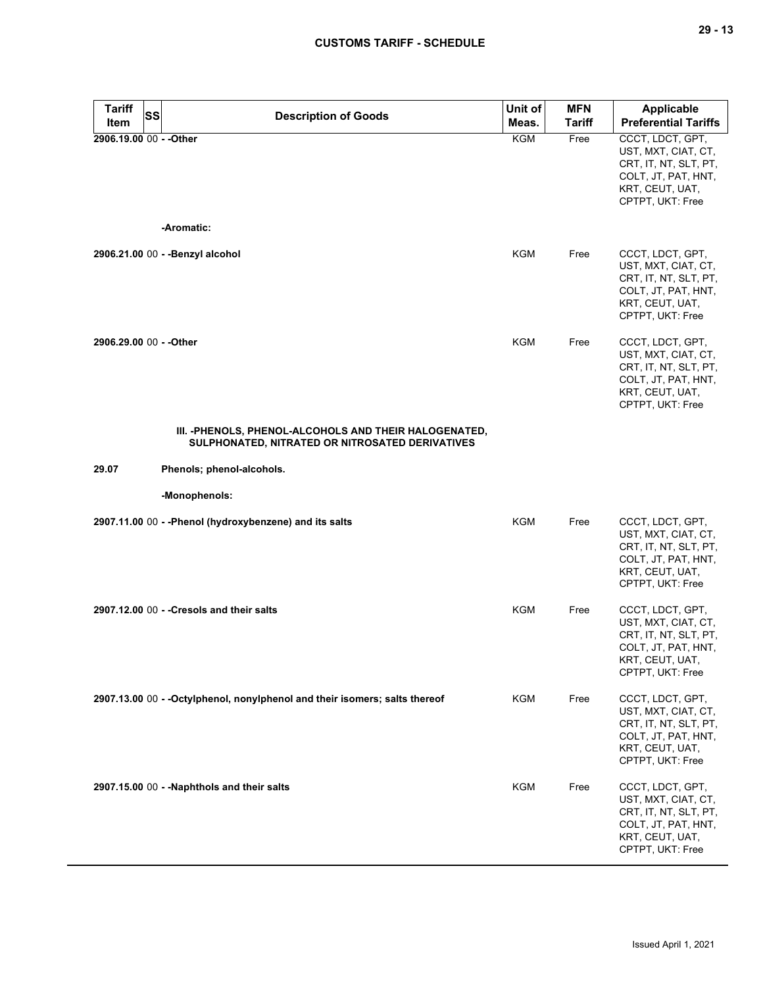| <b>Tariff</b>           | <b>SS</b><br><b>Description of Goods</b>                                                                  | Unit of    | <b>MFN</b>    | <b>Applicable</b>                                                                                                              |
|-------------------------|-----------------------------------------------------------------------------------------------------------|------------|---------------|--------------------------------------------------------------------------------------------------------------------------------|
| Item                    |                                                                                                           | Meas.      | <b>Tariff</b> | <b>Preferential Tariffs</b>                                                                                                    |
| 2906.19.00 00 - - Other | -Aromatic:                                                                                                | <b>KGM</b> | Free          | CCCT, LDCT, GPT,<br>UST, MXT, CIAT, CT,<br>CRT, IT, NT, SLT, PT,<br>COLT, JT, PAT, HNT,<br>KRT, CEUT, UAT,<br>CPTPT, UKT: Free |
|                         |                                                                                                           |            |               |                                                                                                                                |
|                         | 2906.21.00 00 - - Benzyl alcohol                                                                          | <b>KGM</b> | Free          | CCCT, LDCT, GPT,<br>UST, MXT, CIAT, CT,<br>CRT, IT, NT, SLT, PT,<br>COLT, JT, PAT, HNT,<br>KRT, CEUT, UAT,<br>CPTPT, UKT: Free |
| 2906.29.00 00 - - Other |                                                                                                           | <b>KGM</b> | Free          | CCCT, LDCT, GPT,<br>UST, MXT, CIAT, CT,<br>CRT, IT, NT, SLT, PT,<br>COLT, JT, PAT, HNT,<br>KRT, CEUT, UAT,<br>CPTPT, UKT: Free |
|                         | III. - PHENOLS, PHENOL-ALCOHOLS AND THEIR HALOGENATED,<br>SULPHONATED, NITRATED OR NITROSATED DERIVATIVES |            |               |                                                                                                                                |
| 29.07                   | Phenols; phenol-alcohols.                                                                                 |            |               |                                                                                                                                |
|                         | -Monophenols:                                                                                             |            |               |                                                                                                                                |
|                         | 2907.11.00 00 - - Phenol (hydroxybenzene) and its salts                                                   | <b>KGM</b> | Free          | CCCT, LDCT, GPT,<br>UST, MXT, CIAT, CT,<br>CRT, IT, NT, SLT, PT,<br>COLT, JT, PAT, HNT,<br>KRT, CEUT, UAT,<br>CPTPT, UKT: Free |
|                         | 2907.12.00 00 - - Cresols and their salts                                                                 | <b>KGM</b> | Free          | CCCT, LDCT, GPT,<br>UST, MXT, CIAT, CT,<br>CRT, IT, NT, SLT, PT,<br>COLT, JT, PAT, HNT,<br>KRT, CEUT, UAT,<br>CPTPT, UKT: Free |
|                         | 2907.13.00 00 - - Octylphenol, nonylphenol and their isomers; salts thereof                               | <b>KGM</b> | Free          | CCCT, LDCT, GPT,<br>UST, MXT, CIAT, CT,<br>CRT, IT, NT, SLT, PT,<br>COLT, JT, PAT, HNT,<br>KRT, CEUT, UAT,<br>CPTPT, UKT: Free |
|                         | 2907.15.00 00 - - Naphthols and their salts                                                               | <b>KGM</b> | Free          | CCCT, LDCT, GPT,<br>UST, MXT, CIAT, CT,<br>CRT, IT, NT, SLT, PT,<br>COLT, JT, PAT, HNT,<br>KRT, CEUT, UAT,<br>CPTPT, UKT: Free |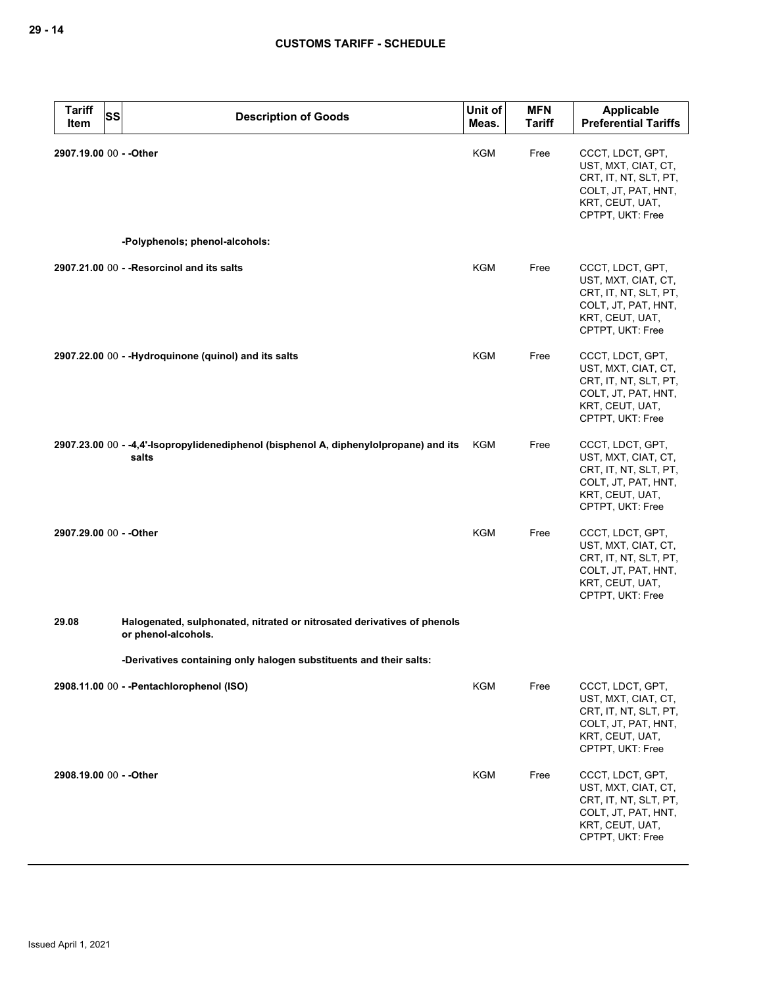| <b>Tariff</b><br><b>SS</b><br>Item | <b>Description of Goods</b>                                                                    | Unit of<br>Meas. | <b>MFN</b><br><b>Tariff</b> | Applicable<br><b>Preferential Tariffs</b>                                                                                      |
|------------------------------------|------------------------------------------------------------------------------------------------|------------------|-----------------------------|--------------------------------------------------------------------------------------------------------------------------------|
| 2907.19.00 00 - - Other            |                                                                                                | <b>KGM</b>       | Free                        | CCCT, LDCT, GPT,<br>UST, MXT, CIAT, CT,<br>CRT, IT, NT, SLT, PT,<br>COLT, JT, PAT, HNT,<br>KRT, CEUT, UAT,<br>CPTPT, UKT: Free |
|                                    | -Polyphenols; phenol-alcohols:                                                                 |                  |                             |                                                                                                                                |
|                                    | 2907.21.00 00 - - Resorcinol and its salts                                                     | <b>KGM</b>       | Free                        | CCCT, LDCT, GPT,<br>UST, MXT, CIAT, CT,<br>CRT, IT, NT, SLT, PT,<br>COLT, JT, PAT, HNT,<br>KRT, CEUT, UAT,<br>CPTPT, UKT: Free |
|                                    | 2907.22.00 00 - -Hydroquinone (quinol) and its salts                                           | <b>KGM</b>       | Free                        | CCCT, LDCT, GPT,<br>UST, MXT, CIAT, CT,<br>CRT, IT, NT, SLT, PT,<br>COLT, JT, PAT, HNT,<br>KRT, CEUT, UAT,<br>CPTPT, UKT: Free |
|                                    | 2907.23.00 00 - -4,4'-Isopropylidenediphenol (bisphenol A, diphenylolpropane) and its<br>salts | KGM              | Free                        | CCCT, LDCT, GPT,<br>UST, MXT, CIAT, CT,<br>CRT, IT, NT, SLT, PT,<br>COLT, JT, PAT, HNT,<br>KRT, CEUT, UAT,<br>CPTPT, UKT: Free |
| 2907.29.00 00 - - Other            |                                                                                                | <b>KGM</b>       | Free                        | CCCT, LDCT, GPT,<br>UST, MXT, CIAT, CT,<br>CRT, IT, NT, SLT, PT,<br>COLT, JT, PAT, HNT,<br>KRT, CEUT, UAT,<br>CPTPT, UKT: Free |
| 29.08                              | Halogenated, sulphonated, nitrated or nitrosated derivatives of phenols<br>or phenol-alcohols. |                  |                             |                                                                                                                                |
|                                    | -Derivatives containing only halogen substituents and their salts:                             |                  |                             |                                                                                                                                |
|                                    | 2908.11.00 00 - - Pentachlorophenol (ISO)                                                      | <b>KGM</b>       | Free                        | CCCT, LDCT, GPT,<br>UST, MXT, CIAT, CT,<br>CRT, IT, NT, SLT, PT,<br>COLT, JT, PAT, HNT,<br>KRT, CEUT, UAT,<br>CPTPT, UKT: Free |
| 2908.19.00 00 - - Other            |                                                                                                | <b>KGM</b>       | Free                        | CCCT, LDCT, GPT,<br>UST, MXT, CIAT, CT,<br>CRT, IT, NT, SLT, PT,<br>COLT, JT, PAT, HNT,<br>KRT, CEUT, UAT,<br>CPTPT, UKT: Free |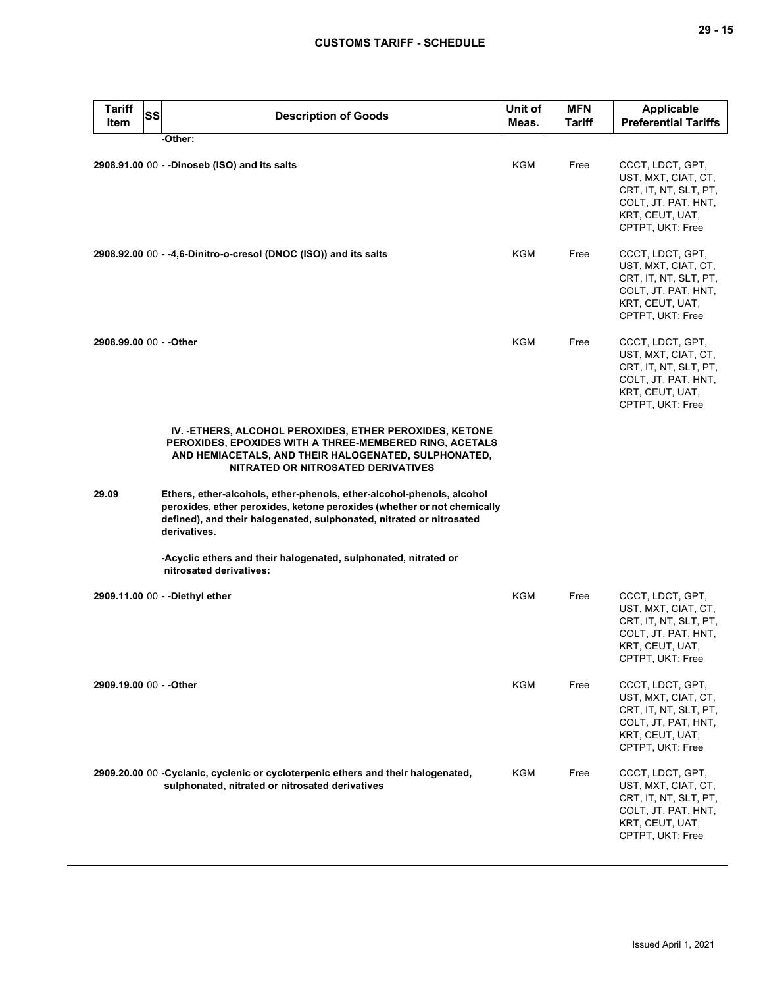| <b>Tariff</b><br>Item   | SS<br><b>Description of Goods</b>                                                                                                                                                                                                        | Unit of<br>Meas. | <b>MFN</b><br>Tariff | <b>Applicable</b><br><b>Preferential Tariffs</b>                                                                               |
|-------------------------|------------------------------------------------------------------------------------------------------------------------------------------------------------------------------------------------------------------------------------------|------------------|----------------------|--------------------------------------------------------------------------------------------------------------------------------|
|                         | -Other:                                                                                                                                                                                                                                  |                  |                      |                                                                                                                                |
|                         | 2908.91.00 00 - - Dinoseb (ISO) and its salts                                                                                                                                                                                            | KGM              | Free                 | CCCT, LDCT, GPT,<br>UST, MXT, CIAT, CT,<br>CRT, IT, NT, SLT, PT,<br>COLT, JT, PAT, HNT,<br>KRT, CEUT, UAT,<br>CPTPT, UKT: Free |
|                         | 2908.92.00 00 - -4,6-Dinitro-o-cresol (DNOC (ISO)) and its salts                                                                                                                                                                         | KGM              | Free                 | CCCT, LDCT, GPT,<br>UST, MXT, CIAT, CT,<br>CRT, IT, NT, SLT, PT,<br>COLT, JT, PAT, HNT,<br>KRT, CEUT, UAT,<br>CPTPT, UKT: Free |
| 2908.99.00 00 - - Other |                                                                                                                                                                                                                                          | <b>KGM</b>       | Free                 | CCCT, LDCT, GPT,<br>UST, MXT, CIAT, CT,<br>CRT, IT, NT, SLT, PT,<br>COLT, JT, PAT, HNT,<br>KRT, CEUT, UAT,<br>CPTPT, UKT: Free |
|                         | IV. - ETHERS, ALCOHOL PEROXIDES, ETHER PEROXIDES, KETONE<br>PEROXIDES, EPOXIDES WITH A THREE-MEMBERED RING, ACETALS<br>AND HEMIACETALS, AND THEIR HALOGENATED, SULPHONATED,<br>NITRATED OR NITROSATED DERIVATIVES                        |                  |                      |                                                                                                                                |
| 29.09                   | Ethers, ether-alcohols, ether-phenols, ether-alcohol-phenols, alcohol<br>peroxides, ether peroxides, ketone peroxides (whether or not chemically<br>defined), and their halogenated, sulphonated, nitrated or nitrosated<br>derivatives. |                  |                      |                                                                                                                                |
|                         | -Acyclic ethers and their halogenated, sulphonated, nitrated or<br>nitrosated derivatives:                                                                                                                                               |                  |                      |                                                                                                                                |
|                         | 2909.11.00 00 - - Diethyl ether                                                                                                                                                                                                          | KGM              | Free                 | CCCT, LDCT, GPT,<br>UST, MXT, CIAT, CT,<br>CRT, IT, NT, SLT, PT,<br>COLT, JT, PAT, HNT,<br>KRT, CEUT, UAT,<br>CPTPT, UKT: Free |
| 2909.19.00 00 - - Other |                                                                                                                                                                                                                                          | KGM              | Free                 | CCCT, LDCT, GPT,<br>UST, MXT, CIAT, CT,<br>CRT, IT, NT, SLT, PT,<br>COLT, JT, PAT, HNT,<br>KRT, CEUT, UAT,<br>CPTPT, UKT: Free |
|                         | 2909.20.00 00 - Cyclanic, cyclenic or cycloterpenic ethers and their halogenated,<br>sulphonated, nitrated or nitrosated derivatives                                                                                                     | KGM              | Free                 | CCCT, LDCT, GPT,<br>UST, MXT, CIAT, CT,<br>CRT, IT, NT, SLT, PT,<br>COLT, JT, PAT, HNT,<br>KRT, CEUT, UAT,<br>CPTPT, UKT: Free |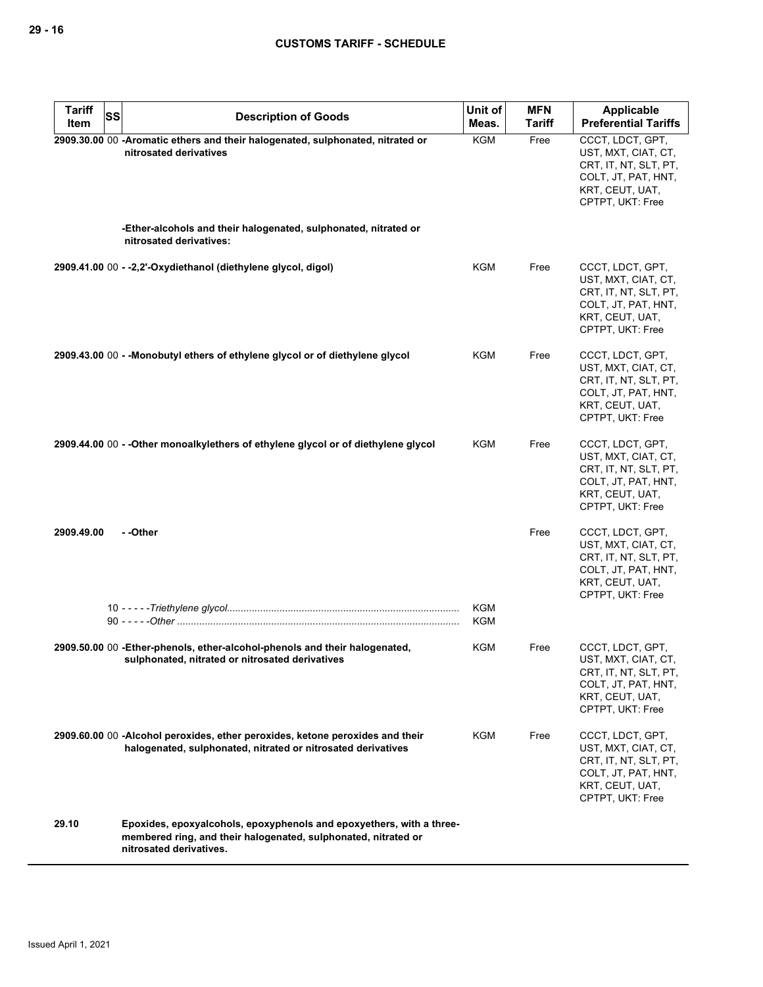| <b>Tariff</b><br><b>SS</b><br>Item | <b>Description of Goods</b>                                                                                                                                       | Unit of<br>Meas.         | <b>MFN</b><br><b>Tariff</b> | Applicable<br><b>Preferential Tariffs</b>                                                                                      |
|------------------------------------|-------------------------------------------------------------------------------------------------------------------------------------------------------------------|--------------------------|-----------------------------|--------------------------------------------------------------------------------------------------------------------------------|
|                                    | 2909.30.00 00 -Aromatic ethers and their halogenated, sulphonated, nitrated or<br>nitrosated derivatives                                                          | <b>KGM</b>               | Free                        | CCCT, LDCT, GPT,<br>UST, MXT, CIAT, CT,<br>CRT, IT, NT, SLT, PT,<br>COLT, JT, PAT, HNT,<br>KRT, CEUT, UAT,<br>CPTPT, UKT: Free |
|                                    | -Ether-alcohols and their halogenated, sulphonated, nitrated or<br>nitrosated derivatives:                                                                        |                          |                             |                                                                                                                                |
|                                    | 2909.41.00 00 - -2,2'-Oxydiethanol (diethylene glycol, digol)                                                                                                     | KGM                      | Free                        | CCCT, LDCT, GPT,<br>UST, MXT, CIAT, CT,<br>CRT, IT, NT, SLT, PT,<br>COLT, JT, PAT, HNT,<br>KRT, CEUT, UAT,<br>CPTPT, UKT: Free |
|                                    | 2909.43.00 00 - - Monobutyl ethers of ethylene glycol or of diethylene glycol                                                                                     | KGM                      | Free                        | CCCT, LDCT, GPT,<br>UST, MXT, CIAT, CT,<br>CRT, IT, NT, SLT, PT,<br>COLT, JT, PAT, HNT,<br>KRT, CEUT, UAT,<br>CPTPT, UKT: Free |
|                                    | 2909.44.00 00 - - Other monoalkylethers of ethylene glycol or of diethylene glycol                                                                                | KGM                      | Free                        | CCCT, LDCT, GPT,<br>UST, MXT, CIAT, CT,<br>CRT, IT, NT, SLT, PT,<br>COLT, JT, PAT, HNT,<br>KRT, CEUT, UAT,<br>CPTPT, UKT: Free |
| 2909.49.00                         | - -Other                                                                                                                                                          |                          | Free                        | CCCT, LDCT, GPT,<br>UST, MXT, CIAT, CT,<br>CRT, IT, NT, SLT, PT,<br>COLT, JT, PAT, HNT,<br>KRT, CEUT, UAT,<br>CPTPT, UKT: Free |
|                                    |                                                                                                                                                                   | <b>KGM</b><br><b>KGM</b> |                             |                                                                                                                                |
|                                    | 2909.50.00 00 - Ether-phenols, ether-alcohol-phenols and their halogenated,<br>sulphonated, nitrated or nitrosated derivatives                                    | KGM                      | Free                        | CCCT, LDCT, GPT,<br>UST, MXT, CIAT, CT,<br>CRT, IT, NT, SLT, PT,<br>COLT, JT, PAT, HNT,<br>KRT, CEUT, UAT,<br>CPTPT, UKT: Free |
|                                    | 2909.60.00 00 -Alcohol peroxides, ether peroxides, ketone peroxides and their<br>halogenated, sulphonated, nitrated or nitrosated derivatives                     | <b>KGM</b>               | Free                        | CCCT, LDCT, GPT,<br>UST, MXT, CIAT, CT,<br>CRT, IT, NT, SLT, PT,<br>COLT, JT, PAT, HNT,<br>KRT, CEUT, UAT,<br>CPTPT, UKT: Free |
| 29.10                              | Epoxides, epoxyalcohols, epoxyphenols and epoxyethers, with a three-<br>membered ring, and their halogenated, sulphonated, nitrated or<br>nitrosated derivatives. |                          |                             |                                                                                                                                |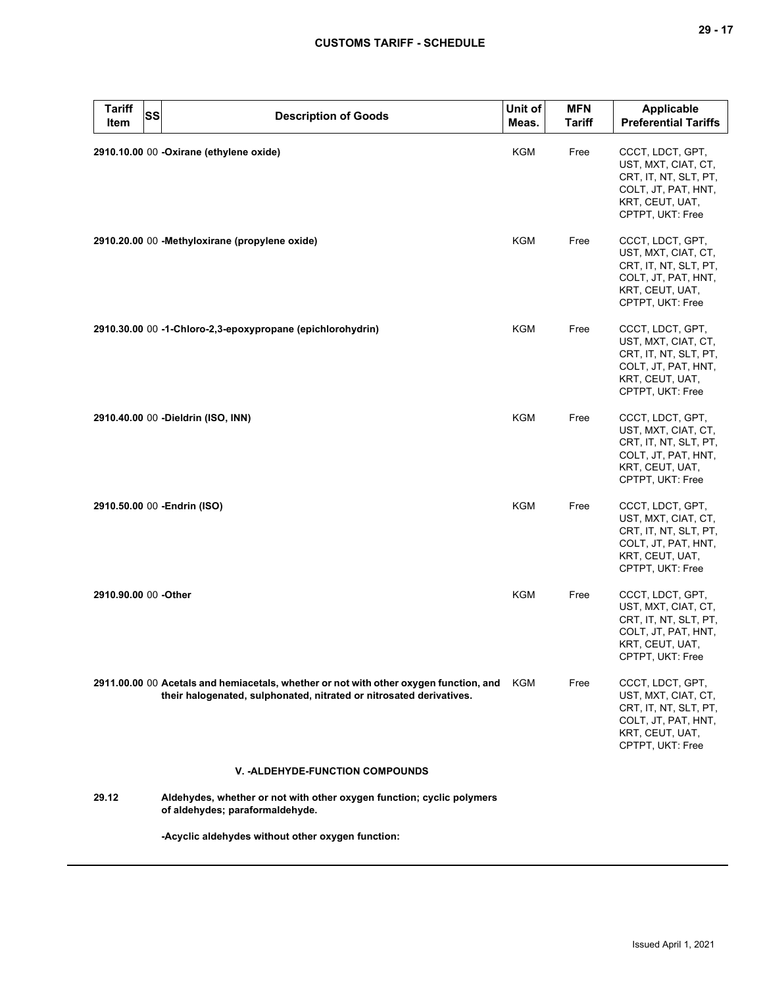| <b>Tariff</b><br><b>Item</b> | SS | <b>Description of Goods</b>                                                                                                                                  | Unit of<br>Meas. | <b>MFN</b><br><b>Tariff</b> | <b>Applicable</b><br><b>Preferential Tariffs</b>                                                                               |
|------------------------------|----|--------------------------------------------------------------------------------------------------------------------------------------------------------------|------------------|-----------------------------|--------------------------------------------------------------------------------------------------------------------------------|
|                              |    | 2910.10.00 00 - Oxirane (ethylene oxide)                                                                                                                     | KGM              | Free                        | CCCT, LDCT, GPT,<br>UST, MXT, CIAT, CT,<br>CRT, IT, NT, SLT, PT,<br>COLT, JT, PAT, HNT,<br>KRT, CEUT, UAT,<br>CPTPT, UKT: Free |
|                              |    | 2910.20.00 00 -Methyloxirane (propylene oxide)                                                                                                               | <b>KGM</b>       | Free                        | CCCT, LDCT, GPT,<br>UST, MXT, CIAT, CT,<br>CRT, IT, NT, SLT, PT,<br>COLT, JT, PAT, HNT,<br>KRT, CEUT, UAT,<br>CPTPT, UKT: Free |
|                              |    | 2910.30.00 00 -1-Chloro-2,3-epoxypropane (epichlorohydrin)                                                                                                   | KGM              | Free                        | CCCT, LDCT, GPT,<br>UST, MXT, CIAT, CT,<br>CRT, IT, NT, SLT, PT,<br>COLT, JT, PAT, HNT,<br>KRT, CEUT, UAT,<br>CPTPT, UKT: Free |
|                              |    | 2910.40.00 00 - Dieldrin (ISO, INN)                                                                                                                          | KGM              | Free                        | CCCT, LDCT, GPT,<br>UST, MXT, CIAT, CT,<br>CRT, IT, NT, SLT, PT,<br>COLT, JT, PAT, HNT,<br>KRT, CEUT, UAT,<br>CPTPT, UKT: Free |
|                              |    | 2910.50.00 00 - Endrin (ISO)                                                                                                                                 | <b>KGM</b>       | Free                        | CCCT, LDCT, GPT,<br>UST, MXT, CIAT, CT,<br>CRT, IT, NT, SLT, PT,<br>COLT, JT, PAT, HNT,<br>KRT, CEUT, UAT,<br>CPTPT, UKT: Free |
| 2910.90.00 00 -Other         |    |                                                                                                                                                              | <b>KGM</b>       | Free                        | CCCT, LDCT, GPT,<br>UST, MXT, CIAT, CT,<br>CRT, IT, NT, SLT, PT,<br>COLT, JT, PAT, HNT,<br>KRT, CEUT, UAT,<br>CPTPT, UKT: Free |
|                              |    | 2911.00.00 00 Acetals and hemiacetals, whether or not with other oxygen function, and<br>their halogenated, sulphonated, nitrated or nitrosated derivatives. | KGM              | Free                        | CCCT, LDCT, GPT,<br>UST, MXT, CIAT, CT,<br>CRT, IT, NT, SLT, PT,<br>COLT, JT, PAT, HNT,<br>KRT, CEUT, UAT,<br>CPTPT, UKT: Free |
|                              |    | <b>V. -ALDEHYDE-FUNCTION COMPOUNDS</b>                                                                                                                       |                  |                             |                                                                                                                                |
| 29.12                        |    | Aldehydes, whether or not with other oxygen function; cyclic polymers<br>of aldehydes; paraformaldehyde.                                                     |                  |                             |                                                                                                                                |
|                              |    |                                                                                                                                                              |                  |                             |                                                                                                                                |

**-Acyclic aldehydes without other oxygen function:**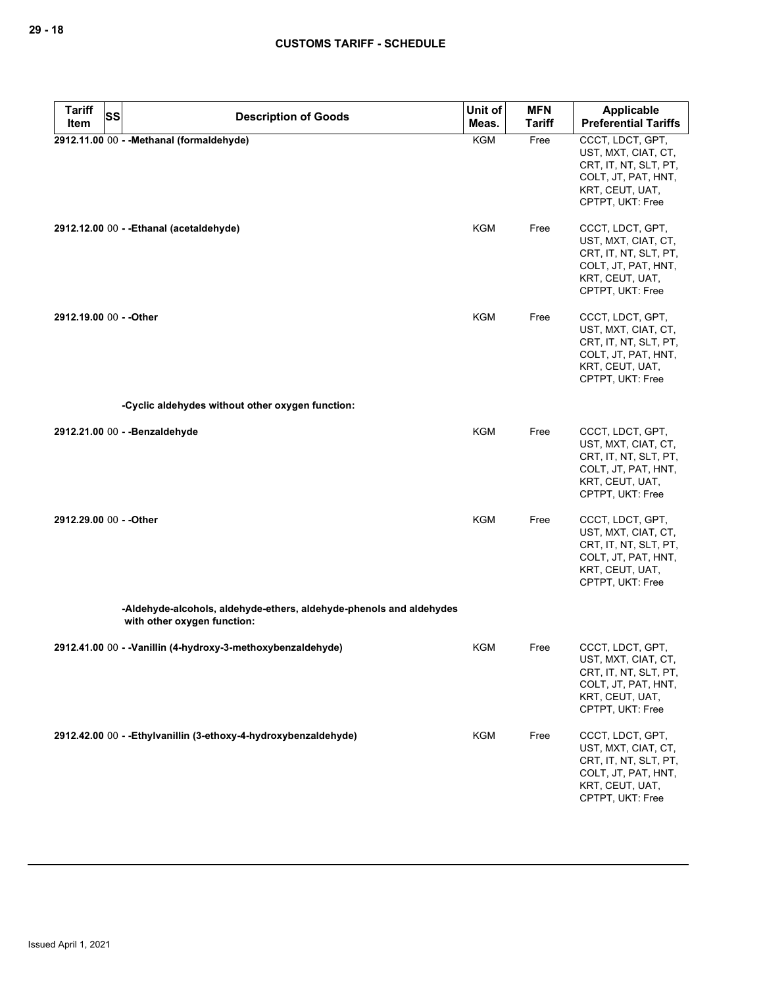| <b>Tariff</b><br><b>SS</b> | <b>Description of Goods</b>                                                                        | Unit of    | <b>MFN</b>    | <b>Applicable</b>                                                                                                              |
|----------------------------|----------------------------------------------------------------------------------------------------|------------|---------------|--------------------------------------------------------------------------------------------------------------------------------|
| Item                       |                                                                                                    | Meas.      | <b>Tariff</b> | <b>Preferential Tariffs</b>                                                                                                    |
|                            | 2912.11.00 00 - - Methanal (formaldehyde)                                                          | <b>KGM</b> | Free          | CCCT, LDCT, GPT,<br>UST, MXT, CIAT, CT,<br>CRT, IT, NT, SLT, PT,<br>COLT, JT, PAT, HNT,<br>KRT, CEUT, UAT,<br>CPTPT, UKT: Free |
|                            | 2912.12.00 00 - - Ethanal (acetaldehyde)                                                           | KGM        | Free          | CCCT, LDCT, GPT,<br>UST, MXT, CIAT, CT,<br>CRT, IT, NT, SLT, PT,<br>COLT, JT, PAT, HNT,<br>KRT, CEUT, UAT,<br>CPTPT, UKT: Free |
| 2912.19.00 00 - - Other    |                                                                                                    | <b>KGM</b> | Free          | CCCT, LDCT, GPT,<br>UST, MXT, CIAT, CT,<br>CRT, IT, NT, SLT, PT,<br>COLT, JT, PAT, HNT,<br>KRT, CEUT, UAT,<br>CPTPT, UKT: Free |
|                            | -Cyclic aldehydes without other oxygen function:                                                   |            |               |                                                                                                                                |
|                            | 2912.21.00 00 - - Benzaldehyde                                                                     | <b>KGM</b> | Free          | CCCT, LDCT, GPT,<br>UST, MXT, CIAT, CT,<br>CRT, IT, NT, SLT, PT,<br>COLT, JT, PAT, HNT,<br>KRT, CEUT, UAT,<br>CPTPT, UKT: Free |
| 2912.29.00 00 - - Other    |                                                                                                    | <b>KGM</b> | Free          | CCCT, LDCT, GPT,<br>UST, MXT, CIAT, CT,<br>CRT, IT, NT, SLT, PT,<br>COLT, JT, PAT, HNT,<br>KRT, CEUT, UAT,<br>CPTPT, UKT: Free |
|                            | -Aldehyde-alcohols, aldehyde-ethers, aldehyde-phenols and aldehydes<br>with other oxygen function: |            |               |                                                                                                                                |
|                            | 2912.41.00 00 - - Vanillin (4-hydroxy-3-methoxybenzaldehyde)                                       | KGM        | Free          | CCCT, LDCT, GPT,<br>UST, MXT, CIAT, CT,<br>CRT, IT, NT, SLT, PT,<br>COLT, JT, PAT, HNT,<br>KRT, CEUT, UAT,<br>CPTPT, UKT: Free |
|                            | 2912.42.00 00 - - Ethylvanillin (3-ethoxy-4-hydroxybenzaldehyde)                                   | <b>KGM</b> | Free          | CCCT, LDCT, GPT,<br>UST, MXT, CIAT, CT,<br>CRT, IT, NT, SLT, PT,<br>COLT, JT, PAT, HNT,<br>KRT, CEUT, UAT,<br>CPTPT, UKT: Free |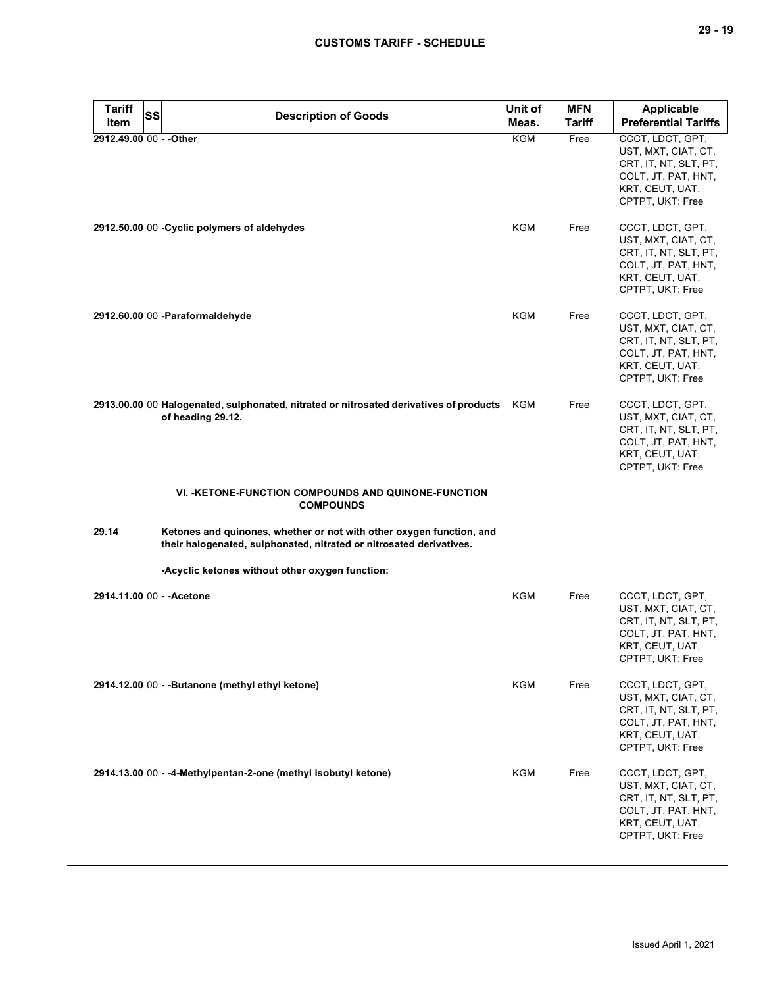| <b>Tariff</b><br>Item   | SS | <b>Description of Goods</b>                                                                                                                 | Unit of<br>Meas. | <b>MFN</b><br><b>Tariff</b> | <b>Applicable</b><br><b>Preferential Tariffs</b>                                                                               |
|-------------------------|----|---------------------------------------------------------------------------------------------------------------------------------------------|------------------|-----------------------------|--------------------------------------------------------------------------------------------------------------------------------|
| 2912.49.00 00 - - Other |    |                                                                                                                                             | KGM              | Free                        | CCCT, LDCT, GPT,<br>UST, MXT, CIAT, CT,<br>CRT, IT, NT, SLT, PT,<br>COLT, JT, PAT, HNT,<br>KRT, CEUT, UAT,<br>CPTPT, UKT: Free |
|                         |    | 2912.50.00 00 - Cyclic polymers of aldehydes                                                                                                | <b>KGM</b>       | Free                        | CCCT, LDCT, GPT,<br>UST, MXT, CIAT, CT,<br>CRT, IT, NT, SLT, PT,<br>COLT, JT, PAT, HNT,<br>KRT, CEUT, UAT,<br>CPTPT, UKT: Free |
|                         |    | 2912.60.00 00 -Paraformaldehyde                                                                                                             | KGM              | Free                        | CCCT, LDCT, GPT,<br>UST, MXT, CIAT, CT,<br>CRT, IT, NT, SLT, PT,<br>COLT, JT, PAT, HNT,<br>KRT, CEUT, UAT,<br>CPTPT, UKT: Free |
|                         |    | 2913.00.00 00 Halogenated, sulphonated, nitrated or nitrosated derivatives of products KGM<br>of heading 29.12.                             |                  | Free                        | CCCT, LDCT, GPT,<br>UST, MXT, CIAT, CT,<br>CRT, IT, NT, SLT, PT,<br>COLT, JT, PAT, HNT,<br>KRT, CEUT, UAT,<br>CPTPT, UKT: Free |
|                         |    | <b>VI. -KETONE-FUNCTION COMPOUNDS AND QUINONE-FUNCTION</b><br><b>COMPOUNDS</b>                                                              |                  |                             |                                                                                                                                |
| 29.14                   |    | Ketones and quinones, whether or not with other oxygen function, and<br>their halogenated, sulphonated, nitrated or nitrosated derivatives. |                  |                             |                                                                                                                                |
|                         |    | -Acyclic ketones without other oxygen function:                                                                                             |                  |                             |                                                                                                                                |
|                         |    | 2914.11.00 00 - - Acetone                                                                                                                   | KGM              | Free                        | CCCT, LDCT, GPT,<br>UST, MXT, CIAT, CT,<br>CRT, IT, NT, SLT, PT,<br>COLT, JT, PAT, HNT,<br>KRT, CEUT, UAT,<br>CPTPT, UKT: Free |
|                         |    | 2914.12.00 00 - - Butanone (methyl ethyl ketone)                                                                                            | KGM              | Free                        | CCCT, LDCT, GPT,<br>UST, MXT, CIAT, CT,<br>CRT, IT, NT, SLT, PT,<br>COLT, JT, PAT, HNT,<br>KRT, CEUT, UAT,<br>CPTPT, UKT: Free |
|                         |    | 2914.13.00 00 - -4-Methylpentan-2-one (methyl isobutyl ketone)                                                                              | KGM              | Free                        | CCCT, LDCT, GPT,<br>UST, MXT, CIAT, CT,<br>CRT, IT, NT, SLT, PT,<br>COLT, JT, PAT, HNT,<br>KRT, CEUT, UAT,<br>CPTPT, UKT: Free |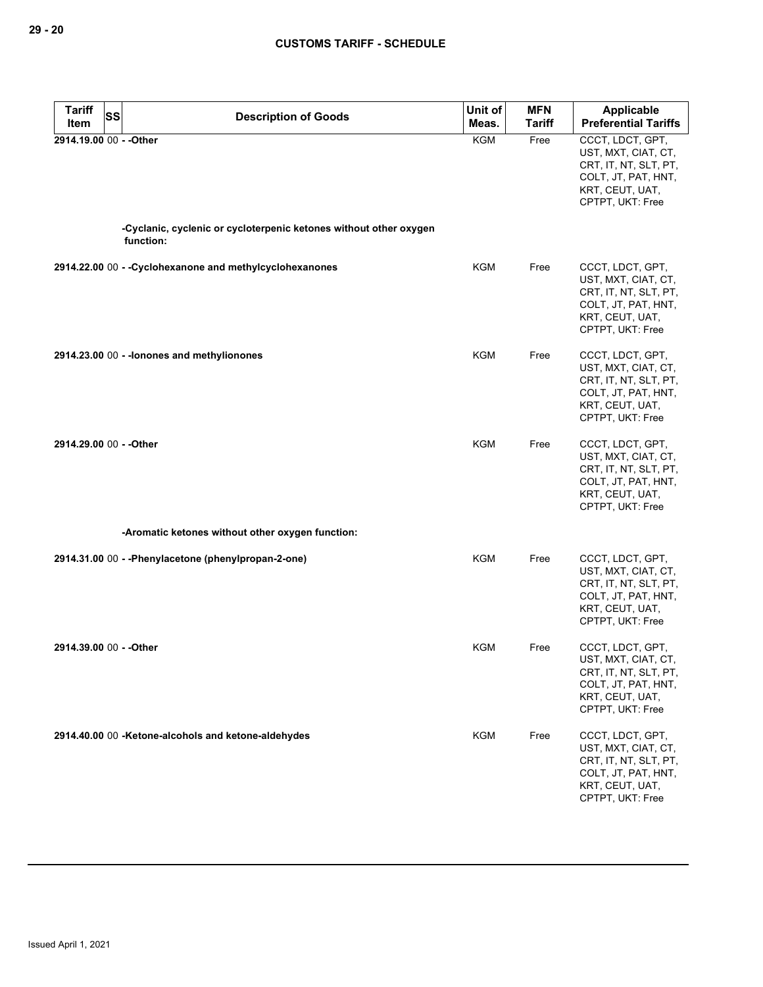| <b>Tariff</b><br><b>SS</b> | <b>Description of Goods</b>                                       | Unit of    | <b>MFN</b>    | Applicable                                                                                                                     |
|----------------------------|-------------------------------------------------------------------|------------|---------------|--------------------------------------------------------------------------------------------------------------------------------|
| Item                       |                                                                   | Meas.      | <b>Tariff</b> | <b>Preferential Tariffs</b>                                                                                                    |
| 2914.19.00 00 - - Other    | -Cyclanic, cyclenic or cycloterpenic ketones without other oxygen | <b>KGM</b> | Free          | CCCT, LDCT, GPT,<br>UST, MXT, CIAT, CT,<br>CRT, IT, NT, SLT, PT,<br>COLT, JT, PAT, HNT,<br>KRT, CEUT, UAT,<br>CPTPT, UKT: Free |
|                            | function:                                                         |            |               |                                                                                                                                |
|                            | 2914.22.00 00 - - Cyclohexanone and methylcyclohexanones          | KGM        | Free          | CCCT, LDCT, GPT,<br>UST, MXT, CIAT, CT,<br>CRT, IT, NT, SLT, PT,<br>COLT, JT, PAT, HNT,<br>KRT, CEUT, UAT,<br>CPTPT, UKT: Free |
|                            | 2914.23.00 00 - - lonones and methylionones                       | KGM        | Free          | CCCT, LDCT, GPT,<br>UST, MXT, CIAT, CT,<br>CRT, IT, NT, SLT, PT,<br>COLT, JT, PAT, HNT,<br>KRT, CEUT, UAT,<br>CPTPT, UKT: Free |
| 2914.29.00 00 - - Other    |                                                                   | <b>KGM</b> | Free          | CCCT, LDCT, GPT,<br>UST, MXT, CIAT, CT,<br>CRT, IT, NT, SLT, PT,<br>COLT, JT, PAT, HNT,<br>KRT, CEUT, UAT,<br>CPTPT, UKT: Free |
|                            | -Aromatic ketones without other oxygen function:                  |            |               |                                                                                                                                |
|                            | 2914.31.00 00 - - Phenylacetone (phenylpropan-2-one)              | KGM        | Free          | CCCT, LDCT, GPT,<br>UST, MXT, CIAT, CT,<br>CRT, IT, NT, SLT, PT,<br>COLT, JT, PAT, HNT,<br>KRT, CEUT, UAT,<br>CPTPT, UKT: Free |
| 2914.39.00 00 - - Other    |                                                                   | <b>KGM</b> | Free          | CCCT, LDCT, GPT,<br>UST, MXT, CIAT, CT,<br>CRT, IT, NT, SLT, PT,<br>COLT, JT, PAT, HNT,<br>KRT, CEUT, UAT,<br>CPTPT, UKT: Free |
|                            | 2914.40.00 00 -Ketone-alcohols and ketone-aldehydes               | <b>KGM</b> | Free          | CCCT, LDCT, GPT,<br>UST, MXT, CIAT, CT,<br>CRT, IT, NT, SLT, PT,<br>COLT, JT, PAT, HNT,<br>KRT, CEUT, UAT,<br>CPTPT, UKT: Free |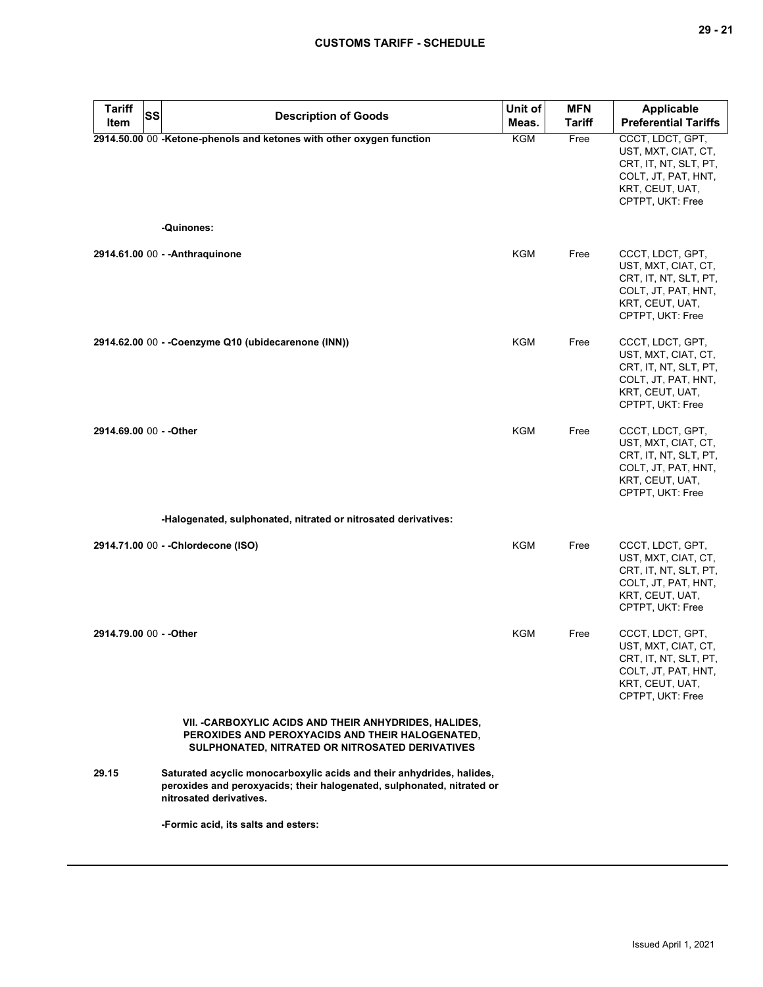| <b>Tariff</b><br><b>SS</b><br>Item | <b>Description of Goods</b>                                                                                                                                                | Unit of<br>Meas. | <b>MFN</b><br><b>Tariff</b> | <b>Applicable</b><br><b>Preferential Tariffs</b>                                                                                                   |
|------------------------------------|----------------------------------------------------------------------------------------------------------------------------------------------------------------------------|------------------|-----------------------------|----------------------------------------------------------------------------------------------------------------------------------------------------|
|                                    | 2914.50.00 00 -Ketone-phenols and ketones with other oxygen function<br>-Quinones:                                                                                         | <b>KGM</b>       | Free                        | CCCT, LDCT, GPT,<br>UST, MXT, CIAT, CT,<br>CRT, IT, NT, SLT, PT,<br>COLT, JT, PAT, HNT,<br>KRT, CEUT, UAT,<br>CPTPT, UKT: Free                     |
|                                    | 2914.61.00 00 - - Anthraguinone                                                                                                                                            | KGM              | Free                        | CCCT, LDCT, GPT,<br>UST, MXT, CIAT, CT,<br>CRT, IT, NT, SLT, PT,<br>COLT, JT, PAT, HNT,<br>KRT, CEUT, UAT,                                         |
|                                    | 2914.62.00 00 - - Coenzyme Q10 (ubidecarenone (INN))                                                                                                                       | KGM              | Free                        | CPTPT, UKT: Free<br>CCCT, LDCT, GPT,<br>UST, MXT, CIAT, CT,<br>CRT, IT, NT, SLT, PT,<br>COLT, JT, PAT, HNT,<br>KRT, CEUT, UAT,<br>CPTPT, UKT: Free |
| 2914.69.00 00 - - Other            |                                                                                                                                                                            | <b>KGM</b>       | Free                        | CCCT, LDCT, GPT,<br>UST, MXT, CIAT, CT,<br>CRT, IT, NT, SLT, PT,<br>COLT, JT, PAT, HNT,<br>KRT, CEUT, UAT,<br>CPTPT, UKT: Free                     |
|                                    | -Halogenated, sulphonated, nitrated or nitrosated derivatives:                                                                                                             |                  |                             |                                                                                                                                                    |
|                                    | 2914.71.00 00 - - Chlordecone (ISO)                                                                                                                                        | <b>KGM</b>       | Free                        | CCCT, LDCT, GPT,<br>UST, MXT, CIAT, CT,<br>CRT, IT, NT, SLT, PT,<br>COLT, JT, PAT, HNT,<br>KRT, CEUT, UAT,<br>CPTPT, UKT: Free                     |
| 2914.79.00 00 - - Other            |                                                                                                                                                                            | KGM              | Free                        | CCCT, LDCT, GPT,<br>UST, MXT, CIAT, CT,<br>CRT, IT, NT, SLT, PT,<br>COLT, JT, PAT, HNT,<br>KRT, CEUT, UAT,<br>CPTPT, UKT: Free                     |
|                                    | VII. - CARBOXYLIC ACIDS AND THEIR ANHYDRIDES, HALIDES,<br>PEROXIDES AND PEROXYACIDS AND THEIR HALOGENATED,<br>SULPHONATED, NITRATED OR NITROSATED DERIVATIVES              |                  |                             |                                                                                                                                                    |
| 29.15                              | Saturated acyclic monocarboxylic acids and their anhydrides, halides,<br>peroxides and peroxyacids; their halogenated, sulphonated, nitrated or<br>nitrosated derivatives. |                  |                             |                                                                                                                                                    |
|                                    | -Formic acid, its salts and esters:                                                                                                                                        |                  |                             |                                                                                                                                                    |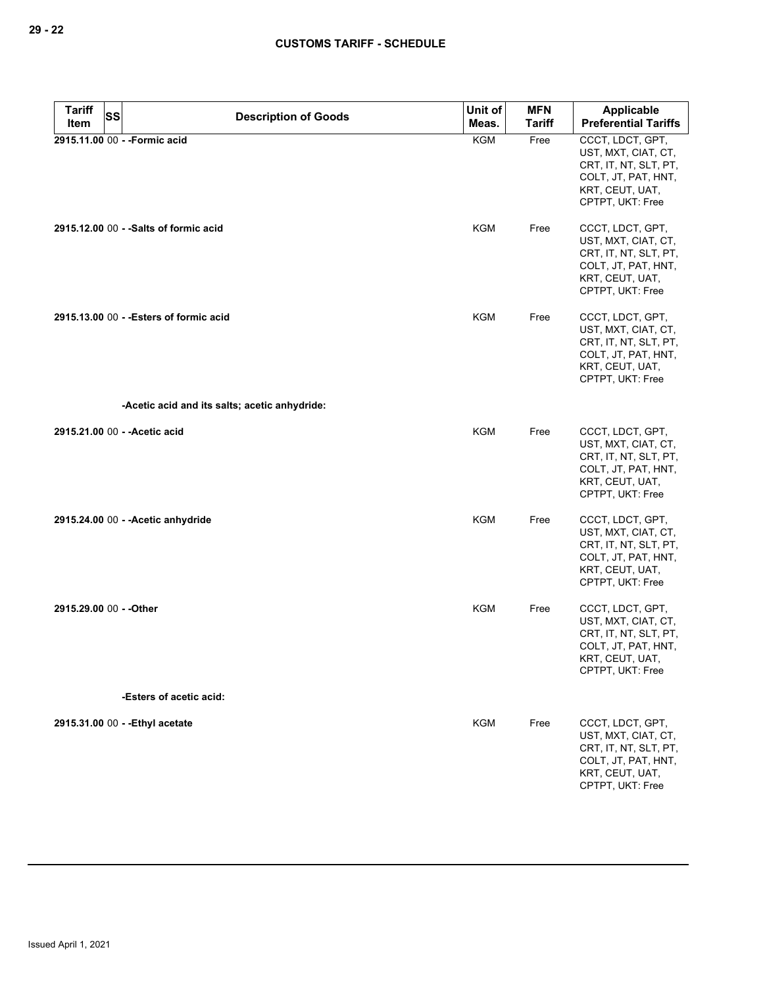| <b>Tariff</b><br><b>SS</b> | <b>Description of Goods</b>                   | Unit of    | <b>MFN</b>    | Applicable                                                                                                                     |
|----------------------------|-----------------------------------------------|------------|---------------|--------------------------------------------------------------------------------------------------------------------------------|
| Item                       |                                               | Meas.      | <b>Tariff</b> | <b>Preferential Tariffs</b>                                                                                                    |
|                            | 2915.11.00 00 - - Formic acid                 | <b>KGM</b> | Free          | CCCT, LDCT, GPT,<br>UST, MXT, CIAT, CT,<br>CRT, IT, NT, SLT, PT,<br>COLT, JT, PAT, HNT,<br>KRT, CEUT, UAT,<br>CPTPT, UKT: Free |
|                            | 2915.12.00 00 - - Salts of formic acid        | <b>KGM</b> | Free          | CCCT, LDCT, GPT,<br>UST, MXT, CIAT, CT,<br>CRT, IT, NT, SLT, PT,<br>COLT, JT, PAT, HNT,<br>KRT, CEUT, UAT,<br>CPTPT, UKT: Free |
|                            | 2915.13.00 00 - - Esters of formic acid       | <b>KGM</b> | Free          | CCCT, LDCT, GPT,<br>UST, MXT, CIAT, CT,<br>CRT, IT, NT, SLT, PT,<br>COLT, JT, PAT, HNT,<br>KRT, CEUT, UAT,<br>CPTPT, UKT: Free |
|                            | -Acetic acid and its salts; acetic anhydride: |            |               |                                                                                                                                |
|                            | 2915.21.00 00 - - Acetic acid                 | KGM        | Free          | CCCT, LDCT, GPT,<br>UST, MXT, CIAT, CT,<br>CRT, IT, NT, SLT, PT,<br>COLT, JT, PAT, HNT,<br>KRT, CEUT, UAT,<br>CPTPT, UKT: Free |
|                            | 2915.24.00 00 - - Acetic anhydride            | <b>KGM</b> | Free          | CCCT, LDCT, GPT,<br>UST, MXT, CIAT, CT,<br>CRT, IT, NT, SLT, PT,<br>COLT, JT, PAT, HNT,<br>KRT, CEUT, UAT,<br>CPTPT, UKT: Free |
| 2915.29.00 00 - - Other    |                                               | <b>KGM</b> | Free          | CCCT, LDCT, GPT,<br>UST, MXT, CIAT, CT,<br>CRT, IT, NT, SLT, PT,<br>COLT, JT, PAT, HNT,<br>KRT, CEUT, UAT,<br>CPTPT, UKT: Free |
|                            | -Esters of acetic acid:                       |            |               |                                                                                                                                |
|                            | 2915.31.00 00 - - Ethyl acetate               | <b>KGM</b> | Free          | CCCT, LDCT, GPT,<br>UST, MXT, CIAT, CT,<br>CRT, IT, NT, SLT, PT,<br>COLT, JT, PAT, HNT,<br>KRT, CEUT, UAT,<br>CPTPT, UKT: Free |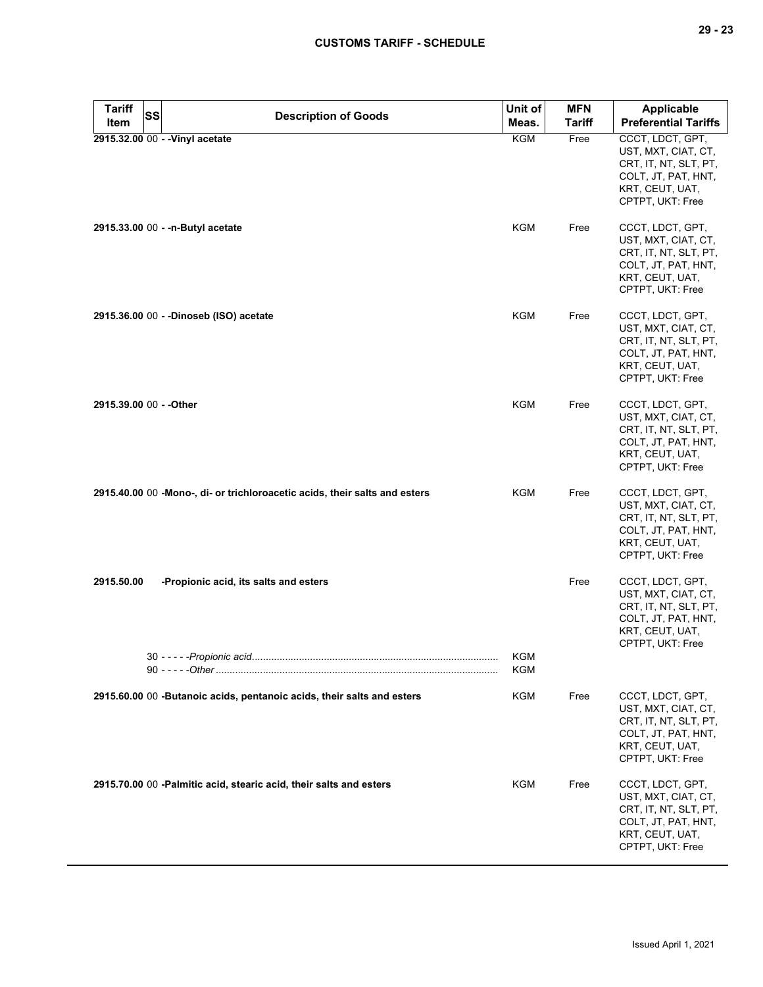| <b>Tariff</b>           | SS<br><b>Description of Goods</b>                                          | Unit of           | <b>MFN</b>    | Applicable                                                                                                                     |
|-------------------------|----------------------------------------------------------------------------|-------------------|---------------|--------------------------------------------------------------------------------------------------------------------------------|
| Item                    |                                                                            | Meas.             | <b>Tariff</b> | <b>Preferential Tariffs</b>                                                                                                    |
|                         | 2915.32.00 00 - - Vinyl acetate                                            | <b>KGM</b>        | Free          | CCCT, LDCT, GPT,<br>UST, MXT, CIAT, CT,<br>CRT, IT, NT, SLT, PT,<br>COLT, JT, PAT, HNT,<br>KRT, CEUT, UAT,<br>CPTPT, UKT: Free |
|                         | 2915.33.00 00 - - n-Butyl acetate                                          | <b>KGM</b>        | Free          | CCCT, LDCT, GPT,<br>UST, MXT, CIAT, CT,<br>CRT, IT, NT, SLT, PT,<br>COLT, JT, PAT, HNT,<br>KRT, CEUT, UAT,<br>CPTPT, UKT: Free |
|                         | 2915.36.00 00 - - Dinoseb (ISO) acetate                                    | <b>KGM</b>        | Free          | CCCT, LDCT, GPT,<br>UST, MXT, CIAT, CT,<br>CRT, IT, NT, SLT, PT,<br>COLT, JT, PAT, HNT,<br>KRT, CEUT, UAT,<br>CPTPT, UKT: Free |
| 2915.39.00 00 - - Other |                                                                            | <b>KGM</b>        | Free          | CCCT, LDCT, GPT,<br>UST, MXT, CIAT, CT,<br>CRT, IT, NT, SLT, PT,<br>COLT, JT, PAT, HNT,<br>KRT, CEUT, UAT,<br>CPTPT, UKT: Free |
|                         | 2915.40.00 00 -Mono-, di- or trichloroacetic acids, their salts and esters | <b>KGM</b>        | Free          | CCCT, LDCT, GPT,<br>UST, MXT, CIAT, CT,<br>CRT, IT, NT, SLT, PT,<br>COLT, JT, PAT, HNT,<br>KRT, CEUT, UAT,<br>CPTPT, UKT: Free |
| 2915.50.00              | -Propionic acid, its salts and esters                                      |                   | Free          | CCCT, LDCT, GPT,<br>UST, MXT, CIAT, CT,<br>CRT, IT, NT, SLT, PT,<br>COLT, JT, PAT, HNT,<br>KRT, CEUT, UAT,<br>CPTPT, UKT: Free |
|                         | 30 - - - - - Propionic acid.                                               | <b>KGM</b><br>KGM |               |                                                                                                                                |
|                         | 2915.60.00 00 -Butanoic acids, pentanoic acids, their salts and esters     | <b>KGM</b>        | Free          | CCCT, LDCT, GPT,<br>UST, MXT, CIAT, CT,<br>CRT, IT, NT, SLT, PT,<br>COLT, JT, PAT, HNT,<br>KRT, CEUT, UAT,<br>CPTPT, UKT: Free |
|                         | 2915.70.00 00 -Palmitic acid, stearic acid, their salts and esters         | <b>KGM</b>        | Free          | CCCT, LDCT, GPT,<br>UST, MXT, CIAT, CT,<br>CRT, IT, NT, SLT, PT,<br>COLT, JT, PAT, HNT,<br>KRT, CEUT, UAT,<br>CPTPT, UKT: Free |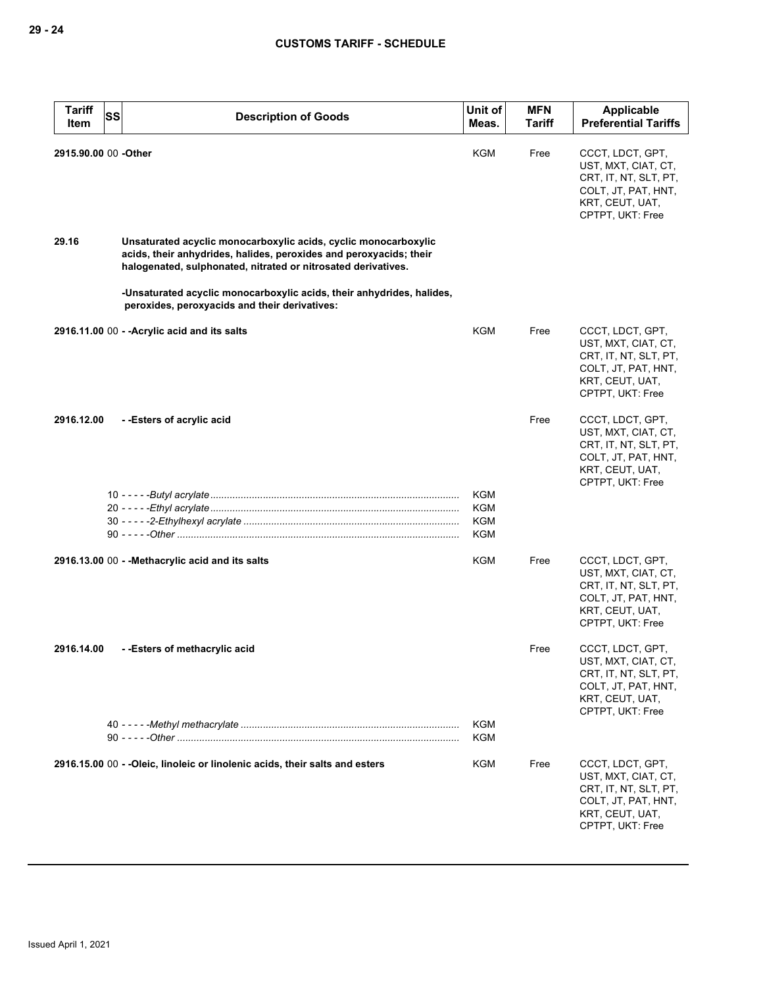| <b>Tariff</b><br><b>SS</b><br>Item | <b>Description of Goods</b>                                                                                                                                                                            | Unit of<br>Meas.                | <b>MFN</b><br><b>Tariff</b> | <b>Applicable</b><br><b>Preferential Tariffs</b>                                                                               |
|------------------------------------|--------------------------------------------------------------------------------------------------------------------------------------------------------------------------------------------------------|---------------------------------|-----------------------------|--------------------------------------------------------------------------------------------------------------------------------|
| 2915.90.00 00 -Other               |                                                                                                                                                                                                        | <b>KGM</b>                      | Free                        | CCCT, LDCT, GPT,<br>UST, MXT, CIAT, CT,<br>CRT, IT, NT, SLT, PT,<br>COLT, JT, PAT, HNT,<br>KRT, CEUT, UAT,<br>CPTPT, UKT: Free |
| 29.16                              | Unsaturated acyclic monocarboxylic acids, cyclic monocarboxylic<br>acids, their anhydrides, halides, peroxides and peroxyacids; their<br>halogenated, sulphonated, nitrated or nitrosated derivatives. |                                 |                             |                                                                                                                                |
|                                    | -Unsaturated acyclic monocarboxylic acids, their anhydrides, halides,<br>peroxides, peroxyacids and their derivatives:                                                                                 |                                 |                             |                                                                                                                                |
|                                    | 2916.11.00 00 - - Acrylic acid and its salts                                                                                                                                                           | <b>KGM</b>                      | Free                        | CCCT, LDCT, GPT,<br>UST, MXT, CIAT, CT,<br>CRT, IT, NT, SLT, PT,<br>COLT, JT, PAT, HNT,<br>KRT, CEUT, UAT,<br>CPTPT, UKT: Free |
| 2916.12.00                         | --Esters of acrylic acid                                                                                                                                                                               |                                 | Free                        | CCCT, LDCT, GPT,<br>UST, MXT, CIAT, CT,<br>CRT, IT, NT, SLT, PT,<br>COLT, JT, PAT, HNT,<br>KRT, CEUT, UAT,<br>CPTPT, UKT: Free |
|                                    |                                                                                                                                                                                                        | KGM<br>KGM<br><b>KGM</b><br>KGM |                             |                                                                                                                                |
|                                    | 2916.13.00 00 - - Methacrylic acid and its salts                                                                                                                                                       | KGM                             | Free                        | CCCT, LDCT, GPT,<br>UST, MXT, CIAT, CT,<br>CRT, IT, NT, SLT, PT,<br>COLT, JT, PAT, HNT,<br>KRT, CEUT, UAT,<br>CPTPT, UKT: Free |
| 2916.14.00                         | --Esters of methacrylic acid                                                                                                                                                                           |                                 | Free                        | CCCT, LDCT, GPT,<br>UST, MXT, CIAT, CT,<br>CRT, IT, NT, SLT, PT,<br>COLT, JT, PAT, HNT,<br>KRT, CEUT, UAT,<br>CPTPT, UKT: Free |
|                                    |                                                                                                                                                                                                        | KGM<br>KGM                      |                             |                                                                                                                                |
|                                    | 2916.15.00 00 - - Oleic, linoleic or linolenic acids, their salts and esters                                                                                                                           | KGM                             | Free                        | CCCT, LDCT, GPT,<br>UST, MXT, CIAT, CT,<br>CRT, IT, NT, SLT, PT,<br>COLT, JT, PAT, HNT,<br>KRT, CEUT, UAT,<br>CPTPT, UKT: Free |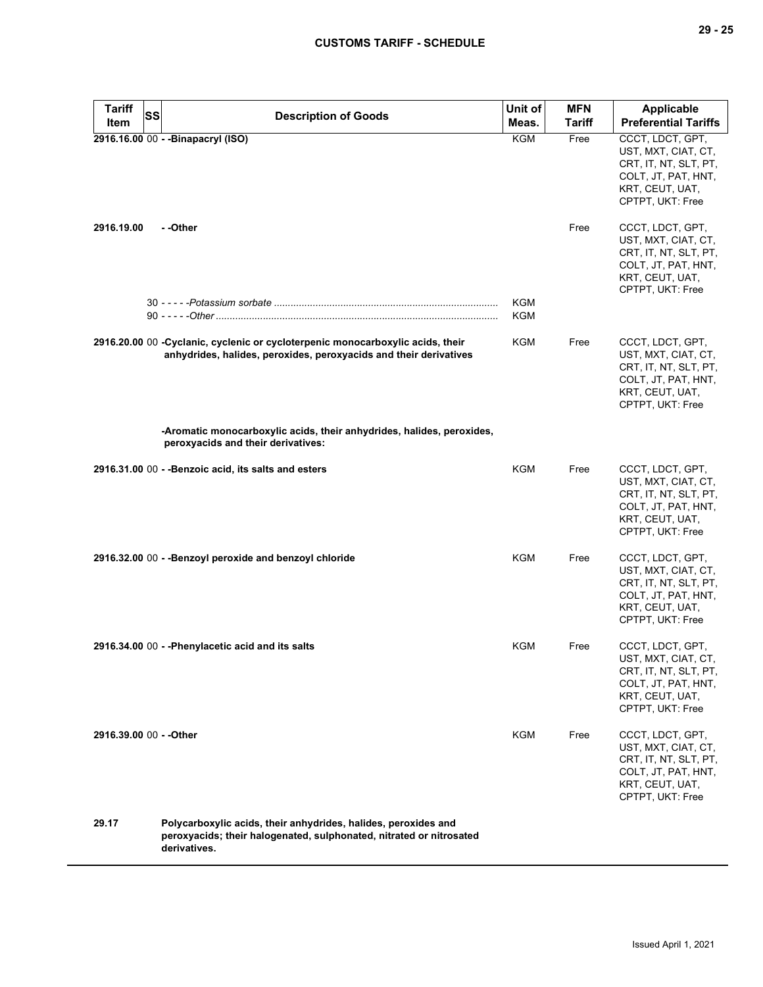| Tariff<br>SS<br>Item    | <b>Description of Goods</b>                                                                                                                           | Unit of<br>Meas. | <b>MFN</b><br><b>Tariff</b> | Applicable<br><b>Preferential Tariffs</b>                                                                                      |
|-------------------------|-------------------------------------------------------------------------------------------------------------------------------------------------------|------------------|-----------------------------|--------------------------------------------------------------------------------------------------------------------------------|
|                         | 2916.16.00 00 - - Binapacryl (ISO)                                                                                                                    | <b>KGM</b>       | Free                        | CCCT, LDCT, GPT,<br>UST, MXT, CIAT, CT,<br>CRT, IT, NT, SLT, PT,<br>COLT, JT, PAT, HNT,<br>KRT, CEUT, UAT,<br>CPTPT, UKT: Free |
| 2916.19.00              | - -Other                                                                                                                                              |                  | Free                        | CCCT, LDCT, GPT,<br>UST, MXT, CIAT, CT,<br>CRT, IT, NT, SLT, PT,<br>COLT, JT, PAT, HNT,<br>KRT, CEUT, UAT,<br>CPTPT, UKT: Free |
|                         |                                                                                                                                                       | KGM<br>KGM       |                             |                                                                                                                                |
|                         | 2916.20.00 00 - Cyclanic, cyclenic or cycloterpenic monocarboxylic acids, their<br>anhydrides, halides, peroxides, peroxyacids and their derivatives  | KGM              | Free                        | CCCT, LDCT, GPT,<br>UST, MXT, CIAT, CT,<br>CRT, IT, NT, SLT, PT,<br>COLT, JT, PAT, HNT,<br>KRT, CEUT, UAT,<br>CPTPT, UKT: Free |
|                         | -Aromatic monocarboxylic acids, their anhydrides, halides, peroxides,<br>peroxyacids and their derivatives:                                           |                  |                             |                                                                                                                                |
|                         | 2916.31.00 00 - - Benzoic acid, its salts and esters                                                                                                  | KGM              | Free                        | CCCT, LDCT, GPT,<br>UST, MXT, CIAT, CT,<br>CRT, IT, NT, SLT, PT,<br>COLT, JT, PAT, HNT,<br>KRT, CEUT, UAT,<br>CPTPT, UKT: Free |
|                         | 2916.32.00 00 - - Benzoyl peroxide and benzoyl chloride                                                                                               | <b>KGM</b>       | Free                        | CCCT, LDCT, GPT,<br>UST, MXT, CIAT, CT,<br>CRT, IT, NT, SLT, PT,<br>COLT, JT, PAT, HNT,<br>KRT, CEUT, UAT,<br>CPTPT, UKT: Free |
|                         | 2916.34.00 00 - - Phenylacetic acid and its salts                                                                                                     | KGM              | Free                        | CCCT, LDCT, GPT,<br>UST, MXT, CIAT, CT,<br>CRT, IT, NT, SLT, PT,<br>COLT, JT, PAT, HNT,<br>KRT, CEUT, UAT,<br>CPTPT, UKT: Free |
| 2916.39.00 00 - - Other |                                                                                                                                                       | KGM              | Free                        | CCCT, LDCT, GPT,<br>UST, MXT, CIAT, CT,<br>CRT, IT, NT, SLT, PT,<br>COLT, JT, PAT, HNT,<br>KRT, CEUT, UAT,<br>CPTPT, UKT: Free |
| 29.17                   | Polycarboxylic acids, their anhydrides, halides, peroxides and<br>peroxyacids; their halogenated, sulphonated, nitrated or nitrosated<br>derivatives. |                  |                             |                                                                                                                                |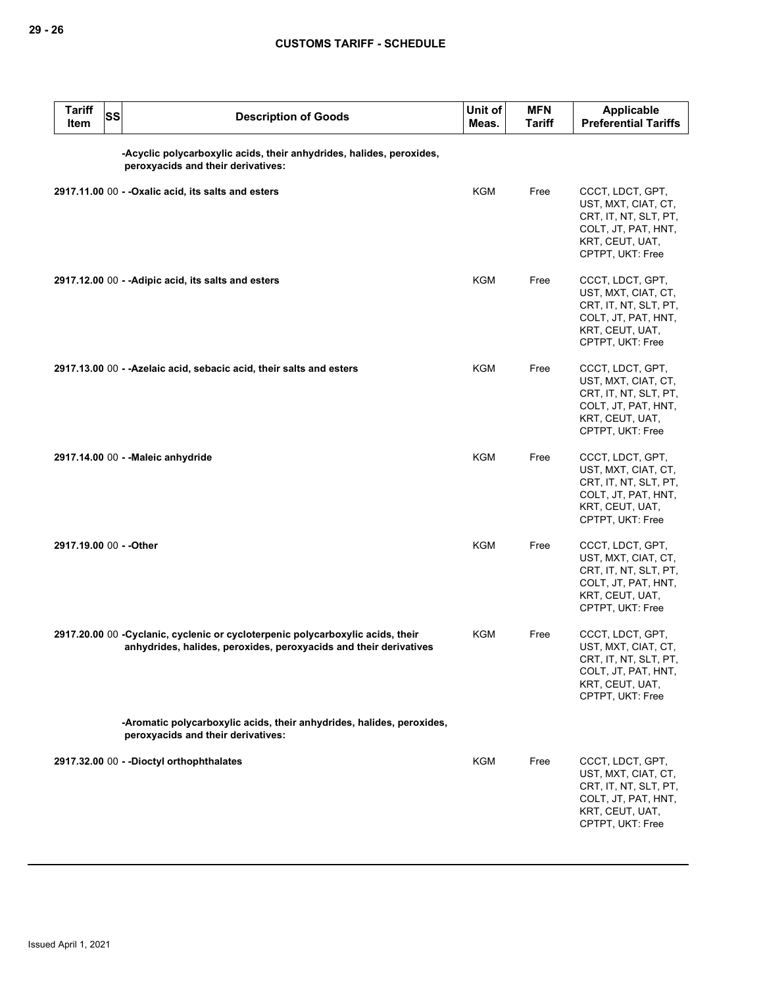| <b>Tariff</b><br>Item   | <b>SS</b> | <b>Description of Goods</b>                                                                                                                          | Unit of<br>Meas. | <b>MFN</b><br><b>Tariff</b> | <b>Applicable</b><br><b>Preferential Tariffs</b>                                                                               |
|-------------------------|-----------|------------------------------------------------------------------------------------------------------------------------------------------------------|------------------|-----------------------------|--------------------------------------------------------------------------------------------------------------------------------|
|                         |           | -Acyclic polycarboxylic acids, their anhydrides, halides, peroxides,<br>peroxyacids and their derivatives:                                           |                  |                             |                                                                                                                                |
|                         |           | 2917.11.00 00 - - Oxalic acid, its salts and esters                                                                                                  | KGM              | Free                        | CCCT, LDCT, GPT,<br>UST, MXT, CIAT, CT,<br>CRT, IT, NT, SLT, PT,<br>COLT, JT, PAT, HNT,<br>KRT, CEUT, UAT,<br>CPTPT, UKT: Free |
|                         |           | 2917.12.00 00 - - Adipic acid, its salts and esters                                                                                                  | KGM              | Free                        | CCCT, LDCT, GPT,<br>UST, MXT, CIAT, CT,<br>CRT, IT, NT, SLT, PT,<br>COLT, JT, PAT, HNT,<br>KRT, CEUT, UAT,<br>CPTPT, UKT: Free |
|                         |           | 2917.13.00 00 - - Azelaic acid, sebacic acid, their salts and esters                                                                                 | <b>KGM</b>       | Free                        | CCCT, LDCT, GPT,<br>UST, MXT, CIAT, CT,<br>CRT, IT, NT, SLT, PT,<br>COLT, JT, PAT, HNT,<br>KRT, CEUT, UAT,<br>CPTPT, UKT: Free |
|                         |           | 2917.14.00 00 - - Maleic anhydride                                                                                                                   | <b>KGM</b>       | Free                        | CCCT, LDCT, GPT,<br>UST, MXT, CIAT, CT,<br>CRT, IT, NT, SLT, PT,<br>COLT, JT, PAT, HNT,<br>KRT, CEUT, UAT,<br>CPTPT, UKT: Free |
| 2917.19.00 00 - - Other |           |                                                                                                                                                      | KGM              | Free                        | CCCT, LDCT, GPT,<br>UST, MXT, CIAT, CT,<br>CRT, IT, NT, SLT, PT,<br>COLT, JT, PAT, HNT,<br>KRT, CEUT, UAT,<br>CPTPT, UKT: Free |
|                         |           | 2917.20.00 00 - Cyclanic, cyclenic or cycloterpenic polycarboxylic acids, their<br>anhydrides, halides, peroxides, peroxyacids and their derivatives | KGM              | Free                        | CCCT, LDCT, GPT,<br>UST, MXT, CIAT, CT,<br>CRT, IT, NT, SLT, PT,<br>COLT, JT, PAT, HNT,<br>KRT, CEUT, UAT,<br>CPTPT, UKT: Free |
|                         |           | -Aromatic polycarboxylic acids, their anhydrides, halides, peroxides,<br>peroxyacids and their derivatives:                                          |                  |                             |                                                                                                                                |
|                         |           | 2917.32.00 00 - - Dioctyl orthophthalates                                                                                                            | <b>KGM</b>       | Free                        | CCCT, LDCT, GPT,<br>UST, MXT, CIAT, CT,<br>CRT, IT, NT, SLT, PT,<br>COLT, JT, PAT, HNT,<br>KRT, CEUT, UAT,<br>CPTPT, UKT: Free |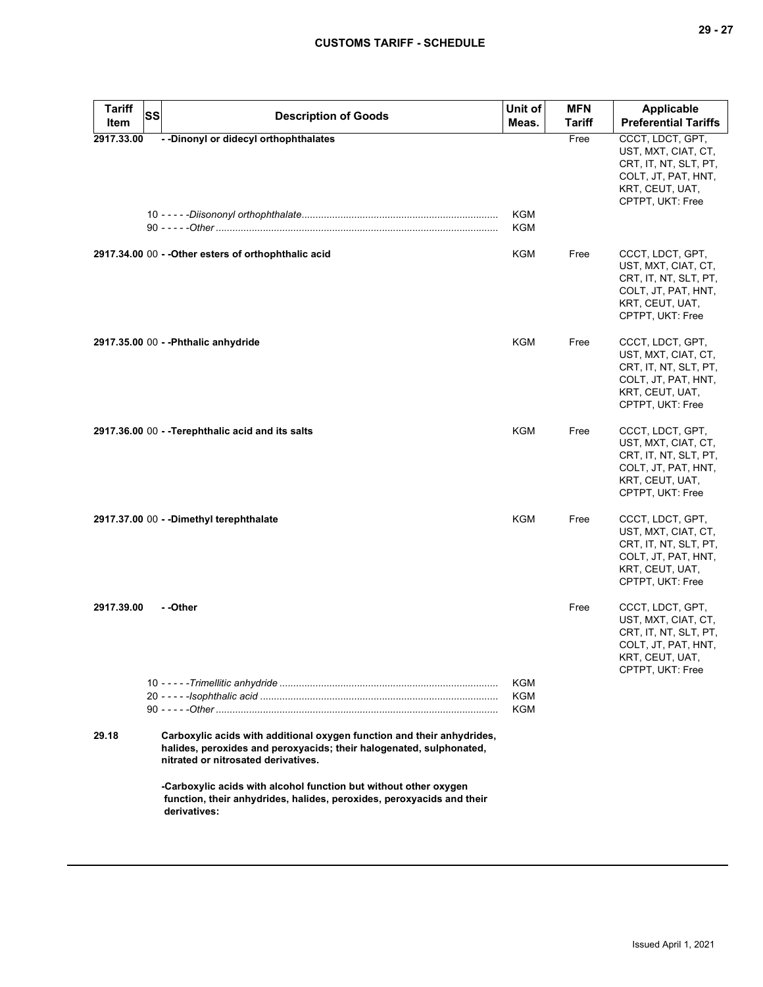| <b>Tariff</b><br>Item | <b>SS</b> | <b>Description of Goods</b>                                                                                                                                                          | Unit of<br>Meas.                | <b>MFN</b><br><b>Tariff</b> | <b>Applicable</b><br><b>Preferential Tariffs</b>                                                                               |
|-----------------------|-----------|--------------------------------------------------------------------------------------------------------------------------------------------------------------------------------------|---------------------------------|-----------------------------|--------------------------------------------------------------------------------------------------------------------------------|
| 2917.33.00            |           | - - Dinonyl or didecyl orthophthalates                                                                                                                                               |                                 | Free                        | CCCT, LDCT, GPT,<br>UST, MXT, CIAT, CT,<br>CRT, IT, NT, SLT, PT,<br>COLT, JT, PAT, HNT,<br>KRT, CEUT, UAT,<br>CPTPT, UKT: Free |
|                       |           |                                                                                                                                                                                      | KGM<br>KGM                      |                             |                                                                                                                                |
|                       |           | 2917.34.00 00 - - Other esters of orthophthalic acid                                                                                                                                 | KGM                             | Free                        | CCCT, LDCT, GPT,<br>UST, MXT, CIAT, CT,<br>CRT, IT, NT, SLT, PT,<br>COLT, JT, PAT, HNT,<br>KRT, CEUT, UAT,<br>CPTPT, UKT: Free |
|                       |           | 2917.35.00 00 - - Phthalic anhydride                                                                                                                                                 | KGM                             | Free                        | CCCT, LDCT, GPT,<br>UST, MXT, CIAT, CT,<br>CRT, IT, NT, SLT, PT,<br>COLT, JT, PAT, HNT,<br>KRT, CEUT, UAT,<br>CPTPT, UKT: Free |
|                       |           | 2917.36.00 00 - - Terephthalic acid and its salts                                                                                                                                    | KGM                             | Free                        | CCCT, LDCT, GPT,<br>UST, MXT, CIAT, CT,<br>CRT, IT, NT, SLT, PT,<br>COLT, JT, PAT, HNT,<br>KRT, CEUT, UAT,<br>CPTPT, UKT: Free |
|                       |           | 2917.37.00 00 - - Dimethyl terephthalate                                                                                                                                             | <b>KGM</b>                      | Free                        | CCCT, LDCT, GPT,<br>UST, MXT, CIAT, CT,<br>CRT, IT, NT, SLT, PT,<br>COLT, JT, PAT, HNT,<br>KRT, CEUT, UAT,<br>CPTPT, UKT: Free |
| 2917.39.00            |           | - -Other                                                                                                                                                                             |                                 | Free                        | CCCT, LDCT, GPT,<br>UST, MXT, CIAT, CT,<br>CRT, IT, NT, SLT, PT,<br>COLT, JT, PAT, HNT,<br>KRT, CEUT, UAT,<br>CPTPT, UKT: Free |
|                       |           |                                                                                                                                                                                      | <b>KGM</b><br>KGM<br><b>KGM</b> |                             |                                                                                                                                |
| 29.18                 |           | Carboxylic acids with additional oxygen function and their anhydrides,<br>halides, peroxides and peroxyacids; their halogenated, sulphonated,<br>nitrated or nitrosated derivatives. |                                 |                             |                                                                                                                                |
|                       |           | -Carboxylic acids with alcohol function but without other oxygen<br>function, their anhydrides, halides, peroxides, peroxyacids and their<br>derivatives:                            |                                 |                             |                                                                                                                                |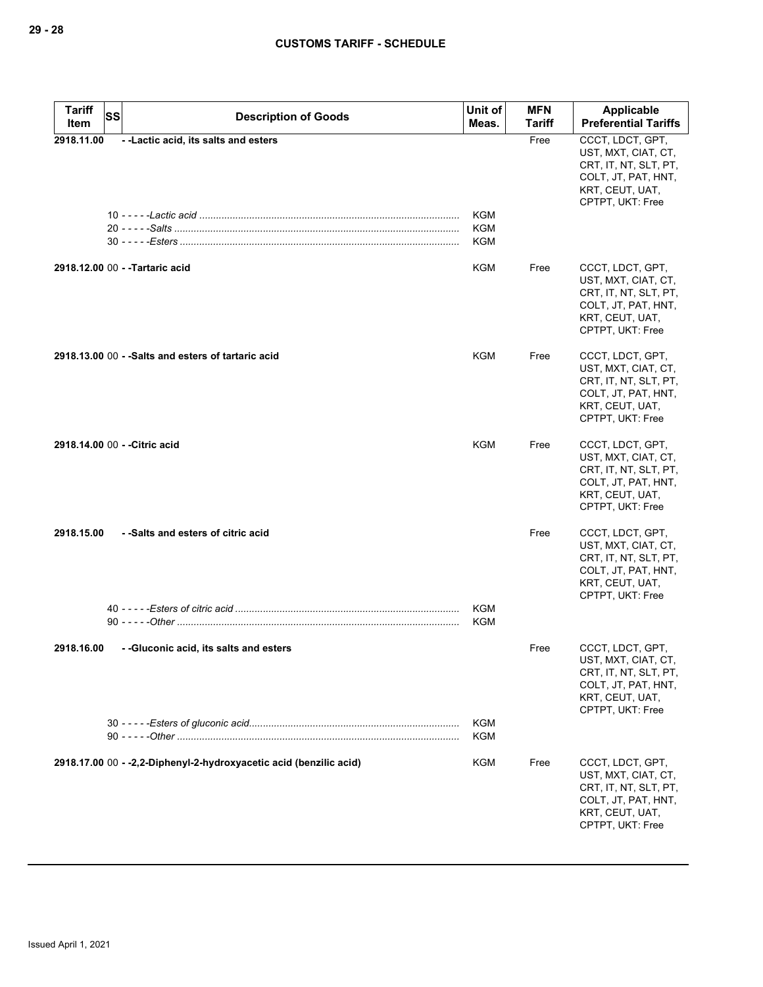| <b>Tariff</b><br>SS           | <b>Description of Goods</b>                                        | Unit of                  | <b>MFN</b> | Applicable                                                                                                                     |
|-------------------------------|--------------------------------------------------------------------|--------------------------|------------|--------------------------------------------------------------------------------------------------------------------------------|
| Item                          |                                                                    | Meas.                    | Tariff     | <b>Preferential Tariffs</b>                                                                                                    |
| 2918.11.00                    | - - Lactic acid, its salts and esters                              | KGM<br>KGM<br><b>KGM</b> | Free       | CCCT, LDCT, GPT,<br>UST, MXT, CIAT, CT,<br>CRT, IT, NT, SLT, PT,<br>COLT, JT, PAT, HNT,<br>KRT, CEUT, UAT,<br>CPTPT, UKT: Free |
|                               | 2918.12.00 00 - - Tartaric acid                                    | KGM                      | Free       | CCCT, LDCT, GPT,<br>UST, MXT, CIAT, CT,<br>CRT, IT, NT, SLT, PT,<br>COLT, JT, PAT, HNT,<br>KRT, CEUT, UAT,<br>CPTPT, UKT: Free |
|                               | 2918.13.00 00 - - Salts and esters of tartaric acid                | KGM                      | Free       | CCCT, LDCT, GPT,<br>UST, MXT, CIAT, CT,<br>CRT, IT, NT, SLT, PT,<br>COLT, JT, PAT, HNT,<br>KRT, CEUT, UAT,<br>CPTPT, UKT: Free |
| 2918.14.00 00 - - Citric acid |                                                                    | KGM                      | Free       | CCCT, LDCT, GPT,<br>UST, MXT, CIAT, CT,<br>CRT, IT, NT, SLT, PT,<br>COLT, JT, PAT, HNT,<br>KRT, CEUT, UAT,<br>CPTPT, UKT: Free |
| 2918.15.00                    | - -Salts and esters of citric acid                                 |                          | Free       | CCCT, LDCT, GPT,<br>UST, MXT, CIAT, CT,<br>CRT, IT, NT, SLT, PT,<br>COLT, JT, PAT, HNT,<br>KRT, CEUT, UAT,<br>CPTPT, UKT: Free |
|                               |                                                                    | <b>KGM</b><br><b>KGM</b> |            |                                                                                                                                |
| 2918.16.00                    | --Gluconic acid, its salts and esters                              |                          | Free       | CCCT, LDCT, GPT,<br>UST, MXT, CIAT, CT,<br>CRT, IT, NT, SLT, PT,<br>COLT, JT, PAT, HNT,<br>KRT, CEUT, UAT,<br>CPTPT, UKT: Free |
|                               |                                                                    | KGM<br><b>KGM</b>        |            |                                                                                                                                |
|                               | 2918.17.00 00 - -2,2-Diphenyl-2-hydroxyacetic acid (benzilic acid) | KGM                      | Free       | CCCT, LDCT, GPT,<br>UST, MXT, CIAT, CT,<br>CRT, IT, NT, SLT, PT,<br>COLT, JT, PAT, HNT,<br>KRT, CEUT, UAT,<br>CPTPT, UKT: Free |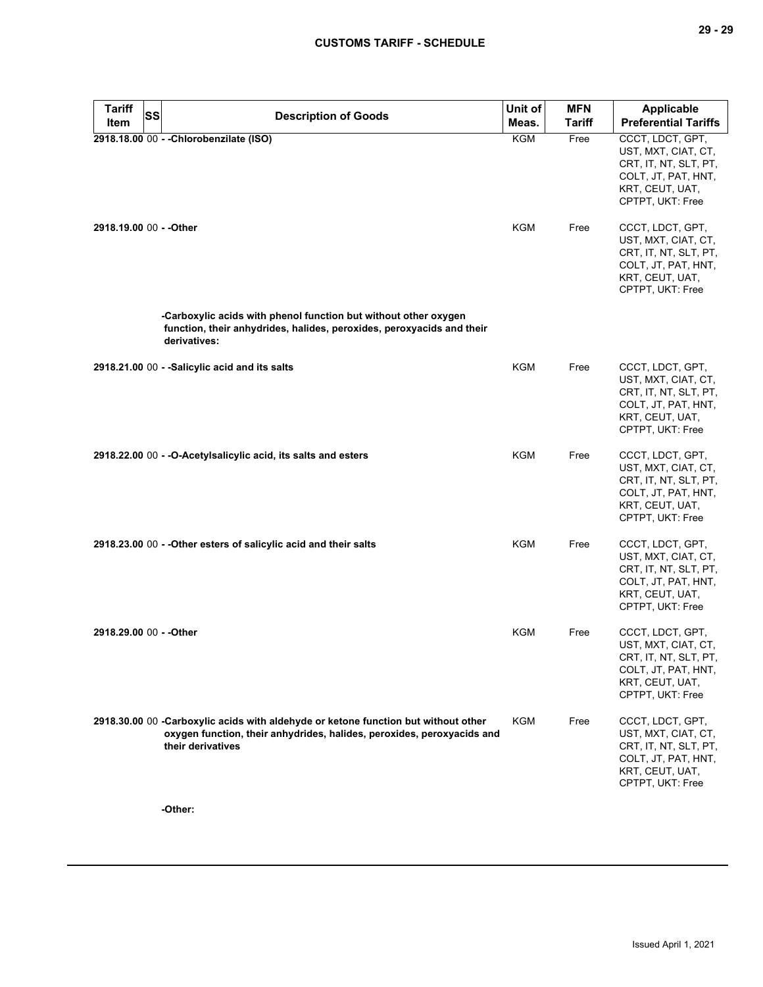| <b>Tariff</b><br>SS     | <b>Description of Goods</b>                                                                                                                                                       | Unit of    | <b>MFN</b>    | <b>Applicable</b>                                                                                                              |
|-------------------------|-----------------------------------------------------------------------------------------------------------------------------------------------------------------------------------|------------|---------------|--------------------------------------------------------------------------------------------------------------------------------|
| Item                    |                                                                                                                                                                                   | Meas.      | <b>Tariff</b> | <b>Preferential Tariffs</b>                                                                                                    |
|                         | 2918.18.00 00 - - Chlorobenzilate (ISO)                                                                                                                                           | <b>KGM</b> | Free          | CCCT, LDCT, GPT,<br>UST, MXT, CIAT, CT,<br>CRT, IT, NT, SLT, PT,<br>COLT, JT, PAT, HNT,<br>KRT, CEUT, UAT,<br>CPTPT, UKT: Free |
| 2918.19.00 00 - - Other |                                                                                                                                                                                   | KGM        | Free          | CCCT, LDCT, GPT,<br>UST, MXT, CIAT, CT,<br>CRT, IT, NT, SLT, PT,<br>COLT, JT, PAT, HNT,<br>KRT, CEUT, UAT,<br>CPTPT, UKT: Free |
|                         | -Carboxylic acids with phenol function but without other oxygen<br>function, their anhydrides, halides, peroxides, peroxyacids and their<br>derivatives:                          |            |               |                                                                                                                                |
|                         | 2918.21.00 00 - -Salicylic acid and its salts                                                                                                                                     | KGM        | Free          | CCCT, LDCT, GPT,<br>UST, MXT, CIAT, CT,<br>CRT, IT, NT, SLT, PT,<br>COLT, JT, PAT, HNT,<br>KRT, CEUT, UAT,<br>CPTPT, UKT: Free |
|                         | 2918.22.00 00 - - O-Acetylsalicylic acid, its salts and esters                                                                                                                    | KGM        | Free          | CCCT, LDCT, GPT,<br>UST, MXT, CIAT, CT,<br>CRT, IT, NT, SLT, PT,<br>COLT, JT, PAT, HNT,<br>KRT, CEUT, UAT,<br>CPTPT, UKT: Free |
|                         | 2918.23.00 00 - - Other esters of salicylic acid and their salts                                                                                                                  | KGM        | Free          | CCCT, LDCT, GPT,<br>UST, MXT, CIAT, CT,<br>CRT, IT, NT, SLT, PT,<br>COLT, JT, PAT, HNT,<br>KRT, CEUT, UAT,<br>CPTPT, UKT: Free |
| 2918.29.00 00 - - Other |                                                                                                                                                                                   | KGM        | Free          | CCCT, LDCT, GPT,<br>UST, MXT, CIAT, CT,<br>CRT, IT, NT, SLT, PT,<br>COLT, JT, PAT, HNT,<br>KRT, CEUT, UAT,<br>CPTPT, UKT: Free |
|                         | 2918.30.00 00 -Carboxylic acids with aldehyde or ketone function but without other<br>oxygen function, their anhydrides, halides, peroxides, peroxyacids and<br>their derivatives | KGM        | Free          | CCCT, LDCT, GPT,<br>UST, MXT, CIAT, CT,<br>CRT, IT, NT, SLT, PT,<br>COLT, JT, PAT, HNT,<br>KRT, CEUT, UAT,<br>CPTPT, UKT: Free |

**-Other:**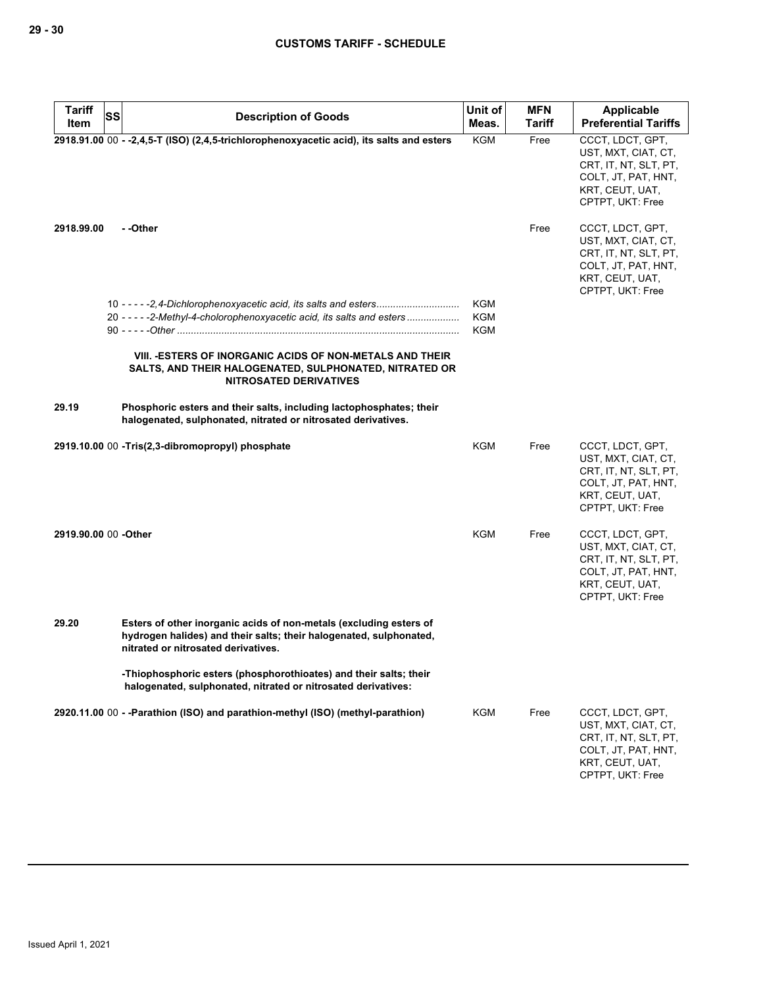| <b>Tariff</b>        | <b>SS</b><br><b>Description of Goods</b>                                                                                                                                        | Unit of                                | <b>MFN</b>    | <b>Applicable</b>                                                                                                              |
|----------------------|---------------------------------------------------------------------------------------------------------------------------------------------------------------------------------|----------------------------------------|---------------|--------------------------------------------------------------------------------------------------------------------------------|
| Item                 |                                                                                                                                                                                 | Meas.                                  | <b>Tariff</b> | <b>Preferential Tariffs</b>                                                                                                    |
|                      | 2918.91.00 00 - -2,4,5-T (ISO) (2,4,5-trichlorophenoxyacetic acid), its salts and esters                                                                                        | <b>KGM</b>                             | Free          | CCCT, LDCT, GPT,<br>UST, MXT, CIAT, CT,<br>CRT, IT, NT, SLT, PT,<br>COLT, JT, PAT, HNT,<br>KRT, CEUT, UAT,<br>CPTPT, UKT: Free |
| 2918.99.00           | - -Other                                                                                                                                                                        |                                        | Free          | CCCT, LDCT, GPT,<br>UST, MXT, CIAT, CT,<br>CRT, IT, NT, SLT, PT,<br>COLT, JT, PAT, HNT,<br>KRT, CEUT, UAT,<br>CPTPT, UKT: Free |
|                      | 20 - - - - - 2-Methyl-4-cholorophenoxyacetic acid, its salts and esters                                                                                                         | <b>KGM</b><br><b>KGM</b><br><b>KGM</b> |               |                                                                                                                                |
|                      | VIII. - ESTERS OF INORGANIC ACIDS OF NON-METALS AND THEIR<br>SALTS, AND THEIR HALOGENATED, SULPHONATED, NITRATED OR<br><b>NITROSATED DERIVATIVES</b>                            |                                        |               |                                                                                                                                |
| 29.19                | Phosphoric esters and their salts, including lactophosphates; their<br>halogenated, sulphonated, nitrated or nitrosated derivatives.                                            |                                        |               |                                                                                                                                |
|                      | 2919.10.00 00 -Tris(2,3-dibromopropyl) phosphate                                                                                                                                | <b>KGM</b>                             | Free          | CCCT, LDCT, GPT,<br>UST, MXT, CIAT, CT,<br>CRT, IT, NT, SLT, PT,<br>COLT, JT, PAT, HNT,<br>KRT, CEUT, UAT,<br>CPTPT, UKT: Free |
| 2919.90.00 00 -Other |                                                                                                                                                                                 | <b>KGM</b>                             | Free          | CCCT, LDCT, GPT,<br>UST, MXT, CIAT, CT,<br>CRT, IT, NT, SLT, PT,<br>COLT, JT, PAT, HNT,<br>KRT, CEUT, UAT,<br>CPTPT, UKT: Free |
| 29.20                | Esters of other inorganic acids of non-metals (excluding esters of<br>hydrogen halides) and their salts; their halogenated, sulphonated,<br>nitrated or nitrosated derivatives. |                                        |               |                                                                                                                                |
|                      | -Thiophosphoric esters (phosphorothioates) and their salts; their<br>halogenated, sulphonated, nitrated or nitrosated derivatives:                                              |                                        |               |                                                                                                                                |
|                      | 2920.11.00 00 - - Parathion (ISO) and parathion-methyl (ISO) (methyl-parathion)                                                                                                 | <b>KGM</b>                             | Free          | CCCT, LDCT, GPT,<br>UST, MXT, CIAT, CT,<br>CRT, IT, NT, SLT, PT,<br>COLT, JT, PAT, HNT,<br>KRT, CEUT, UAT,<br>CPTPT, UKT: Free |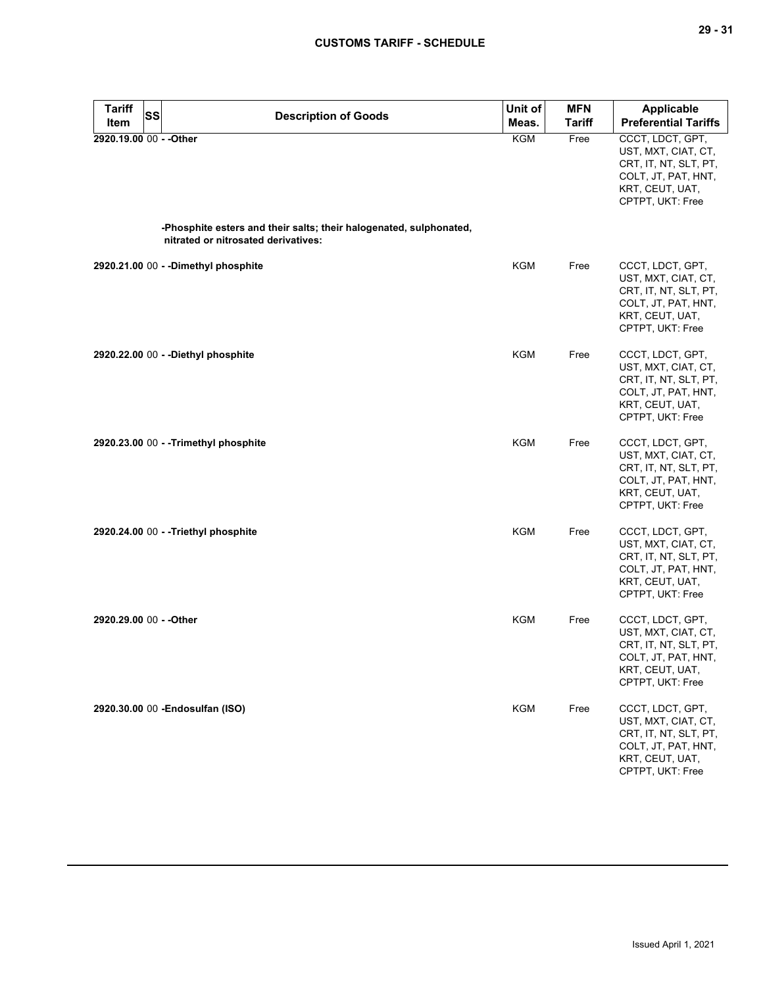| <b>Tariff</b><br><b>SS</b><br>Item | <b>Description of Goods</b>                                                                               | Unit of<br>Meas. | <b>MFN</b><br><b>Tariff</b> | Applicable<br><b>Preferential Tariffs</b>                                                                                      |
|------------------------------------|-----------------------------------------------------------------------------------------------------------|------------------|-----------------------------|--------------------------------------------------------------------------------------------------------------------------------|
| 2920.19.00 00 - - Other            |                                                                                                           | KGM              | Free                        | CCCT, LDCT, GPT,<br>UST, MXT, CIAT, CT,<br>CRT, IT, NT, SLT, PT,<br>COLT, JT, PAT, HNT,<br>KRT, CEUT, UAT,<br>CPTPT, UKT: Free |
|                                    | -Phosphite esters and their salts; their halogenated, sulphonated,<br>nitrated or nitrosated derivatives: |                  |                             |                                                                                                                                |
|                                    | 2920.21.00 00 - - Dimethyl phosphite                                                                      | KGM              | Free                        | CCCT, LDCT, GPT,<br>UST, MXT, CIAT, CT,<br>CRT, IT, NT, SLT, PT,<br>COLT, JT, PAT, HNT,<br>KRT, CEUT, UAT,<br>CPTPT, UKT: Free |
|                                    | 2920.22.00 00 - - Diethyl phosphite                                                                       | KGM              | Free                        | CCCT, LDCT, GPT,<br>UST, MXT, CIAT, CT,<br>CRT, IT, NT, SLT, PT,<br>COLT, JT, PAT, HNT,<br>KRT, CEUT, UAT,<br>CPTPT, UKT: Free |
|                                    | 2920.23.00 00 - - Trimethyl phosphite                                                                     | <b>KGM</b>       | Free                        | CCCT, LDCT, GPT,<br>UST, MXT, CIAT, CT,<br>CRT, IT, NT, SLT, PT,<br>COLT, JT, PAT, HNT,<br>KRT, CEUT, UAT,<br>CPTPT, UKT: Free |
|                                    | 2920.24.00 00 - - Triethyl phosphite                                                                      | <b>KGM</b>       | Free                        | CCCT, LDCT, GPT,<br>UST, MXT, CIAT, CT,<br>CRT, IT, NT, SLT, PT,<br>COLT, JT, PAT, HNT,<br>KRT, CEUT, UAT,<br>CPTPT, UKT: Free |
| 2920.29.00 00 - - Other            |                                                                                                           | KGM              | Free                        | CCCT, LDCT, GPT,<br>UST, MXT, CIAT, CT,<br>CRT, IT, NT, SLT, PT,<br>COLT, JT, PAT, HNT,<br>KRT, CEUT, UAT,<br>CPTPT, UKT: Free |
|                                    | 2920.30.00 00 - Endosulfan (ISO)                                                                          | KGM              | Free                        | CCCT, LDCT, GPT,<br>UST, MXT, CIAT, CT,<br>CRT, IT, NT, SLT, PT,<br>COLT, JT, PAT, HNT,<br>KRT, CEUT, UAT,<br>CPTPT, UKT: Free |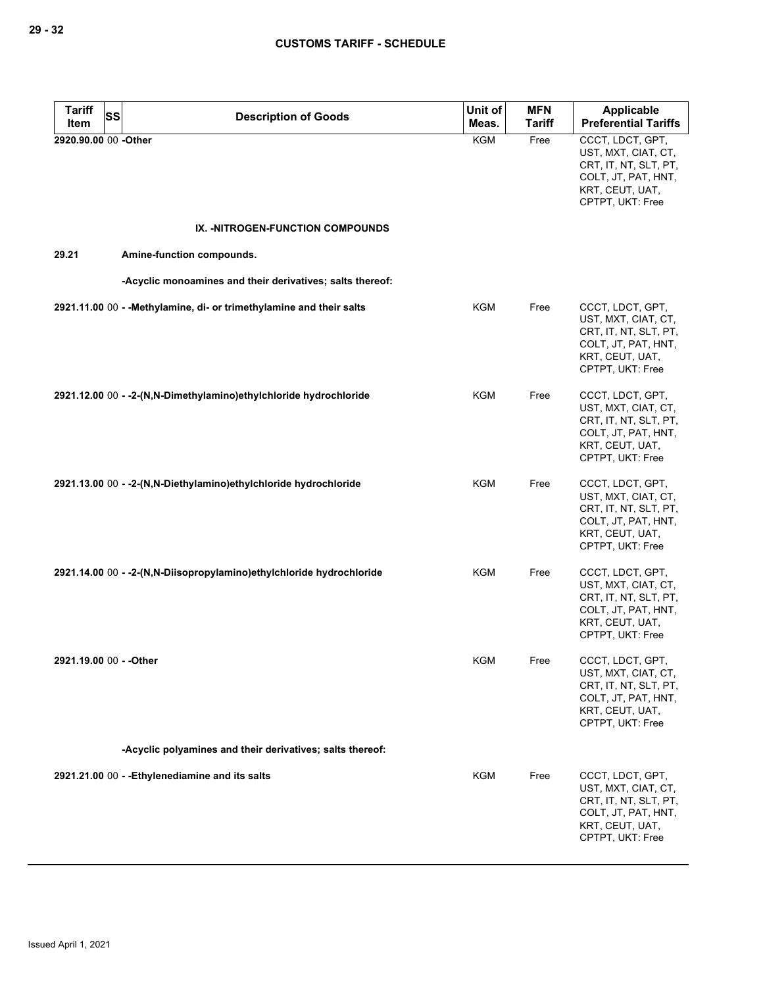| <b>Tariff</b><br><b>SS</b> | <b>Description of Goods</b>                                           | Unit of    | <b>MFN</b>    | <b>Applicable</b>                                                                                                              |
|----------------------------|-----------------------------------------------------------------------|------------|---------------|--------------------------------------------------------------------------------------------------------------------------------|
| Item                       |                                                                       | Meas.      | <b>Tariff</b> | <b>Preferential Tariffs</b>                                                                                                    |
| 2920.90.00 00 -Other       |                                                                       | <b>KGM</b> | Free          | CCCT, LDCT, GPT,<br>UST, MXT, CIAT, CT,<br>CRT, IT, NT, SLT, PT,<br>COLT, JT, PAT, HNT,<br>KRT, CEUT, UAT,<br>CPTPT, UKT: Free |
|                            | IX. -NITROGEN-FUNCTION COMPOUNDS                                      |            |               |                                                                                                                                |
| 29.21                      | Amine-function compounds.                                             |            |               |                                                                                                                                |
|                            | -Acyclic monoamines and their derivatives; salts thereof:             |            |               |                                                                                                                                |
|                            | 2921.11.00 00 - - Methylamine, di- or trimethylamine and their salts  | KGM        | Free          | CCCT, LDCT, GPT,<br>UST, MXT, CIAT, CT,<br>CRT, IT, NT, SLT, PT,<br>COLT, JT, PAT, HNT,<br>KRT, CEUT, UAT,<br>CPTPT, UKT: Free |
|                            | 2921.12.00 00 - -2-(N,N-Dimethylamino)ethylchloride hydrochloride     | <b>KGM</b> | Free          | CCCT, LDCT, GPT,<br>UST, MXT, CIAT, CT,<br>CRT, IT, NT, SLT, PT,<br>COLT, JT, PAT, HNT,<br>KRT, CEUT, UAT,<br>CPTPT, UKT: Free |
|                            | 2921.13.00 00 - -2-(N,N-Diethylamino)ethylchloride hydrochloride      | KGM        | Free          | CCCT, LDCT, GPT,<br>UST, MXT, CIAT, CT,<br>CRT, IT, NT, SLT, PT,<br>COLT, JT, PAT, HNT,<br>KRT, CEUT, UAT,<br>CPTPT, UKT: Free |
|                            | 2921.14.00 00 - - 2-(N,N-Diisopropylamino)ethylchloride hydrochloride | <b>KGM</b> | Free          | CCCT, LDCT, GPT,<br>UST, MXT, CIAT, CT,<br>CRT, IT, NT, SLT, PT,<br>COLT, JT, PAT, HNT,<br>KRT, CEUT, UAT,<br>CPTPT, UKT: Free |
| 2921.19.00 00 - - Other    |                                                                       | KGM        | Free          | CCCT, LDCT, GPT,<br>UST, MXT, CIAT, CT,<br>CRT, IT, NT, SLT, PT,<br>COLT, JT, PAT, HNT,<br>KRT, CEUT, UAT,<br>CPTPT, UKT: Free |
|                            | -Acyclic polyamines and their derivatives; salts thereof:             |            |               |                                                                                                                                |
|                            | 2921.21.00 00 - - Ethylenediamine and its salts                       | <b>KGM</b> | Free          | CCCT, LDCT, GPT,<br>UST, MXT, CIAT, CT,<br>CRT, IT, NT, SLT, PT,<br>COLT, JT, PAT, HNT,<br>KRT, CEUT, UAT,<br>CPTPT, UKT: Free |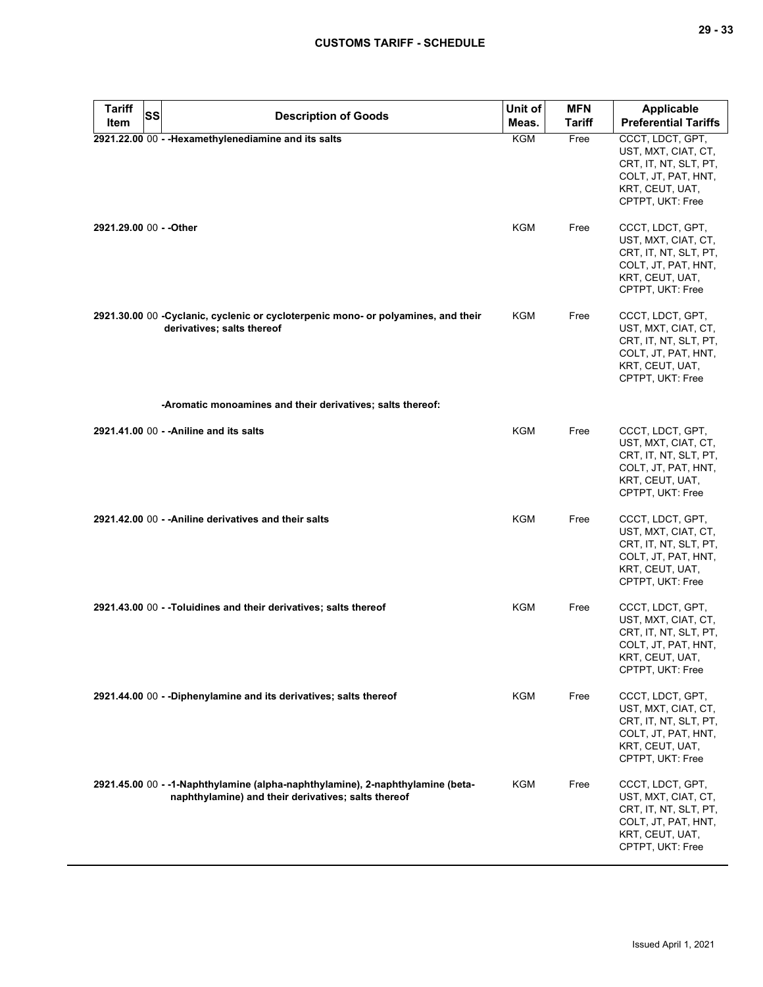| <b>Tariff</b> | <b>SS</b> | <b>Description of Goods</b>                                                                                                           | Unit of    | <b>MFN</b>    | <b>Applicable</b>                                                                                                              |
|---------------|-----------|---------------------------------------------------------------------------------------------------------------------------------------|------------|---------------|--------------------------------------------------------------------------------------------------------------------------------|
| Item          |           |                                                                                                                                       | Meas.      | <b>Tariff</b> | <b>Preferential Tariffs</b>                                                                                                    |
|               |           | 2921.22.00 00 - - Hexamethylenediamine and its salts                                                                                  | <b>KGM</b> | Free          | CCCT, LDCT, GPT,<br>UST, MXT, CIAT, CT,<br>CRT, IT, NT, SLT, PT,<br>COLT, JT, PAT, HNT,<br>KRT, CEUT, UAT,<br>CPTPT, UKT: Free |
|               |           | 2921.29.00 00 - - Other                                                                                                               | <b>KGM</b> | Free          | CCCT, LDCT, GPT,<br>UST, MXT, CIAT, CT,<br>CRT, IT, NT, SLT, PT,<br>COLT, JT, PAT, HNT,<br>KRT, CEUT, UAT,<br>CPTPT, UKT: Free |
|               |           | 2921.30.00 00 -Cyclanic, cyclenic or cycloterpenic mono- or polyamines, and their<br>derivatives; salts thereof                       | KGM        | Free          | CCCT, LDCT, GPT,<br>UST, MXT, CIAT, CT,<br>CRT, IT, NT, SLT, PT,<br>COLT, JT, PAT, HNT,<br>KRT, CEUT, UAT,<br>CPTPT, UKT: Free |
|               |           | -Aromatic monoamines and their derivatives; salts thereof:                                                                            |            |               |                                                                                                                                |
|               |           | 2921.41.00 00 - - Aniline and its salts                                                                                               | <b>KGM</b> | Free          | CCCT, LDCT, GPT,<br>UST, MXT, CIAT, CT,<br>CRT, IT, NT, SLT, PT,<br>COLT, JT, PAT, HNT,<br>KRT, CEUT, UAT,<br>CPTPT, UKT: Free |
|               |           | 2921.42.00 00 - - Aniline derivatives and their salts                                                                                 | <b>KGM</b> | Free          | CCCT, LDCT, GPT,<br>UST, MXT, CIAT, CT,<br>CRT, IT, NT, SLT, PT,<br>COLT, JT, PAT, HNT,<br>KRT, CEUT, UAT,<br>CPTPT, UKT: Free |
|               |           | 2921.43.00 00 - -Toluidines and their derivatives; salts thereof                                                                      | KGM        | Free          | CCCT, LDCT, GPT,<br>UST, MXT, CIAT, CT,<br>CRT, IT, NT, SLT, PT,<br>COLT, JT, PAT, HNT,<br>KRT, CEUT, UAT,<br>CPTPT, UKT: Free |
|               |           | 2921.44.00 00 - - Diphenylamine and its derivatives; salts thereof                                                                    | <b>KGM</b> | Free          | CCCT, LDCT, GPT,<br>UST, MXT, CIAT, CT,<br>CRT, IT, NT, SLT, PT,<br>COLT, JT, PAT, HNT,<br>KRT, CEUT, UAT,<br>CPTPT, UKT: Free |
|               |           | 2921.45.00 00 - -1-Naphthylamine (alpha-naphthylamine), 2-naphthylamine (beta-<br>naphthylamine) and their derivatives; salts thereof | <b>KGM</b> | Free          | CCCT, LDCT, GPT,<br>UST, MXT, CIAT, CT,<br>CRT, IT, NT, SLT, PT,<br>COLT, JT, PAT, HNT,<br>KRT, CEUT, UAT,<br>CPTPT, UKT: Free |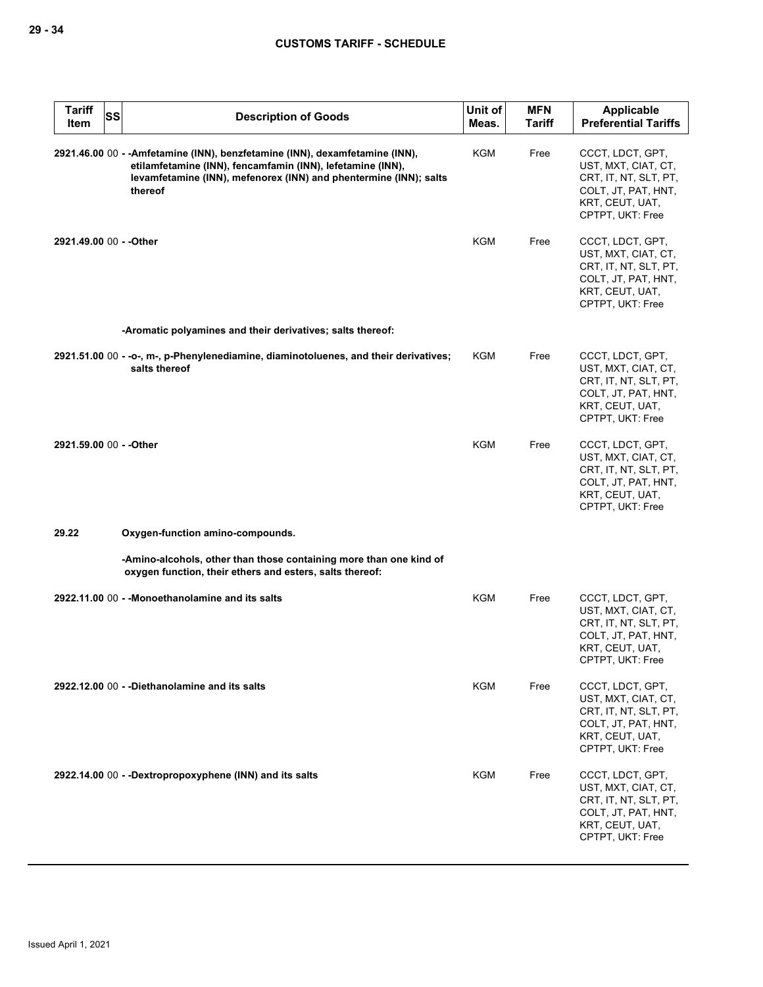| <b>Tariff</b><br><b>SS</b><br>Item | <b>Description of Goods</b>                                                                                                                                                                                                | Unit of<br>Meas. | <b>MFN</b><br><b>Tariff</b> | Applicable<br><b>Preferential Tariffs</b>                                                                                      |
|------------------------------------|----------------------------------------------------------------------------------------------------------------------------------------------------------------------------------------------------------------------------|------------------|-----------------------------|--------------------------------------------------------------------------------------------------------------------------------|
|                                    | 2921.46.00 00 - - Amfetamine (INN), benzfetamine (INN), dexamfetamine (INN),<br>etilamfetamine (INN), fencamfamin (INN), lefetamine (INN),<br>levamfetamine (INN), mefenorex (INN) and phentermine (INN); salts<br>thereof | KGM              | Free                        | CCCT, LDCT, GPT,<br>UST, MXT, CIAT, CT,<br>CRT, IT, NT, SLT, PT,<br>COLT, JT, PAT, HNT,<br>KRT, CEUT, UAT,<br>CPTPT, UKT: Free |
| 2921.49.00 00 - - Other            |                                                                                                                                                                                                                            | <b>KGM</b>       | Free                        | CCCT, LDCT, GPT,<br>UST, MXT, CIAT, CT,<br>CRT, IT, NT, SLT, PT,<br>COLT, JT, PAT, HNT,<br>KRT, CEUT, UAT,<br>CPTPT, UKT: Free |
|                                    | -Aromatic polyamines and their derivatives; salts thereof:                                                                                                                                                                 |                  |                             |                                                                                                                                |
|                                    | 2921.51.00 00 - - o-, m-, p-Phenylenediamine, diaminotoluenes, and their derivatives;<br>salts thereof                                                                                                                     | KGM              | Free                        | CCCT, LDCT, GPT,<br>UST, MXT, CIAT, CT,<br>CRT, IT, NT, SLT, PT,<br>COLT, JT, PAT, HNT,<br>KRT, CEUT, UAT,<br>CPTPT, UKT: Free |
| 2921.59.00 00 - - Other            |                                                                                                                                                                                                                            | KGM              | Free                        | CCCT, LDCT, GPT,<br>UST, MXT, CIAT, CT,<br>CRT, IT, NT, SLT, PT,<br>COLT, JT, PAT, HNT,<br>KRT, CEUT, UAT,<br>CPTPT, UKT: Free |
| 29.22                              | Oxygen-function amino-compounds.                                                                                                                                                                                           |                  |                             |                                                                                                                                |
|                                    | -Amino-alcohols, other than those containing more than one kind of<br>oxygen function, their ethers and esters, salts thereof:                                                                                             |                  |                             |                                                                                                                                |
|                                    | 2922.11.00 00 - - Monoethanolamine and its salts                                                                                                                                                                           | KGM              | Free                        | CCCT, LDCT, GPT,<br>UST, MXT, CIAT, CT,<br>CRT, IT, NT, SLT, PT,<br>COLT, JT, PAT, HNT,<br>KRT, CEUT, UAT,<br>CPTPT, UKT: Free |
|                                    | 2922.12.00 00 - -Diethanolamine and its salts                                                                                                                                                                              | KGM              | Free                        | CCCT, LDCT, GPT,<br>UST, MXT, CIAT, CT,<br>CRT, IT, NT, SLT, PT,<br>COLT, JT, PAT, HNT,<br>KRT, CEUT, UAT,<br>CPTPT, UKT: Free |
|                                    | 2922.14.00 00 - -Dextropropoxyphene (INN) and its salts                                                                                                                                                                    | KGM              | Free                        | CCCT, LDCT, GPT,<br>UST, MXT, CIAT, CT,<br>CRT, IT, NT, SLT, PT,<br>COLT, JT, PAT, HNT,<br>KRT, CEUT, UAT,<br>CPTPT, UKT: Free |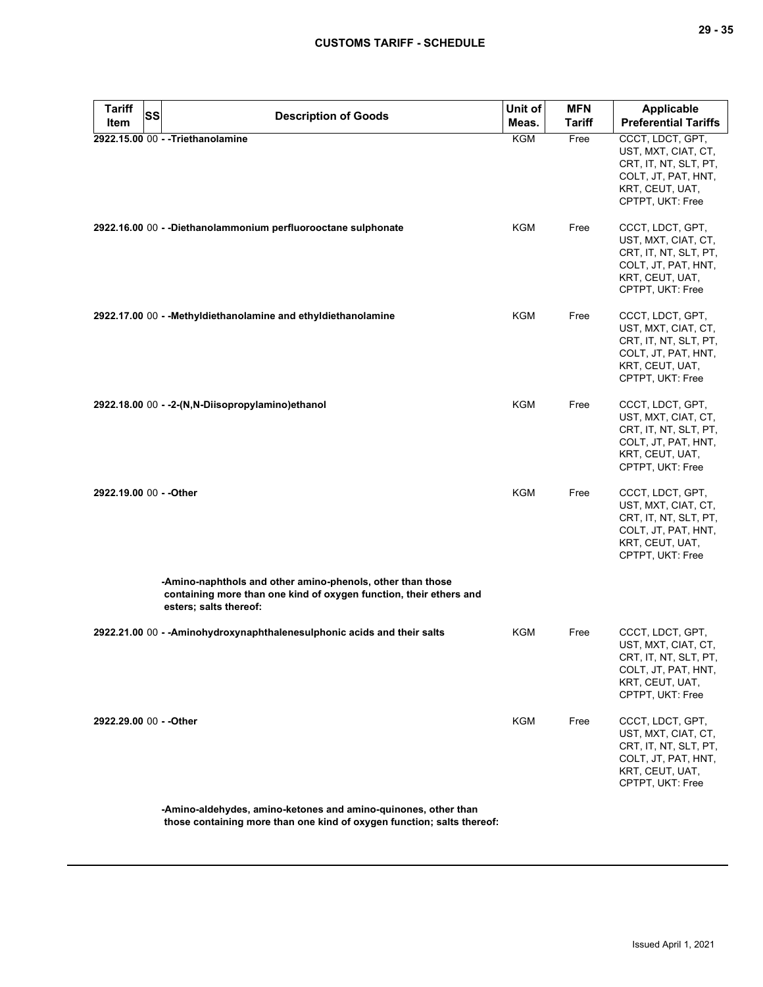| <b>Tariff</b><br>Item   | <b>SS</b> | <b>Description of Goods</b>                                                                                                                                | Unit of<br>Meas. | <b>MFN</b><br><b>Tariff</b> | Applicable<br><b>Preferential Tariffs</b>                                                                                      |
|-------------------------|-----------|------------------------------------------------------------------------------------------------------------------------------------------------------------|------------------|-----------------------------|--------------------------------------------------------------------------------------------------------------------------------|
|                         |           | 2922.15.00 00 - - Triethanolamine                                                                                                                          | <b>KGM</b>       | Free                        | CCCT, LDCT, GPT,<br>UST, MXT, CIAT, CT,<br>CRT, IT, NT, SLT, PT,<br>COLT, JT, PAT, HNT,<br>KRT, CEUT, UAT,<br>CPTPT, UKT: Free |
|                         |           | 2922.16.00 00 - - Diethanolammonium perfluorooctane sulphonate                                                                                             | KGM              | Free                        | CCCT, LDCT, GPT,<br>UST, MXT, CIAT, CT,<br>CRT, IT, NT, SLT, PT,<br>COLT, JT, PAT, HNT,<br>KRT, CEUT, UAT,<br>CPTPT, UKT: Free |
|                         |           | 2922.17.00 00 - - Methyldiethanolamine and ethyldiethanolamine                                                                                             | KGM              | Free                        | CCCT, LDCT, GPT,<br>UST, MXT, CIAT, CT,<br>CRT, IT, NT, SLT, PT,<br>COLT, JT, PAT, HNT,<br>KRT, CEUT, UAT,<br>CPTPT, UKT: Free |
|                         |           | 2922.18.00 00 - -2-(N,N-Diisopropylamino)ethanol                                                                                                           | KGM              | Free                        | CCCT, LDCT, GPT,<br>UST, MXT, CIAT, CT,<br>CRT, IT, NT, SLT, PT,<br>COLT, JT, PAT, HNT,<br>KRT, CEUT, UAT,<br>CPTPT, UKT: Free |
| 2922.19.00 00 - - Other |           |                                                                                                                                                            | KGM              | Free                        | CCCT, LDCT, GPT,<br>UST, MXT, CIAT, CT,<br>CRT, IT, NT, SLT, PT,<br>COLT, JT, PAT, HNT,<br>KRT, CEUT, UAT,<br>CPTPT, UKT: Free |
|                         |           | -Amino-naphthols and other amino-phenols, other than those<br>containing more than one kind of oxygen function, their ethers and<br>esters; salts thereof: |                  |                             |                                                                                                                                |
|                         |           | 2922.21.00 00 - - Aminohydroxynaphthalenesulphonic acids and their salts                                                                                   | KGM              | Free                        | CCCT, LDCT, GPT,<br>UST, MXT, CIAT, CT,<br>CRT, IT, NT, SLT, PT,<br>COLT, JT, PAT, HNT,<br>KRT, CEUT, UAT,<br>CPTPT, UKT: Free |
| 2922.29.00 00 - - Other |           |                                                                                                                                                            | KGM              | Free                        | CCCT, LDCT, GPT,<br>UST, MXT, CIAT, CT,<br>CRT, IT, NT, SLT, PT,<br>COLT, JT, PAT, HNT,<br>KRT, CEUT, UAT,<br>CPTPT, UKT: Free |
|                         |           | -Amino-aldehydes, amino-ketones and amino-quinones, other than                                                                                             |                  |                             |                                                                                                                                |

**those containing more than one kind of oxygen function; salts thereof:**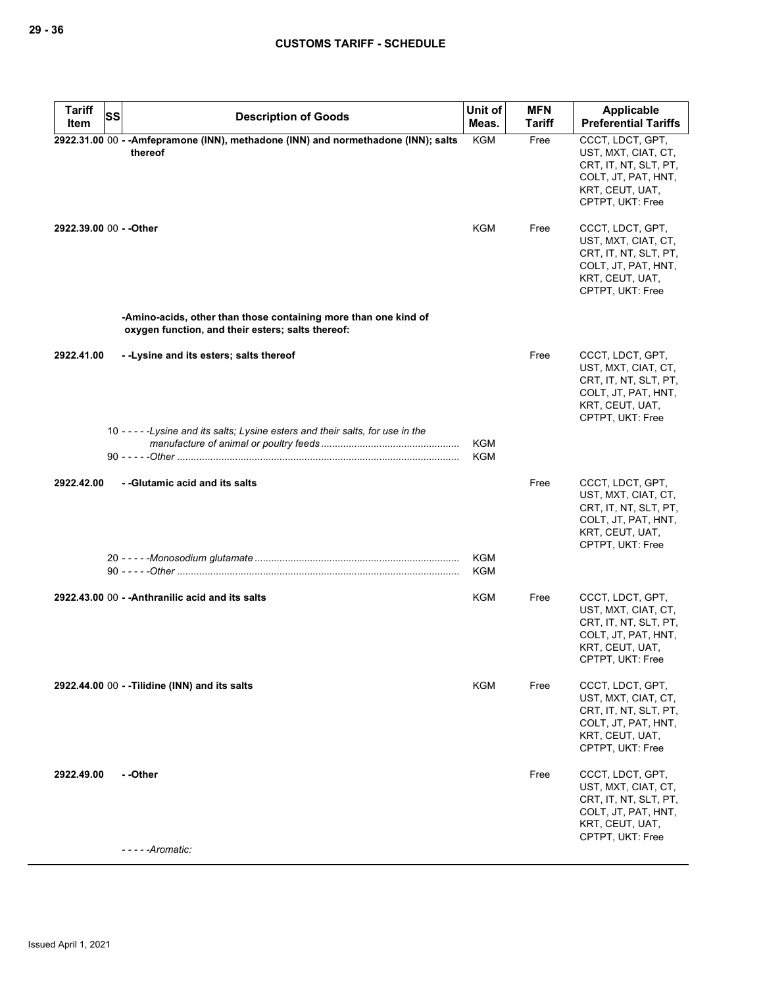| <b>Tariff</b><br>Item   | <b>SS</b> | <b>Description of Goods</b>                                                                                          | Unit of<br>Meas. | <b>MFN</b><br>Tariff | Applicable<br><b>Preferential Tariffs</b>                                                                                      |
|-------------------------|-----------|----------------------------------------------------------------------------------------------------------------------|------------------|----------------------|--------------------------------------------------------------------------------------------------------------------------------|
|                         |           | 2922.31.00 00 - - Amfepramone (INN), methadone (INN) and normethadone (INN); salts<br>thereof                        | <b>KGM</b>       | Free                 | CCCT, LDCT, GPT,<br>UST, MXT, CIAT, CT,<br>CRT, IT, NT, SLT, PT,<br>COLT, JT, PAT, HNT,<br>KRT, CEUT, UAT,<br>CPTPT, UKT: Free |
| 2922.39.00 00 - - Other |           |                                                                                                                      | KGM              | Free                 | CCCT, LDCT, GPT,<br>UST, MXT, CIAT, CT,<br>CRT, IT, NT, SLT, PT,<br>COLT, JT, PAT, HNT,<br>KRT, CEUT, UAT,<br>CPTPT, UKT: Free |
|                         |           | -Amino-acids, other than those containing more than one kind of<br>oxygen function, and their esters; salts thereof: |                  |                      |                                                                                                                                |
| 2922.41.00              |           | - - Lysine and its esters; salts thereof                                                                             |                  | Free                 | CCCT, LDCT, GPT,<br>UST, MXT, CIAT, CT,<br>CRT, IT, NT, SLT, PT,<br>COLT, JT, PAT, HNT,<br>KRT, CEUT, UAT,<br>CPTPT, UKT: Free |
|                         |           | 10 - - - - - Lysine and its salts: Lysine esters and their salts, for use in the                                     | KGM<br>KGM       |                      |                                                                                                                                |
| 2922.42.00              |           | - - Glutamic acid and its salts                                                                                      |                  | Free                 | CCCT, LDCT, GPT,<br>UST, MXT, CIAT, CT,<br>CRT, IT, NT, SLT, PT,<br>COLT, JT, PAT, HNT,<br>KRT, CEUT, UAT,<br>CPTPT, UKT: Free |
|                         |           |                                                                                                                      | KGM<br>KGM       |                      |                                                                                                                                |
|                         |           | 2922.43.00 00 - - Anthranilic acid and its salts                                                                     | KGM              | Free                 | CCCT, LDCT, GPT,<br>UST, MXT, CIAT, CT,<br>CRT, IT, NT, SLT, PT,<br>COLT, JT, PAT, HNT,<br>KRT, CEUT, UAT,<br>CPTPT, UKT: Free |
|                         |           | 2922.44.00 00 - - Tilidine (INN) and its salts                                                                       | <b>KGM</b>       | Free                 | CCCT, LDCT, GPT,<br>UST, MXT, CIAT, CT,<br>CRT, IT, NT, SLT, PT,<br>COLT, JT, PAT, HNT,<br>KRT, CEUT, UAT,<br>CPTPT, UKT: Free |
| 2922.49.00              |           | - -Other<br>- - - - -Aromatic:                                                                                       |                  | Free                 | CCCT, LDCT, GPT,<br>UST, MXT, CIAT, CT,<br>CRT, IT, NT, SLT, PT,<br>COLT, JT, PAT, HNT,<br>KRT, CEUT, UAT,<br>CPTPT, UKT: Free |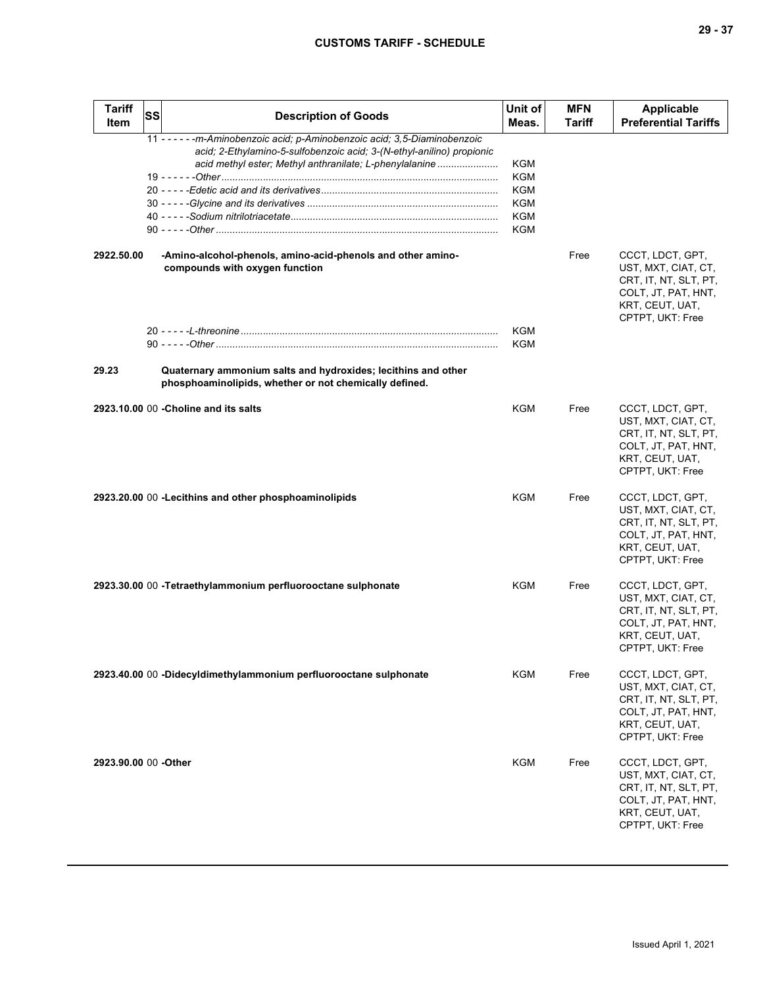| ۰.<br>× | ×<br>۰, |
|---------|---------|
|---------|---------|

| <b>Tariff</b><br>Item | <b>SS</b> | <b>Description of Goods</b>                                                                                                                                                                                     | Unit of<br>Meas.                       | <b>MFN</b><br><b>Tariff</b> | <b>Applicable</b><br><b>Preferential Tariffs</b>                                                                               |
|-----------------------|-----------|-----------------------------------------------------------------------------------------------------------------------------------------------------------------------------------------------------------------|----------------------------------------|-----------------------------|--------------------------------------------------------------------------------------------------------------------------------|
|                       |           | 11 - - - - - - m-Aminobenzoic acid; p-Aminobenzoic acid; 3,5-Diaminobenzoic<br>acid; 2-Ethylamino-5-sulfobenzoic acid; 3-(N-ethyl-anilino) propionic<br>acid methyl ester; Methyl anthranilate; L-phenylalanine | KGM<br>KGM<br>KGM<br>KGM<br>KGM<br>KGM |                             |                                                                                                                                |
| 2922.50.00            |           | -Amino-alcohol-phenols, amino-acid-phenols and other amino-<br>compounds with oxygen function                                                                                                                   |                                        | Free                        | CCCT, LDCT, GPT,<br>UST, MXT, CIAT, CT,<br>CRT, IT, NT, SLT, PT,<br>COLT, JT, PAT, HNT,<br>KRT, CEUT, UAT,<br>CPTPT, UKT: Free |
|                       |           |                                                                                                                                                                                                                 | KGM<br><b>KGM</b>                      |                             |                                                                                                                                |
| 29.23                 |           | Quaternary ammonium salts and hydroxides; lecithins and other<br>phosphoaminolipids, whether or not chemically defined.                                                                                         |                                        |                             |                                                                                                                                |
|                       |           | 2923.10.00 00 - Choline and its salts                                                                                                                                                                           | KGM                                    | Free                        | CCCT, LDCT, GPT,<br>UST, MXT, CIAT, CT,<br>CRT, IT, NT, SLT, PT,<br>COLT, JT, PAT, HNT,<br>KRT, CEUT, UAT,<br>CPTPT, UKT: Free |
|                       |           | 2923.20.00 00 - Lecithins and other phosphoaminolipids                                                                                                                                                          | <b>KGM</b>                             | Free                        | CCCT, LDCT, GPT,<br>UST, MXT, CIAT, CT,<br>CRT, IT, NT, SLT, PT,<br>COLT, JT, PAT, HNT,<br>KRT, CEUT, UAT,<br>CPTPT, UKT: Free |
|                       |           | 2923.30.00 00 -Tetraethylammonium perfluorooctane sulphonate                                                                                                                                                    | <b>KGM</b>                             | Free                        | CCCT, LDCT, GPT,<br>UST, MXT, CIAT, CT,<br>CRT, IT, NT, SLT, PT,<br>COLT, JT, PAT, HNT,<br>KRT, CEUT, UAT,<br>CPTPT, UKT: Free |
|                       |           | 2923.40.00 00 -Didecyldimethylammonium perfluorooctane sulphonate                                                                                                                                               | KGM                                    | Free                        | CCCT, LDCT, GPT,<br>UST, MXT, CIAT, CT,<br>CRT, IT, NT, SLT, PT,<br>COLT, JT, PAT, HNT,<br>KRT, CEUT, UAT,<br>CPTPT, UKT: Free |
| 2923.90.00 00 - Other |           |                                                                                                                                                                                                                 | <b>KGM</b>                             | Free                        | CCCT, LDCT, GPT,<br>UST, MXT, CIAT, CT,<br>CRT, IT, NT, SLT, PT,<br>COLT, JT, PAT, HNT,<br>KRT, CEUT, UAT,<br>CPTPT, UKT: Free |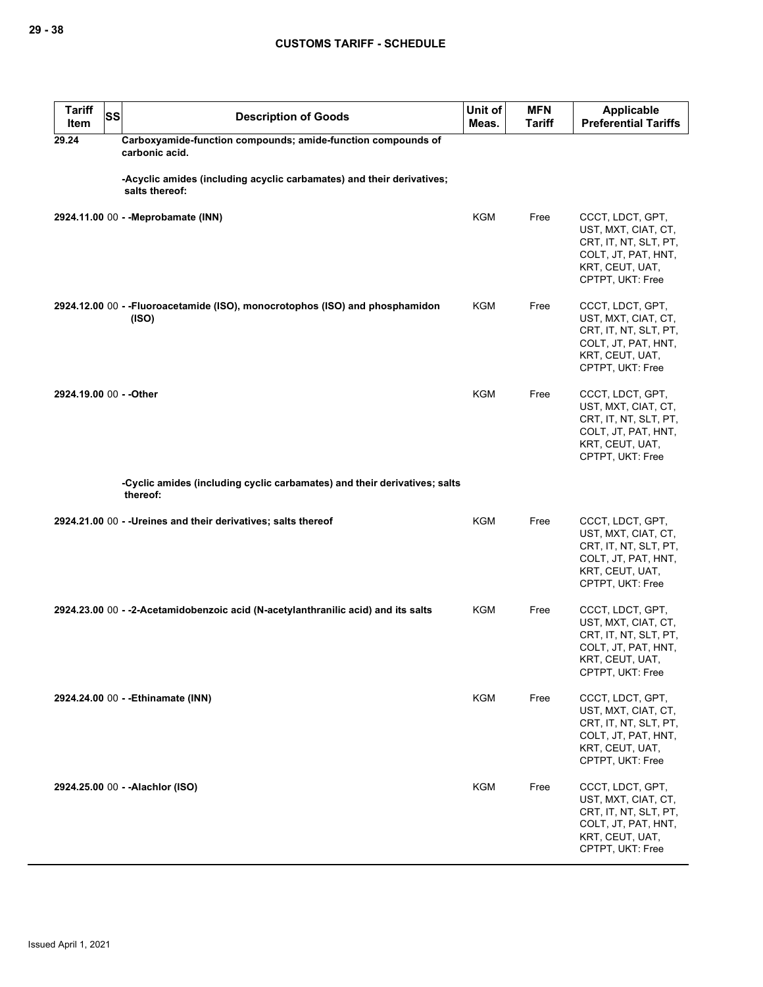| <b>Tariff</b><br>Item   | SS | <b>Description of Goods</b>                                                             | Unit of<br>Meas. | <b>MFN</b><br><b>Tariff</b> | Applicable<br><b>Preferential Tariffs</b>                                                                                      |
|-------------------------|----|-----------------------------------------------------------------------------------------|------------------|-----------------------------|--------------------------------------------------------------------------------------------------------------------------------|
| 29.24                   |    | Carboxyamide-function compounds; amide-function compounds of<br>carbonic acid.          |                  |                             |                                                                                                                                |
|                         |    | -Acyclic amides (including acyclic carbamates) and their derivatives;<br>salts thereof: |                  |                             |                                                                                                                                |
|                         |    | 2924.11.00 00 - - Meprobamate (INN)                                                     | KGM              | Free                        | CCCT, LDCT, GPT,<br>UST, MXT, CIAT, CT,<br>CRT, IT, NT, SLT, PT,<br>COLT, JT, PAT, HNT,<br>KRT, CEUT, UAT,<br>CPTPT, UKT: Free |
|                         |    | 2924.12.00 00 - -Fluoroacetamide (ISO), monocrotophos (ISO) and phosphamidon<br>(ISO)   | KGM              | Free                        | CCCT, LDCT, GPT,<br>UST, MXT, CIAT, CT,<br>CRT, IT, NT, SLT, PT,<br>COLT, JT, PAT, HNT,<br>KRT, CEUT, UAT,<br>CPTPT, UKT: Free |
| 2924.19.00 00 - - Other |    |                                                                                         | <b>KGM</b>       | Free                        | CCCT, LDCT, GPT,<br>UST, MXT, CIAT, CT,<br>CRT, IT, NT, SLT, PT,<br>COLT, JT, PAT, HNT,<br>KRT, CEUT, UAT,<br>CPTPT, UKT: Free |
|                         |    | -Cyclic amides (including cyclic carbamates) and their derivatives; salts<br>thereof:   |                  |                             |                                                                                                                                |
|                         |    | 2924.21.00 00 - - Ureines and their derivatives; salts thereof                          | <b>KGM</b>       | Free                        | CCCT, LDCT, GPT,<br>UST, MXT, CIAT, CT,<br>CRT, IT, NT, SLT, PT,<br>COLT, JT, PAT, HNT,<br>KRT, CEUT, UAT,<br>CPTPT, UKT: Free |
|                         |    | 2924.23.00 00 - -2-Acetamidobenzoic acid (N-acetylanthranilic acid) and its salts       | KGM              | Free                        | CCCT, LDCT, GPT,<br>UST, MXT, CIAT, CT,<br>CRT, IT, NT, SLT, PT,<br>COLT, JT, PAT, HNT,<br>KRI, CEUI, UAI,<br>CPTPT, UKT: Free |
|                         |    | 2924.24.00 00 - - Ethinamate (INN)                                                      | KGM              | Free                        | CCCT, LDCT, GPT,<br>UST, MXT, CIAT, CT,<br>CRT, IT, NT, SLT, PT,<br>COLT, JT, PAT, HNT,<br>KRT, CEUT, UAT,<br>CPTPT, UKT: Free |
|                         |    | 2924.25.00 00 - - Alachlor (ISO)                                                        | <b>KGM</b>       | Free                        | CCCT, LDCT, GPT,<br>UST, MXT, CIAT, CT,<br>CRT, IT, NT, SLT, PT,<br>COLT, JT, PAT, HNT,<br>KRT, CEUT, UAT,<br>CPTPT, UKT: Free |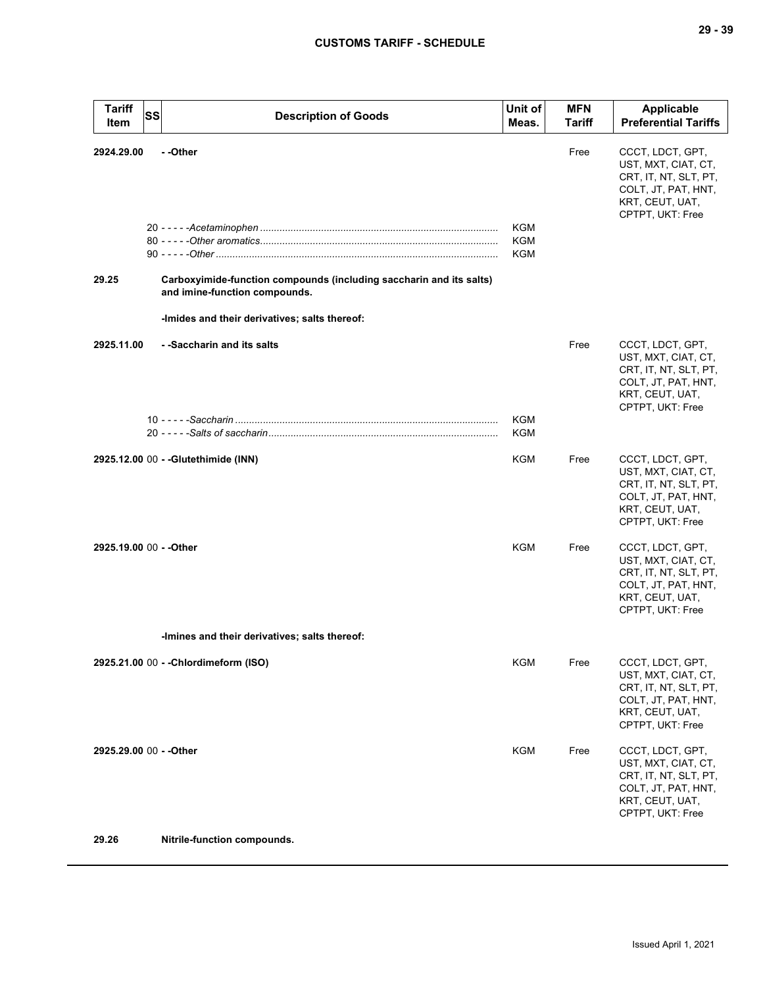| <b>Tariff</b><br>Item   | <b>SS</b> | <b>Description of Goods</b>                                                                                                                                       | Unit of<br>Meas.  | <b>MFN</b><br>Tariff | Applicable<br><b>Preferential Tariffs</b>                                                                                      |
|-------------------------|-----------|-------------------------------------------------------------------------------------------------------------------------------------------------------------------|-------------------|----------------------|--------------------------------------------------------------------------------------------------------------------------------|
| 2924.29.00<br>29.25     |           | - -Other<br>Carboxyimide-function compounds (including saccharin and its salts)<br>and imine-function compounds.<br>-Imides and their derivatives; salts thereof: | KGM<br>KGM<br>KGM | Free                 | CCCT, LDCT, GPT,<br>UST, MXT, CIAT, CT,<br>CRT, IT, NT, SLT, PT,<br>COLT, JT, PAT, HNT,<br>KRT, CEUT, UAT,<br>CPTPT, UKT: Free |
| 2925.11.00              |           | - -Saccharin and its salts                                                                                                                                        | KGM               | Free                 | CCCT, LDCT, GPT,<br>UST, MXT, CIAT, CT,<br>CRT, IT, NT, SLT, PT,<br>COLT, JT, PAT, HNT,<br>KRT, CEUT, UAT,<br>CPTPT, UKT: Free |
|                         |           |                                                                                                                                                                   | KGM               |                      |                                                                                                                                |
|                         |           | 2925.12.00 00 - - Glutethimide (INN)                                                                                                                              | KGM               | Free                 | CCCT, LDCT, GPT,<br>UST, MXT, CIAT, CT,<br>CRT, IT, NT, SLT, PT,<br>COLT, JT, PAT, HNT,<br>KRT, CEUT, UAT,<br>CPTPT, UKT: Free |
| 2925.19.00 00 - - Other |           |                                                                                                                                                                   | <b>KGM</b>        | Free                 | CCCT, LDCT, GPT,<br>UST, MXT, CIAT, CT,<br>CRT, IT, NT, SLT, PT,<br>COLT, JT, PAT, HNT,<br>KRT, CEUT, UAT,<br>CPTPT, UKT: Free |
|                         |           | -Imines and their derivatives; salts thereof:                                                                                                                     |                   |                      |                                                                                                                                |
|                         |           | 2925.21.00 00 - - Chlordimeform (ISO)                                                                                                                             | KGM               | Free                 | CCCT, LDCT, GPT,<br>UST, MXT, CIAT, CT,<br>CRT, IT, NT, SLT, PT,<br>COLT, JT, PAT, HNT,<br>KRT, CEUT, UAT,<br>CPTPT, UKT: Free |
| 2925.29.00 00 - - Other |           |                                                                                                                                                                   | KGM               | Free                 | CCCT, LDCT, GPT,<br>UST, MXT, CIAT, CT,<br>CRT, IT, NT, SLT, PT,<br>COLT, JT, PAT, HNT,<br>KRT, CEUT, UAT,<br>CPTPT, UKT: Free |
| 29.26                   |           | Nitrile-function compounds.                                                                                                                                       |                   |                      |                                                                                                                                |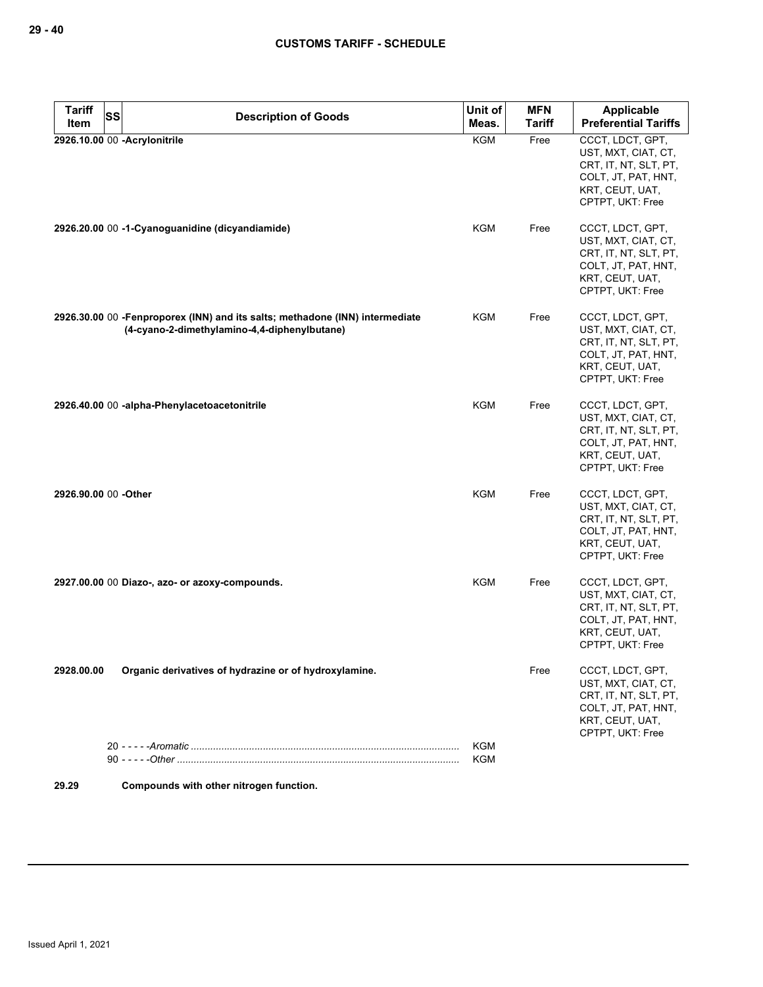| <b>Tariff</b><br><b>SS</b> | <b>Description of Goods</b>                                                                                                  | Unit of                  | <b>MFN</b>    | <b>Applicable</b>                                                                                                              |
|----------------------------|------------------------------------------------------------------------------------------------------------------------------|--------------------------|---------------|--------------------------------------------------------------------------------------------------------------------------------|
| Item                       |                                                                                                                              | Meas.                    | <b>Tariff</b> | <b>Preferential Tariffs</b>                                                                                                    |
|                            | 2926.10.00 00 - Acrylonitrile                                                                                                | <b>KGM</b>               | Free          | CCCT, LDCT, GPT,<br>UST, MXT, CIAT, CT,<br>CRT, IT, NT, SLT, PT,<br>COLT, JT, PAT, HNT,<br>KRT, CEUT, UAT,<br>CPTPT, UKT: Free |
|                            | 2926.20.00 00 -1-Cyanoguanidine (dicyandiamide)                                                                              | <b>KGM</b>               | Free          | CCCT, LDCT, GPT,<br>UST, MXT, CIAT, CT,<br>CRT, IT, NT, SLT, PT,<br>COLT, JT, PAT, HNT,<br>KRT, CEUT, UAT,<br>CPTPT, UKT: Free |
|                            | 2926.30.00 00 -Fenproporex (INN) and its salts; methadone (INN) intermediate<br>(4-cyano-2-dimethylamino-4,4-diphenylbutane) | KGM                      | Free          | CCCT, LDCT, GPT,<br>UST, MXT, CIAT, CT,<br>CRT, IT, NT, SLT, PT,<br>COLT, JT, PAT, HNT,<br>KRT, CEUT, UAT,<br>CPTPT, UKT: Free |
|                            | 2926.40.00 00 -alpha-Phenylacetoacetonitrile                                                                                 | <b>KGM</b>               | Free          | CCCT, LDCT, GPT,<br>UST, MXT, CIAT, CT,<br>CRT, IT, NT, SLT, PT,<br>COLT, JT, PAT, HNT,<br>KRT, CEUT, UAT,<br>CPTPT, UKT: Free |
| 2926.90.00 00 -Other       |                                                                                                                              | KGM                      | Free          | CCCT, LDCT, GPT,<br>UST, MXT, CIAT, CT,<br>CRT, IT, NT, SLT, PT,<br>COLT, JT, PAT, HNT,<br>KRT, CEUT, UAT,<br>CPTPT, UKT: Free |
|                            | 2927.00.00 00 Diazo-, azo- or azoxy-compounds.                                                                               | <b>KGM</b>               | Free          | CCCT, LDCT, GPT,<br>UST, MXT, CIAT, CT,<br>CRT, IT, NT, SLT, PT,<br>COLT, JT, PAT, HNT,<br>KRT, CEUT, UAT,<br>CPTPT, UKT: Free |
| 2928.00.00                 | Organic derivatives of hydrazine or of hydroxylamine.                                                                        |                          | Free          | CCCT, LDCT, GPT,<br>UST, MXT, CIAT, CT,<br>CRT, IT, NT, SLT, PT,<br>COLT, JT, PAT, HNT,<br>KRT, CEUT, UAT,<br>CPTPT, UKT: Free |
|                            |                                                                                                                              | <b>KGM</b><br><b>KGM</b> |               |                                                                                                                                |
|                            |                                                                                                                              |                          |               |                                                                                                                                |
| 29.29                      | Compounds with other nitrogen function.                                                                                      |                          |               |                                                                                                                                |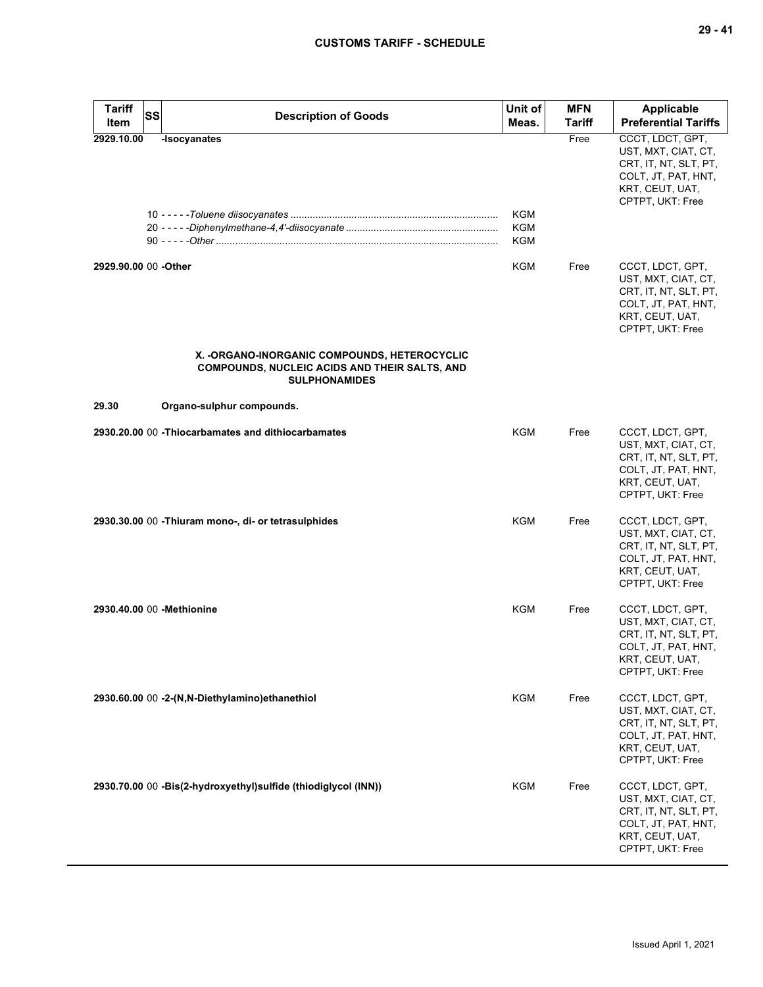| <b>Tariff</b><br>SS<br>Item | <b>Description of Goods</b>                                                                                                   | Unit of<br>Meas.  | <b>MFN</b><br>Tariff | Applicable<br><b>Preferential Tariffs</b>                                                                                      |
|-----------------------------|-------------------------------------------------------------------------------------------------------------------------------|-------------------|----------------------|--------------------------------------------------------------------------------------------------------------------------------|
| 2929.10.00                  | -Isocyanates                                                                                                                  | KGM<br>KGM<br>KGM | Free                 | CCCT, LDCT, GPT,<br>UST, MXT, CIAT, CT,<br>CRT, IT, NT, SLT, PT,<br>COLT, JT, PAT, HNT,<br>KRT, CEUT, UAT,<br>CPTPT, UKT: Free |
| 2929.90.00 00 -Other        |                                                                                                                               | <b>KGM</b>        | Free                 | CCCT, LDCT, GPT,<br>UST, MXT, CIAT, CT,<br>CRT, IT, NT, SLT, PT,<br>COLT, JT, PAT, HNT,<br>KRT, CEUT, UAT,<br>CPTPT, UKT: Free |
|                             | X. - ORGANO-INORGANIC COMPOUNDS, HETEROCYCLIC<br><b>COMPOUNDS, NUCLEIC ACIDS AND THEIR SALTS, AND</b><br><b>SULPHONAMIDES</b> |                   |                      |                                                                                                                                |
| 29.30                       | Organo-sulphur compounds.                                                                                                     |                   |                      |                                                                                                                                |
|                             | 2930.20.00 00 - Thiocarbamates and dithiocarbamates                                                                           | KGM               | Free                 | CCCT, LDCT, GPT,<br>UST, MXT, CIAT, CT,<br>CRT, IT, NT, SLT, PT,<br>COLT, JT, PAT, HNT,<br>KRT, CEUT, UAT,<br>CPTPT, UKT: Free |
|                             | 2930.30.00 00 - Thiuram mono-, di- or tetrasulphides                                                                          | <b>KGM</b>        | Free                 | CCCT, LDCT, GPT,<br>UST, MXT, CIAT, CT,<br>CRT, IT, NT, SLT, PT,<br>COLT, JT, PAT, HNT,<br>KRT, CEUT, UAT,<br>CPTPT, UKT: Free |
| 2930.40.00 00 - Methionine  |                                                                                                                               | KGM               | Free                 | CCCT, LDCT, GPT,<br>UST, MXT, CIAT, CT,<br>CRT, IT, NT, SLT, PT,<br>COLT, JT, PAT, HNT,<br>KRT, CEUT, UAT,<br>CPTPT, UKT: Free |
|                             | 2930.60.00 00 -2-(N,N-Diethylamino) ethanethiol                                                                               | KGM               | Free                 | CCCT, LDCT, GPT,<br>UST, MXT, CIAT, CT,<br>CRT, IT, NT, SLT, PT,<br>COLT, JT, PAT, HNT,<br>KRT, CEUT, UAT,<br>CPTPT, UKT: Free |
|                             | 2930.70.00 00 -Bis(2-hydroxyethyl)sulfide (thiodiglycol (INN))                                                                | KGM               | Free                 | CCCT, LDCT, GPT,<br>UST, MXT, CIAT, CT,<br>CRT, IT, NT, SLT, PT,<br>COLT, JT, PAT, HNT,<br>KRT, CEUT, UAT,<br>CPTPT, UKT: Free |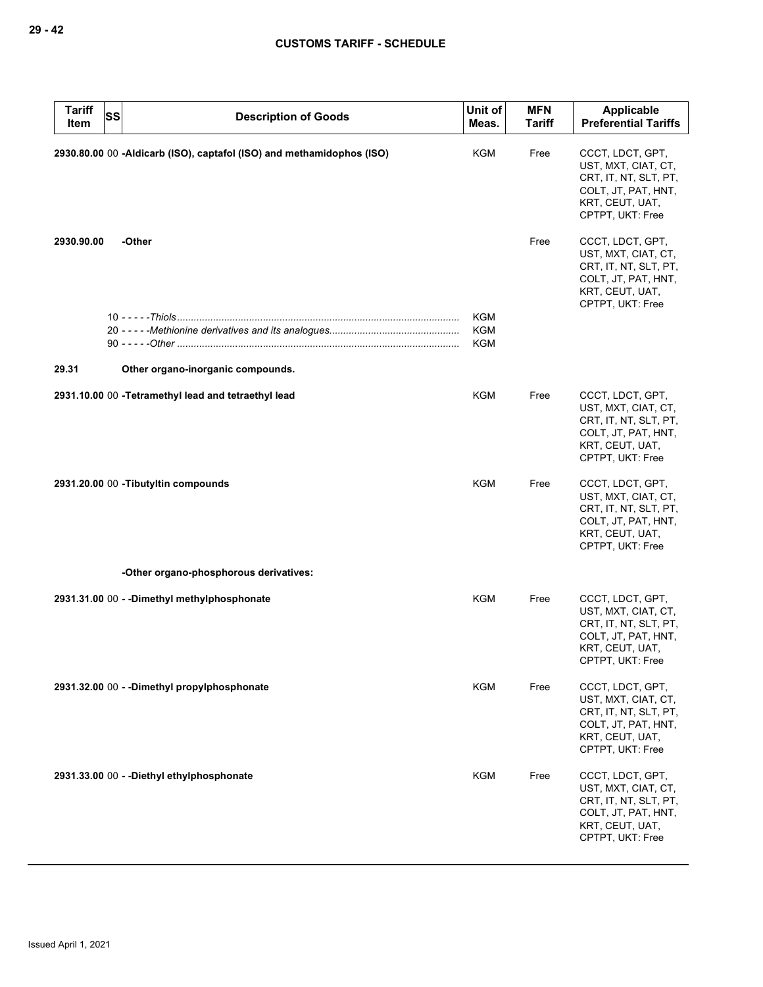| <b>Tariff</b><br>SS<br>Item | <b>Description of Goods</b>                                           | Unit of<br>Meas.                       | <b>MFN</b><br><b>Tariff</b> | Applicable<br><b>Preferential Tariffs</b>                                                                                      |
|-----------------------------|-----------------------------------------------------------------------|----------------------------------------|-----------------------------|--------------------------------------------------------------------------------------------------------------------------------|
|                             | 2930.80.00 00 -Aldicarb (ISO), captafol (ISO) and methamidophos (ISO) | KGM                                    | Free                        | CCCT, LDCT, GPT,<br>UST, MXT, CIAT, CT,<br>CRT, IT, NT, SLT, PT,<br>COLT, JT, PAT, HNT,<br>KRT, CEUT, UAT,<br>CPTPT, UKT: Free |
| 2930.90.00                  | -Other                                                                |                                        | Free                        | CCCT, LDCT, GPT,<br>UST, MXT, CIAT, CT,<br>CRT, IT, NT, SLT, PT,<br>COLT, JT, PAT, HNT,<br>KRT, CEUT, UAT,<br>CPTPT, UKT: Free |
|                             |                                                                       | <b>KGM</b><br><b>KGM</b><br><b>KGM</b> |                             |                                                                                                                                |
| 29.31                       | Other organo-inorganic compounds.                                     |                                        |                             |                                                                                                                                |
|                             | 2931.10.00 00 - Tetramethyl lead and tetraethyl lead                  | KGM                                    | Free                        | CCCT, LDCT, GPT,<br>UST, MXT, CIAT, CT,<br>CRT, IT, NT, SLT, PT,<br>COLT, JT, PAT, HNT,<br>KRT, CEUT, UAT,<br>CPTPT, UKT: Free |
|                             | 2931.20.00 00 - Tibutyltin compounds                                  | KGM                                    | Free                        | CCCT, LDCT, GPT,<br>UST, MXT, CIAT, CT,<br>CRT, IT, NT, SLT, PT,<br>COLT, JT, PAT, HNT,<br>KRT, CEUT, UAT,<br>CPTPT, UKT: Free |
|                             | -Other organo-phosphorous derivatives:                                |                                        |                             |                                                                                                                                |
|                             | 2931.31.00 00 - - Dimethyl methylphosphonate                          | KGM                                    | Free                        | CCCT, LDCT, GPT,<br>UST, MXT, CIAT, CT,<br>CRT, IT, NT, SLT, PT,<br>COLT, JT, PAT, HNT,<br>KRT, CEUT, UAT,<br>CPTPT, UKT: Free |
|                             | 2931.32.00 00 - - Dimethyl propylphosphonate                          | <b>KGM</b>                             | Free                        | CCCT, LDCT, GPT,<br>UST, MXT, CIAT, CT,<br>CRT, IT, NT, SLT, PT,<br>COLT, JT, PAT, HNT,<br>KRT, CEUT, UAT,<br>CPTPT, UKT: Free |
|                             | 2931.33.00 00 - - Diethyl ethylphosphonate                            | <b>KGM</b>                             | Free                        | CCCT, LDCT, GPT,<br>UST, MXT, CIAT, CT,<br>CRT, IT, NT, SLT, PT,<br>COLT, JT, PAT, HNT,<br>KRT, CEUT, UAT,<br>CPTPT, UKT: Free |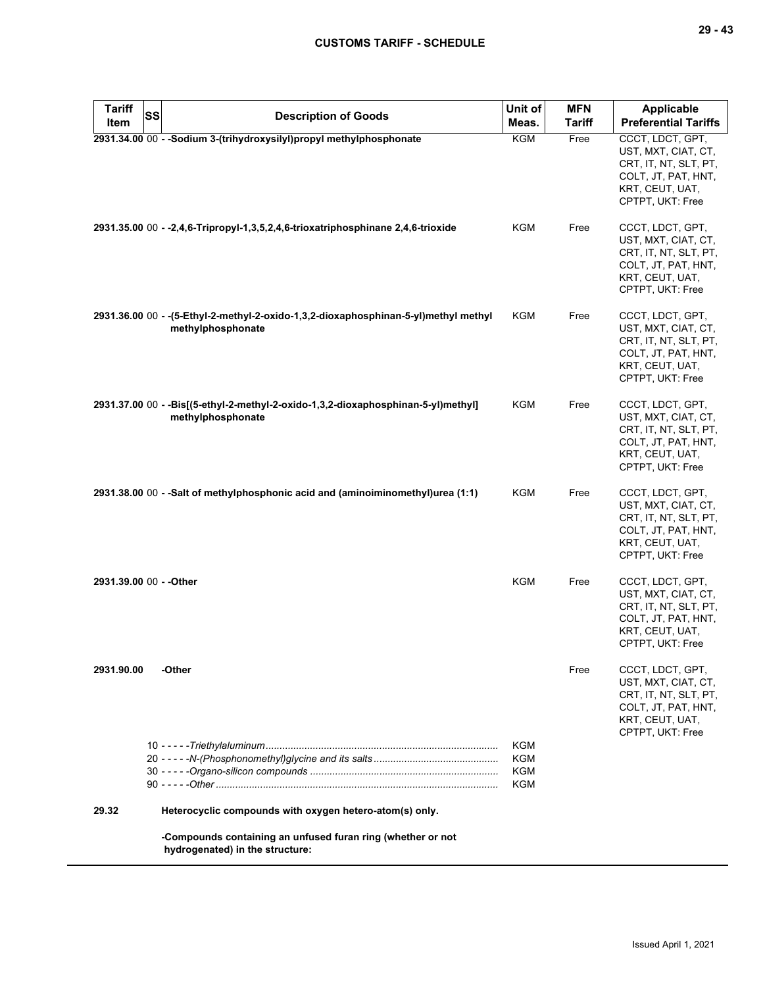| <b>Tariff</b>           | SS | <b>Description of Goods</b>                                                                               | Unit of    | <b>MFN</b> | Applicable                                                                                                                     |
|-------------------------|----|-----------------------------------------------------------------------------------------------------------|------------|------------|--------------------------------------------------------------------------------------------------------------------------------|
| Item                    |    |                                                                                                           | Meas.      | Tariff     | <b>Preferential Tariffs</b>                                                                                                    |
|                         |    | 2931.34.00 00 - - Sodium 3-(trihydroxysilyl)propyl methylphosphonate                                      | KGM        | Free       | CCCT, LDCT, GPT,<br>UST, MXT, CIAT, CT,<br>CRT, IT, NT, SLT, PT,<br>COLT, JT, PAT, HNT,<br>KRT, CEUT, UAT,<br>CPTPT, UKT: Free |
|                         |    | 2931.35.00 00 - -2,4,6-Tripropyl-1,3,5,2,4,6-trioxatriphosphinane 2,4,6-trioxide                          | KGM        | Free       | CCCT, LDCT, GPT,<br>UST, MXT, CIAT, CT,<br>CRT, IT, NT, SLT, PT,<br>COLT, JT, PAT, HNT,<br>KRT, CEUT, UAT,<br>CPTPT, UKT: Free |
|                         |    | 2931.36.00 00 - - (5-Ethyl-2-methyl-2-oxido-1,3,2-dioxaphosphinan-5-yl)methyl methyl<br>methylphosphonate | KGM        | Free       | CCCT, LDCT, GPT,<br>UST, MXT, CIAT, CT,<br>CRT, IT, NT, SLT, PT,<br>COLT, JT, PAT, HNT,<br>KRT, CEUT, UAT,<br>CPTPT, UKT: Free |
|                         |    | 2931.37.00 00 - -Bis[(5-ethyl-2-methyl-2-oxido-1,3,2-dioxaphosphinan-5-yl)methyl]<br>methylphosphonate    | KGM        | Free       | CCCT, LDCT, GPT,<br>UST, MXT, CIAT, CT,<br>CRT, IT, NT, SLT, PT,<br>COLT, JT, PAT, HNT,<br>KRT, CEUT, UAT,<br>CPTPT, UKT: Free |
|                         |    | 2931.38.00 00 - -Salt of methylphosphonic acid and (aminoiminomethyl)urea (1:1)                           | KGM        | Free       | CCCT, LDCT, GPT,<br>UST, MXT, CIAT, CT,<br>CRT, IT, NT, SLT, PT,<br>COLT, JT, PAT, HNT,<br>KRT, CEUT, UAT,<br>CPTPT, UKT: Free |
| 2931.39.00 00 - - Other |    |                                                                                                           | <b>KGM</b> | Free       | CCCT, LDCT, GPT,<br>UST, MXT, CIAT, CT,<br>CRT, IT, NT, SLT, PT,<br>COLT, JT, PAT, HNT,<br>KRT, CEUT, UAT,<br>CPTPT, UKT: Free |
| 2931.90.00              |    | -Other                                                                                                    |            | Free       | CCCT, LDCT, GPT,<br>UST, MXT, CIAT, CT,<br>CRT, IT, NT, SLT, PT,<br>COLT, JT, PAT, HNT,<br>KRT, CEUT, UAT,<br>CPTPT, UKT: Free |
|                         |    |                                                                                                           | KGM        |            |                                                                                                                                |
|                         |    |                                                                                                           | KGM        |            |                                                                                                                                |
|                         |    |                                                                                                           | KGM<br>KGM |            |                                                                                                                                |
| 29.32                   |    | Heterocyclic compounds with oxygen hetero-atom(s) only.                                                   |            |            |                                                                                                                                |
|                         |    | -Compounds containing an unfused furan ring (whether or not<br>hydrogenated) in the structure:            |            |            |                                                                                                                                |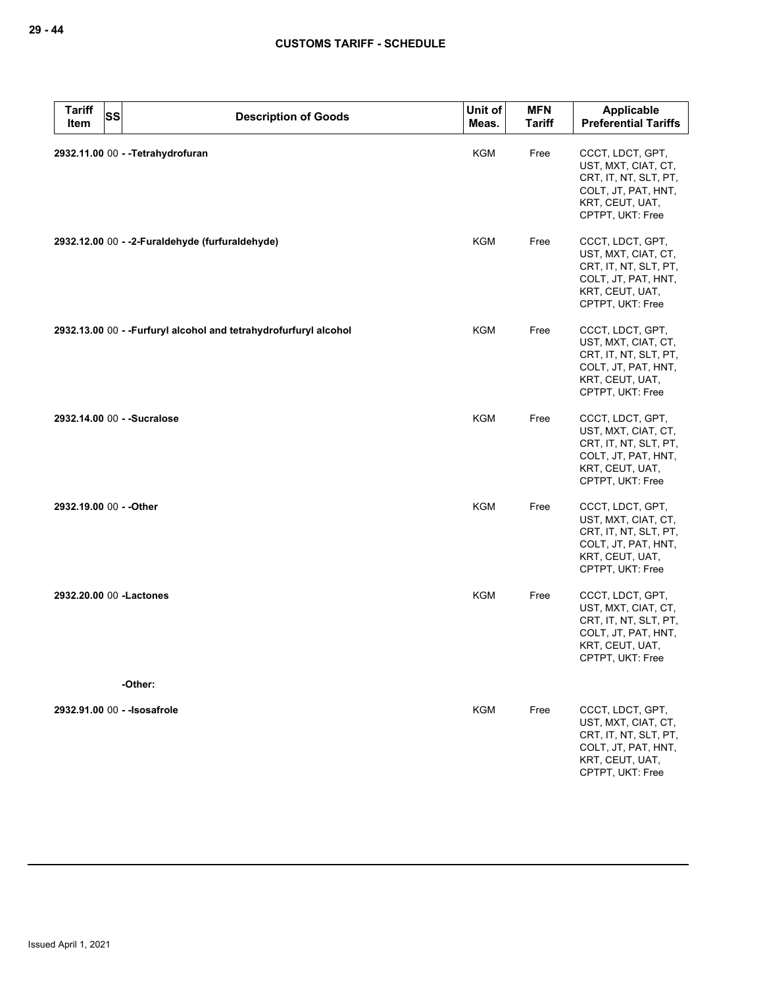| <b>Tariff</b><br>Item   | <b>SS</b><br><b>Description of Goods</b>                          | Unit of<br>Meas. | <b>MFN</b><br><b>Tariff</b> | Applicable<br><b>Preferential Tariffs</b>                                                                                      |
|-------------------------|-------------------------------------------------------------------|------------------|-----------------------------|--------------------------------------------------------------------------------------------------------------------------------|
|                         | 2932.11.00 00 - - Tetrahydrofuran                                 | <b>KGM</b>       | Free                        | CCCT, LDCT, GPT,<br>UST, MXT, CIAT, CT,<br>CRT, IT, NT, SLT, PT,<br>COLT, JT, PAT, HNT,<br>KRT, CEUT, UAT,<br>CPTPT, UKT: Free |
|                         | 2932.12.00 00 - -2-Furaldehyde (furfuraldehyde)                   | <b>KGM</b>       | Free                        | CCCT, LDCT, GPT,<br>UST, MXT, CIAT, CT,<br>CRT, IT, NT, SLT, PT,<br>COLT, JT, PAT, HNT,<br>KRT, CEUT, UAT,<br>CPTPT, UKT: Free |
|                         | 2932.13.00 00 - - Furfuryl alcohol and tetrahydrofurfuryl alcohol | <b>KGM</b>       | Free                        | CCCT, LDCT, GPT,<br>UST, MXT, CIAT, CT,<br>CRT, IT, NT, SLT, PT,<br>COLT, JT, PAT, HNT,<br>KRT, CEUT, UAT,<br>CPTPT, UKT: Free |
|                         | 2932.14.00 00 - - Sucralose                                       | <b>KGM</b>       | Free                        | CCCT, LDCT, GPT,<br>UST, MXT, CIAT, CT,<br>CRT, IT, NT, SLT, PT,<br>COLT, JT, PAT, HNT,<br>KRT, CEUT, UAT,<br>CPTPT, UKT: Free |
| 2932.19.00 00 - - Other |                                                                   | <b>KGM</b>       | Free                        | CCCT, LDCT, GPT,<br>UST, MXT, CIAT, CT,<br>CRT, IT, NT, SLT, PT,<br>COLT, JT, PAT, HNT,<br>KRT, CEUT, UAT,<br>CPTPT, UKT: Free |
|                         | 2932.20.00 00 - Lactones                                          | <b>KGM</b>       | Free                        | CCCT, LDCT, GPT,<br>UST, MXT, CIAT, CT,<br>CRT, IT, NT, SLT, PT,<br>COLT, JT, PAT, HNT,<br>KRT, CEUT, UAT,<br>CPTPT, UKT: Free |
|                         | -Other:                                                           |                  |                             |                                                                                                                                |
|                         | 2932.91.00 00 - - Isosafrole                                      | <b>KGM</b>       | Free                        | CCCT, LDCT, GPT,<br>UST, MXT, CIAT, CT,<br>CRT, IT, NT, SLT, PT,<br>COLT, JT, PAT, HNT,<br>KRT, CEUT, UAT,<br>CPTPT, UKT: Free |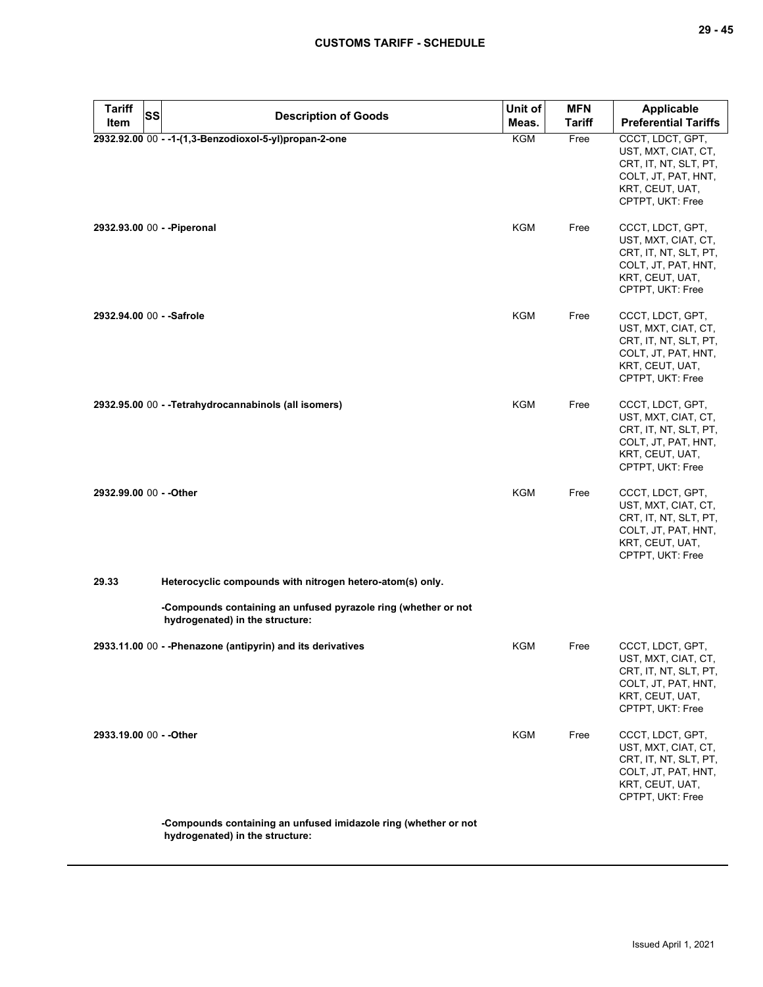| <b>Tariff</b><br>SS       | <b>Description of Goods</b>                                                                        | Unit of    | <b>MFN</b>    | Applicable                                                                                                                     |
|---------------------------|----------------------------------------------------------------------------------------------------|------------|---------------|--------------------------------------------------------------------------------------------------------------------------------|
| Item                      |                                                                                                    | Meas.      | <b>Tariff</b> | <b>Preferential Tariffs</b>                                                                                                    |
|                           | 2932.92.00 00 - -1-(1,3-Benzodioxol-5-yl)propan-2-one                                              | <b>KGM</b> | Free          | CCCT, LDCT, GPT,<br>UST, MXT, CIAT, CT,<br>CRT, IT, NT, SLT, PT,<br>COLT, JT, PAT, HNT,<br>KRT, CEUT, UAT,<br>CPTPT, UKT: Free |
|                           | 2932.93.00 00 - - Piperonal                                                                        | KGM        | Free          | CCCT, LDCT, GPT,<br>UST, MXT, CIAT, CT,<br>CRT, IT, NT, SLT, PT,<br>COLT, JT, PAT, HNT,<br>KRT, CEUT, UAT,<br>CPTPT, UKT: Free |
| 2932.94.00 00 - - Safrole |                                                                                                    | KGM        | Free          | CCCT, LDCT, GPT,<br>UST, MXT, CIAT, CT,<br>CRT, IT, NT, SLT, PT,<br>COLT, JT, PAT, HNT,<br>KRT, CEUT, UAT,<br>CPTPT, UKT: Free |
|                           | 2932.95.00 00 - - Tetrahydrocannabinols (all isomers)                                              | <b>KGM</b> | Free          | CCCT, LDCT, GPT,<br>UST, MXT, CIAT, CT,<br>CRT, IT, NT, SLT, PT,<br>COLT, JT, PAT, HNT,<br>KRT, CEUT, UAT,<br>CPTPT, UKT: Free |
| 2932.99.00 00 - - Other   |                                                                                                    | <b>KGM</b> | Free          | CCCT, LDCT, GPT,<br>UST, MXT, CIAT, CT,<br>CRT, IT, NT, SLT, PT,<br>COLT, JT, PAT, HNT,<br>KRT, CEUT, UAT,<br>CPTPT, UKT: Free |
| 29.33                     | Heterocyclic compounds with nitrogen hetero-atom(s) only.                                          |            |               |                                                                                                                                |
|                           | -Compounds containing an unfused pyrazole ring (whether or not<br>hydrogenated) in the structure:  |            |               |                                                                                                                                |
|                           | 2933.11.00 00 - - Phenazone (antipyrin) and its derivatives                                        | KGM        | Free          | CCCT, LDCT, GPT,<br>UST, MXT, CIAT, CT,<br>CRT, IT, NT, SLT, PT,<br>COLT, JT, PAT, HNT,<br>KRT, CEUT, UAT,<br>CPTPT, UKT: Free |
| 2933.19.00 00 - - Other   |                                                                                                    | KGM        | Free          | CCCT, LDCT, GPT,<br>UST, MXT, CIAT, CT,<br>CRT, IT, NT, SLT, PT,<br>COLT, JT, PAT, HNT,<br>KRT, CEUT, UAT,<br>CPTPT, UKT: Free |
|                           | -Compounds containing an unfused imidazole ring (whether or not<br>hydrogenated) in the structure: |            |               |                                                                                                                                |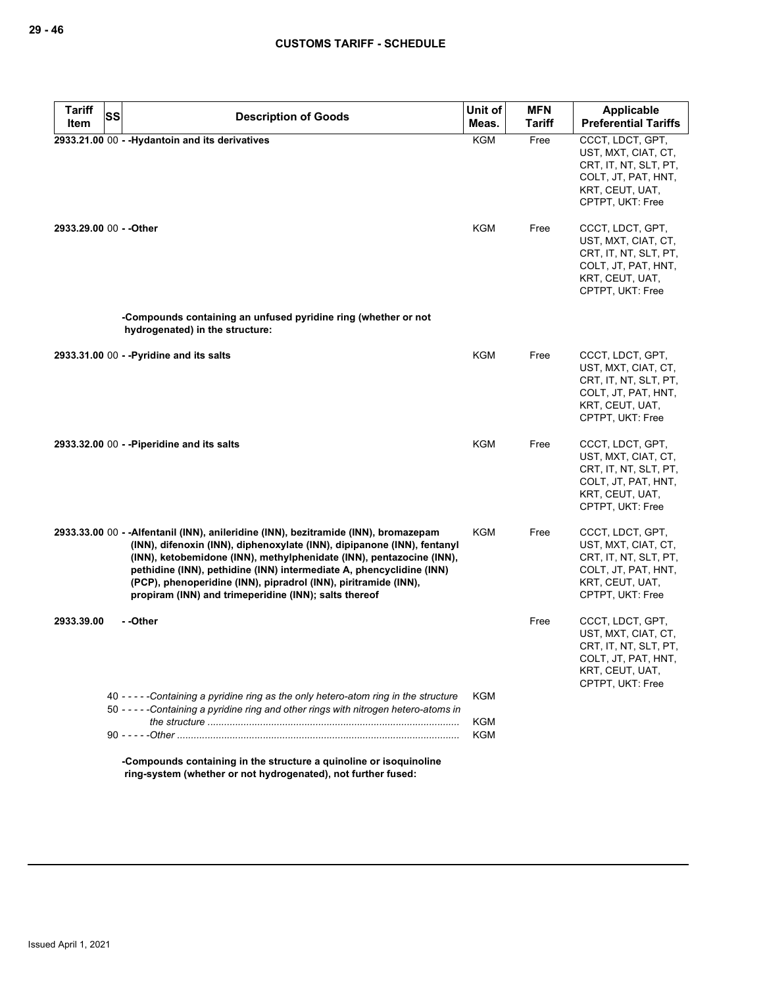| <b>Tariff</b>           | <b>SS</b> | <b>Description of Goods</b>                                                                                                                                                                                                                                                                                                                                                                                                                 | Unit of    | <b>MFN</b>    | <b>Applicable</b>                                                                                                              |
|-------------------------|-----------|---------------------------------------------------------------------------------------------------------------------------------------------------------------------------------------------------------------------------------------------------------------------------------------------------------------------------------------------------------------------------------------------------------------------------------------------|------------|---------------|--------------------------------------------------------------------------------------------------------------------------------|
| Item                    |           |                                                                                                                                                                                                                                                                                                                                                                                                                                             | Meas.      | <b>Tariff</b> | <b>Preferential Tariffs</b>                                                                                                    |
|                         |           | 2933.21.00 00 - - Hydantoin and its derivatives                                                                                                                                                                                                                                                                                                                                                                                             | <b>KGM</b> | Free          | CCCT, LDCT, GPT,<br>UST, MXT, CIAT, CT,<br>CRT, IT, NT, SLT, PT,<br>COLT, JT, PAT, HNT,<br>KRT, CEUT, UAT,<br>CPTPT, UKT: Free |
| 2933.29.00 00 - - Other |           |                                                                                                                                                                                                                                                                                                                                                                                                                                             | KGM        | Free          | CCCT, LDCT, GPT,<br>UST, MXT, CIAT, CT,<br>CRT, IT, NT, SLT, PT,<br>COLT, JT, PAT, HNT,<br>KRT, CEUT, UAT,<br>CPTPT, UKT: Free |
|                         |           | -Compounds containing an unfused pyridine ring (whether or not<br>hydrogenated) in the structure:                                                                                                                                                                                                                                                                                                                                           |            |               |                                                                                                                                |
|                         |           | 2933.31.00 00 - - Pyridine and its salts                                                                                                                                                                                                                                                                                                                                                                                                    | KGM        | Free          | CCCT, LDCT, GPT,<br>UST, MXT, CIAT, CT,<br>CRT, IT, NT, SLT, PT,<br>COLT, JT, PAT, HNT,<br>KRT, CEUT, UAT,<br>CPTPT, UKT: Free |
|                         |           | 2933.32.00 00 - - Piperidine and its salts                                                                                                                                                                                                                                                                                                                                                                                                  | KGM        | Free          | CCCT, LDCT, GPT,<br>UST, MXT, CIAT, CT,<br>CRT, IT, NT, SLT, PT,<br>COLT, JT, PAT, HNT,<br>KRT, CEUT, UAT,<br>CPTPT, UKT: Free |
|                         |           | 2933.33.00 00 - - Alfentanil (INN), anileridine (INN), bezitramide (INN), bromazepam<br>(INN), difenoxin (INN), diphenoxylate (INN), dipipanone (INN), fentanyl<br>(INN), ketobemidone (INN), methylphenidate (INN), pentazocine (INN),<br>pethidine (INN), pethidine (INN) intermediate A, phencyclidine (INN)<br>(PCP), phenoperidine (INN), pipradrol (INN), piritramide (INN),<br>propiram (INN) and trimeperidine (INN); salts thereof | KGM        | Free          | CCCT, LDCT, GPT,<br>UST, MXT, CIAT, CT,<br>CRT, IT, NT, SLT, PT,<br>COLT, JT, PAT, HNT,<br>KRT, CEUT, UAT,<br>CPTPT, UKT: Free |
| 2933.39.00              |           | - -Other                                                                                                                                                                                                                                                                                                                                                                                                                                    |            | Free          | CCCT, LDCT, GPT,<br>UST, MXT, CIAT, CT,<br>CRT, IT, NT, SLT, PT,<br>COLT, JT, PAT, HNT,<br>KRT, CEUT, UAT,<br>CPTPT, UKT: Free |
|                         |           | 40 - - - - - Containing a pyridine ring as the only hetero-atom ring in the structure<br>50 - - - - - Containing a pyridine ring and other rings with nitrogen hetero-atoms in                                                                                                                                                                                                                                                              | KGM<br>KGM |               |                                                                                                                                |
|                         |           |                                                                                                                                                                                                                                                                                                                                                                                                                                             | <b>KGM</b> |               |                                                                                                                                |
|                         |           | -Compounds containing in the structure a quinoline or isoquinoline                                                                                                                                                                                                                                                                                                                                                                          |            |               |                                                                                                                                |

**ring-system (whether or not hydrogenated), not further fused:**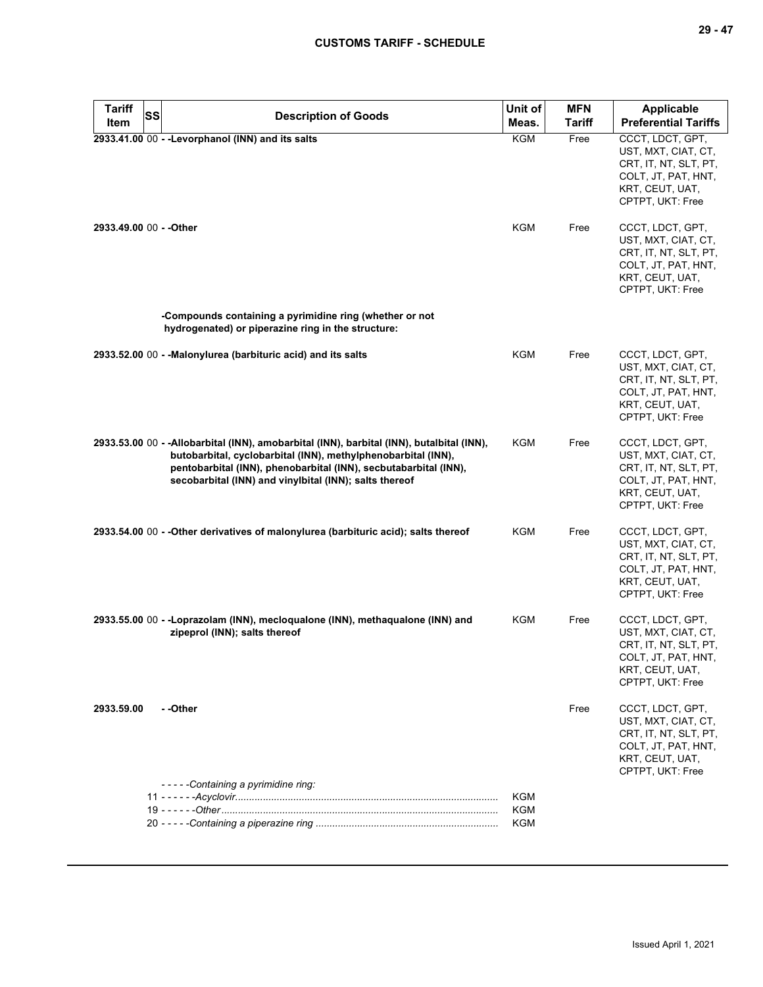| <b>Tariff</b><br><b>SS</b> | <b>Description of Goods</b>                                                                                                                                                                                                                                                              | Unit of    | <b>MFN</b>    | Applicable                                                                                                                     |
|----------------------------|------------------------------------------------------------------------------------------------------------------------------------------------------------------------------------------------------------------------------------------------------------------------------------------|------------|---------------|--------------------------------------------------------------------------------------------------------------------------------|
| ltem                       |                                                                                                                                                                                                                                                                                          | Meas.      | <b>Tariff</b> | <b>Preferential Tariffs</b>                                                                                                    |
|                            | 2933.41.00 00 - - Levorphanol (INN) and its salts                                                                                                                                                                                                                                        | KGM        | Free          | CCCT. LDCT. GPT.<br>UST, MXT, CIAT, CT,<br>CRT, IT, NT, SLT, PT,<br>COLT, JT, PAT, HNT,<br>KRT, CEUT, UAT,<br>CPTPT, UKT: Free |
| 2933.49.00 00 - - Other    |                                                                                                                                                                                                                                                                                          | KGM        | Free          | CCCT, LDCT, GPT,<br>UST, MXT, CIAT, CT,<br>CRT, IT, NT, SLT, PT,<br>COLT, JT, PAT, HNT,<br>KRT, CEUT, UAT,<br>CPTPT, UKT: Free |
|                            | -Compounds containing a pyrimidine ring (whether or not<br>hydrogenated) or piperazine ring in the structure:                                                                                                                                                                            |            |               |                                                                                                                                |
|                            | 2933.52.00 00 - - Malonylurea (barbituric acid) and its salts                                                                                                                                                                                                                            | KGM        | Free          | CCCT, LDCT, GPT,<br>UST, MXT, CIAT, CT,<br>CRT, IT, NT, SLT, PT,<br>COLT, JT, PAT, HNT,<br>KRT, CEUT, UAT,<br>CPTPT, UKT: Free |
|                            | 2933.53.00 00 - -Allobarbital (INN), amobarbital (INN), barbital (INN), butalbital (INN),<br>butobarbital, cyclobarbital (INN), methylphenobarbital (INN),<br>pentobarbital (INN), phenobarbital (INN), secbutabarbital (INN),<br>secobarbital (INN) and vinylbital (INN); salts thereof | KGM        | Free          | CCCT, LDCT, GPT,<br>UST, MXT, CIAT, CT,<br>CRT, IT, NT, SLT, PT,<br>COLT, JT, PAT, HNT,<br>KRT, CEUT, UAT,<br>CPTPT, UKT: Free |
|                            | 2933.54.00 00 - - Other derivatives of malonylurea (barbituric acid); salts thereof                                                                                                                                                                                                      | KGM        | Free          | CCCT, LDCT, GPT,<br>UST, MXT, CIAT, CT,<br>CRT, IT, NT, SLT, PT,<br>COLT, JT, PAT, HNT,<br>KRT, CEUT, UAT,<br>CPTPT, UKT: Free |
|                            | 2933.55.00 00 - - Loprazolam (INN), mecloqualone (INN), methaqualone (INN) and<br>zipeprol (INN); salts thereof                                                                                                                                                                          | KGM        | Free          | CCCT, LDCT, GPT,<br>UST, MXT, CIAT, CT,<br>CRT, IT, NT, SLT, PT,<br>COLT, JT, PAT, HNT,<br>KRT, CEUT, UAT,<br>CPTPT, UKT: Free |
| 2933.59.00                 | - -Other                                                                                                                                                                                                                                                                                 |            | Free          | CCCT, LDCT, GPT,<br>UST, MXT, CIAT, CT,<br>CRT, IT, NT, SLT, PT,<br>COLT, JT, PAT, HNT,<br>KRT, CEUT, UAT,<br>CPTPT, UKT: Free |
|                            | -----Containing a pyrimidine ring:                                                                                                                                                                                                                                                       | KGM        |               |                                                                                                                                |
|                            |                                                                                                                                                                                                                                                                                          | <b>KGM</b> |               |                                                                                                                                |
|                            |                                                                                                                                                                                                                                                                                          | KGM        |               |                                                                                                                                |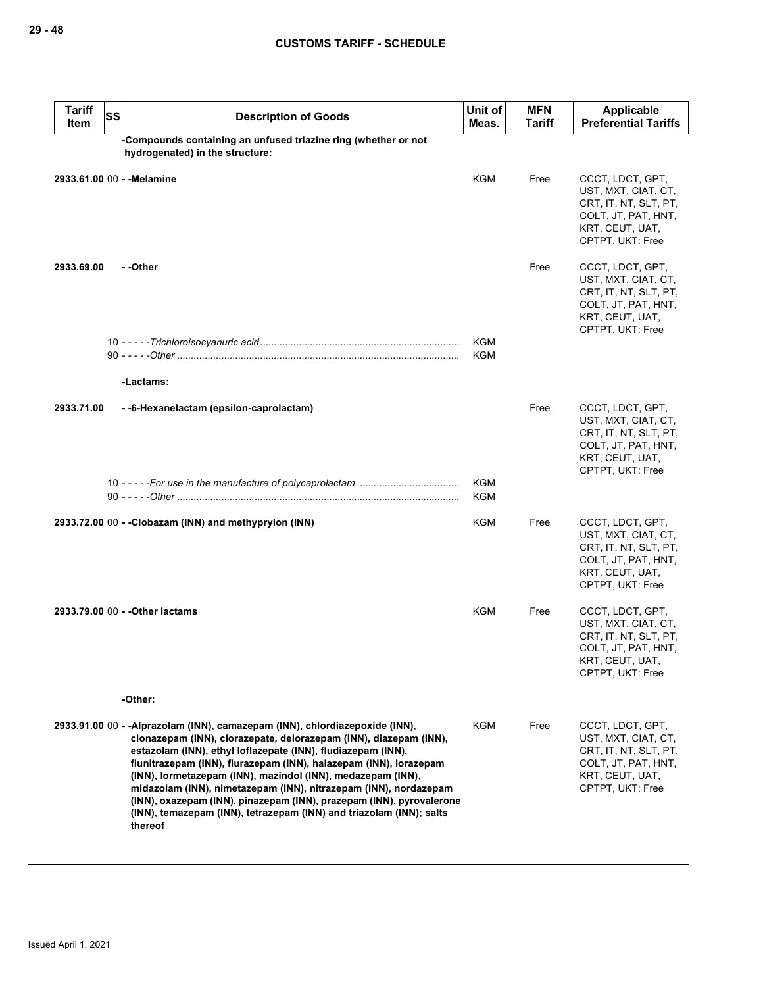| <b>Tariff</b><br>Item | <b>SS</b> | <b>Description of Goods</b>                                                                                                                                                                                                                                                                                                                                                                                                                                                                                                                                                        | Unit of<br>Meas.  | <b>MFN</b><br><b>Tariff</b> | Applicable<br><b>Preferential Tariffs</b>                                                                                      |
|-----------------------|-----------|------------------------------------------------------------------------------------------------------------------------------------------------------------------------------------------------------------------------------------------------------------------------------------------------------------------------------------------------------------------------------------------------------------------------------------------------------------------------------------------------------------------------------------------------------------------------------------|-------------------|-----------------------------|--------------------------------------------------------------------------------------------------------------------------------|
|                       |           | -Compounds containing an unfused triazine ring (whether or not<br>hydrogenated) in the structure:                                                                                                                                                                                                                                                                                                                                                                                                                                                                                  |                   |                             |                                                                                                                                |
|                       |           | 2933.61.00 00 - -Melamine                                                                                                                                                                                                                                                                                                                                                                                                                                                                                                                                                          | <b>KGM</b>        | Free                        | CCCT, LDCT, GPT,<br>UST, MXT, CIAT, CT,<br>CRT, IT, NT, SLT, PT,<br>COLT, JT, PAT, HNT,<br>KRT, CEUT, UAT,<br>CPTPT, UKT: Free |
| 2933.69.00            |           | --Other                                                                                                                                                                                                                                                                                                                                                                                                                                                                                                                                                                            |                   | Free                        | CCCT, LDCT, GPT,<br>UST, MXT, CIAT, CT,<br>CRT, IT, NT, SLT, PT,<br>COLT, JT, PAT, HNT,<br>KRT, CEUT, UAT,<br>CPTPT, UKT: Free |
|                       |           |                                                                                                                                                                                                                                                                                                                                                                                                                                                                                                                                                                                    | KGM<br><b>KGM</b> |                             |                                                                                                                                |
|                       |           | -Lactams:                                                                                                                                                                                                                                                                                                                                                                                                                                                                                                                                                                          |                   |                             |                                                                                                                                |
| 2933.71.00            |           | --6-Hexanelactam (epsilon-caprolactam)                                                                                                                                                                                                                                                                                                                                                                                                                                                                                                                                             |                   | Free                        | CCCT, LDCT, GPT,<br>UST, MXT, CIAT, CT,<br>CRT, IT, NT, SLT, PT,<br>COLT, JT, PAT, HNT,<br>KRT, CEUT, UAT,<br>CPTPT, UKT: Free |
|                       |           |                                                                                                                                                                                                                                                                                                                                                                                                                                                                                                                                                                                    | KGM<br>KGM        |                             |                                                                                                                                |
|                       |           |                                                                                                                                                                                                                                                                                                                                                                                                                                                                                                                                                                                    |                   |                             |                                                                                                                                |
|                       |           | 2933.72.00 00 - -Clobazam (INN) and methyprylon (INN)                                                                                                                                                                                                                                                                                                                                                                                                                                                                                                                              | KGM               | Free                        | CCCT, LDCT, GPT,<br>UST, MXT, CIAT, CT,<br>CRT, IT, NT, SLT, PT,<br>COLT, JT, PAT, HNT,<br>KRT, CEUT, UAT,<br>CPTPT, UKT: Free |
|                       |           | 2933.79.00 00 - - Other lactams                                                                                                                                                                                                                                                                                                                                                                                                                                                                                                                                                    | KGM               | Free                        | CCCT, LDCT, GPT,<br>UST, MXT, CIAT, CT,<br>CRT, IT, NT, SLT, PT,<br>COLT, JT, PAT, HNT,<br>KRT, CEUT, UAT,<br>CPTPT, UKT: Free |
|                       |           | -Other:                                                                                                                                                                                                                                                                                                                                                                                                                                                                                                                                                                            |                   |                             |                                                                                                                                |
|                       |           | 2933.91.00 00 - -Alprazolam (INN), camazepam (INN), chlordiazepoxide (INN),<br>clonazepam (INN), clorazepate, delorazepam (INN), diazepam (INN),<br>estazolam (INN), ethyl loflazepate (INN), fludiazepam (INN),<br>flunitrazepam (INN), flurazepam (INN), halazepam (INN), lorazepam<br>(INN), lormetazepam (INN), mazindol (INN), medazepam (INN),<br>midazolam (INN), nimetazepam (INN), nitrazepam (INN), nordazepam<br>(INN), oxazepam (INN), pinazepam (INN), prazepam (INN), pyrovalerone<br>(INN), temazepam (INN), tetrazepam (INN) and triazolam (INN); salts<br>thereof | <b>KGM</b>        | Free                        | CCCT, LDCT, GPT,<br>UST, MXT, CIAT, CT,<br>CRT, IT, NT, SLT, PT,<br>COLT, JT, PAT, HNT,<br>KRT, CEUT, UAT,<br>CPTPT, UKT: Free |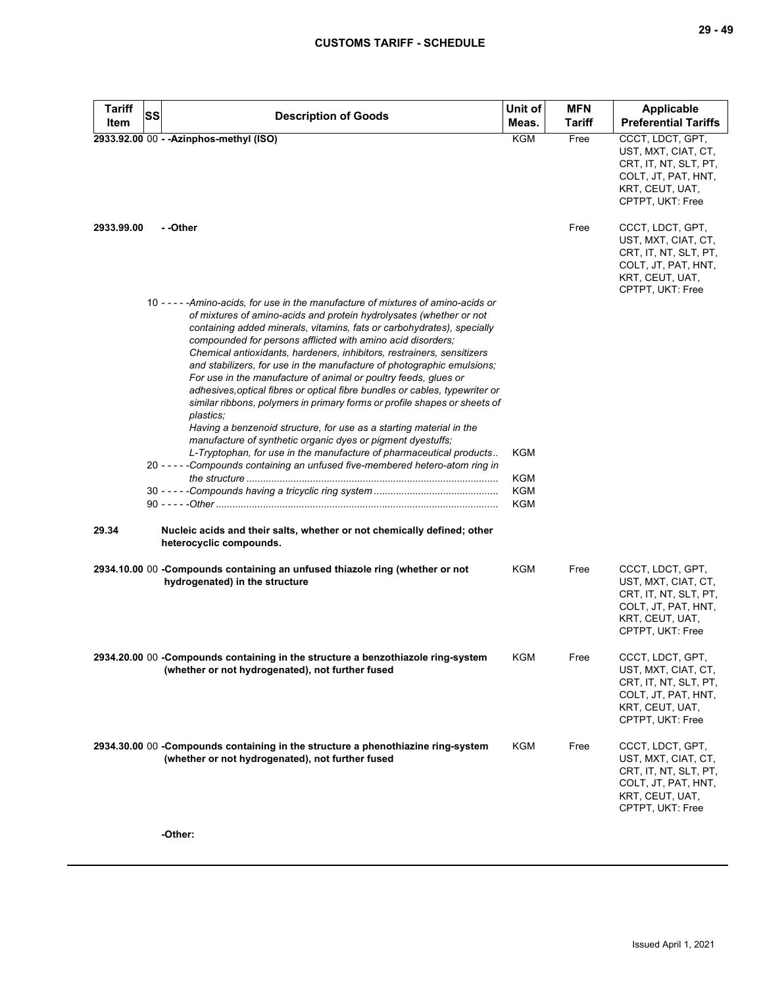| <b>Tariff</b> | <b>SS</b> | <b>Description of Goods</b>                                                                                                                                                                                                                                                                                                                                                                                                                                                                                                                                                                                                                                                                                                                                                                                                                                                                                                                                                                       | Unit of                         | <b>MFN</b>    | <b>Applicable</b>                                                                                                              |
|---------------|-----------|---------------------------------------------------------------------------------------------------------------------------------------------------------------------------------------------------------------------------------------------------------------------------------------------------------------------------------------------------------------------------------------------------------------------------------------------------------------------------------------------------------------------------------------------------------------------------------------------------------------------------------------------------------------------------------------------------------------------------------------------------------------------------------------------------------------------------------------------------------------------------------------------------------------------------------------------------------------------------------------------------|---------------------------------|---------------|--------------------------------------------------------------------------------------------------------------------------------|
| Item          |           |                                                                                                                                                                                                                                                                                                                                                                                                                                                                                                                                                                                                                                                                                                                                                                                                                                                                                                                                                                                                   | Meas.                           | <b>Tariff</b> | <b>Preferential Tariffs</b>                                                                                                    |
|               |           | 2933.92.00 00 - - Azinphos-methyl (ISO)                                                                                                                                                                                                                                                                                                                                                                                                                                                                                                                                                                                                                                                                                                                                                                                                                                                                                                                                                           | KGM                             | Free          | CCCT, LDCT, GPT,<br>UST, MXT, CIAT, CT,<br>CRT, IT, NT, SLT, PT,<br>COLT, JT, PAT, HNT,<br>KRT, CEUT, UAT,<br>CPTPT, UKT: Free |
| 2933.99.00    |           | - -Other                                                                                                                                                                                                                                                                                                                                                                                                                                                                                                                                                                                                                                                                                                                                                                                                                                                                                                                                                                                          |                                 | Free          | CCCT, LDCT, GPT,<br>UST, MXT, CIAT, CT,<br>CRT, IT, NT, SLT, PT,<br>COLT, JT, PAT, HNT,<br>KRT, CEUT, UAT,<br>CPTPT, UKT: Free |
|               |           | 10 - - - - - Amino-acids, for use in the manufacture of mixtures of amino-acids or<br>of mixtures of amino-acids and protein hydrolysates (whether or not<br>containing added minerals, vitamins, fats or carbohydrates), specially<br>compounded for persons afflicted with amino acid disorders;<br>Chemical antioxidants, hardeners, inhibitors, restrainers, sensitizers<br>and stabilizers, for use in the manufacture of photographic emulsions;<br>For use in the manufacture of animal or poultry feeds, glues or<br>adhesives, optical fibres or optical fibre bundles or cables, typewriter or<br>similar ribbons, polymers in primary forms or profile shapes or sheets of<br>plastics;<br>Having a benzenoid structure, for use as a starting material in the<br>manufacture of synthetic organic dyes or pigment dyestuffs;<br>L-Tryptophan, for use in the manufacture of pharmaceutical products<br>20 - - - - - Compounds containing an unfused five-membered hetero-atom ring in | KGM<br><b>KGM</b><br>KGM<br>KGM |               |                                                                                                                                |
| 29.34         |           | Nucleic acids and their salts, whether or not chemically defined; other<br>heterocyclic compounds.                                                                                                                                                                                                                                                                                                                                                                                                                                                                                                                                                                                                                                                                                                                                                                                                                                                                                                |                                 |               |                                                                                                                                |
|               |           | 2934.10.00 00 - Compounds containing an unfused thiazole ring (whether or not<br>hydrogenated) in the structure                                                                                                                                                                                                                                                                                                                                                                                                                                                                                                                                                                                                                                                                                                                                                                                                                                                                                   | <b>KGM</b>                      | Free          | CCCT, LDCT, GPT,<br>UST, MXT, CIAT, CT,<br>CRT, IT, NT, SLT, PT,<br>COLT, JT, PAT, HNT,<br>KRT, CEUT, UAT,<br>CPTPT, UKT: Free |
|               |           | 2934.20.00 00 -Compounds containing in the structure a benzothiazole ring-system<br>(whether or not hydrogenated), not further fused                                                                                                                                                                                                                                                                                                                                                                                                                                                                                                                                                                                                                                                                                                                                                                                                                                                              | KGM                             | Free          | CCCT, LDCT, GPT,<br>UST, MXT, CIAT, CT,<br>CRT, IT, NT, SLT, PT,<br>COLT, JT, PAT, HNT,<br>KRT, CEUT, UAT,<br>CPTPT, UKT: Free |
|               |           | 2934.30.00 00 - Compounds containing in the structure a phenothiazine ring-system<br>(whether or not hydrogenated), not further fused                                                                                                                                                                                                                                                                                                                                                                                                                                                                                                                                                                                                                                                                                                                                                                                                                                                             | KGM                             | Free          | CCCT, LDCT, GPT,<br>UST, MXT, CIAT, CT,<br>CRT, IT, NT, SLT, PT,<br>COLT, JT, PAT, HNT,<br>KRT, CEUT, UAT,<br>CPTPT, UKT: Free |
|               |           | -Other:                                                                                                                                                                                                                                                                                                                                                                                                                                                                                                                                                                                                                                                                                                                                                                                                                                                                                                                                                                                           |                                 |               |                                                                                                                                |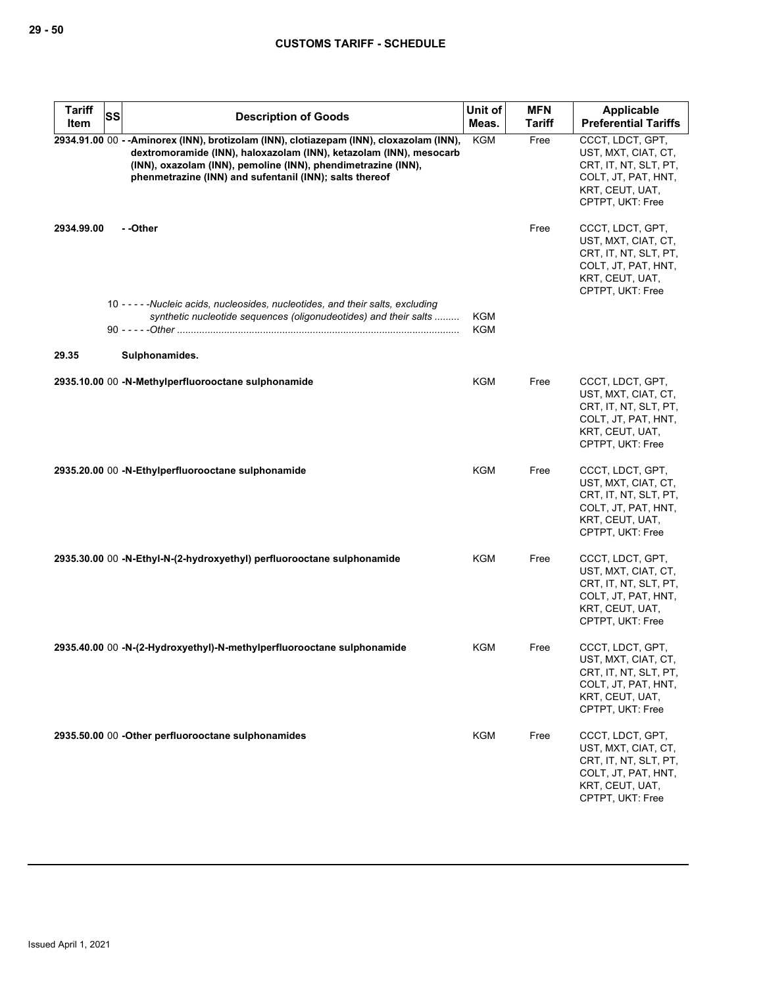| <b>Tariff</b> | SS | <b>Description of Goods</b>                                                                                                                                                                                                                                                              | Unit of           | <b>MFN</b>    | Applicable                                                                                                                     |
|---------------|----|------------------------------------------------------------------------------------------------------------------------------------------------------------------------------------------------------------------------------------------------------------------------------------------|-------------------|---------------|--------------------------------------------------------------------------------------------------------------------------------|
| Item          |    |                                                                                                                                                                                                                                                                                          | Meas.             | <b>Tariff</b> | <b>Preferential Tariffs</b>                                                                                                    |
|               |    | 2934.91.00 00 --Aminorex (INN), brotizolam (INN), clotiazepam (INN), cloxazolam (INN),<br>dextromoramide (INN), haloxazolam (INN), ketazolam (INN), mesocarb<br>(INN), oxazolam (INN), pemoline (INN), phendimetrazine (INN),<br>phenmetrazine (INN) and sufentanil (INN); salts thereof | <b>KGM</b>        | Free          | CCCT, LDCT, GPT,<br>UST, MXT, CIAT, CT,<br>CRT, IT, NT, SLT, PT,<br>COLT, JT, PAT, HNT,<br>KRT, CEUT, UAT,<br>CPTPT, UKT: Free |
| 2934.99.00    |    | - -Other                                                                                                                                                                                                                                                                                 |                   | Free          | CCCT, LDCT, GPT,<br>UST, MXT, CIAT, CT,<br>CRT, IT, NT, SLT, PT,<br>COLT, JT, PAT, HNT,<br>KRT, CEUT, UAT,<br>CPTPT, UKT: Free |
|               |    | 10 - - - - - Nucleic acids, nucleosides, nucleotides, and their salts, excluding<br>synthetic nucleotide sequences (oligonudeotides) and their salts                                                                                                                                     | KGM<br><b>KGM</b> |               |                                                                                                                                |
| 29.35         |    | Sulphonamides.                                                                                                                                                                                                                                                                           |                   |               |                                                                                                                                |
|               |    | 2935.10.00 00 -N-Methylperfluorooctane sulphonamide                                                                                                                                                                                                                                      | KGM               | Free          | CCCT, LDCT, GPT,<br>UST, MXT, CIAT, CT,<br>CRT, IT, NT, SLT, PT,<br>COLT, JT, PAT, HNT,<br>KRT, CEUT, UAT,<br>CPTPT, UKT: Free |
|               |    | 2935.20.00 00 -N-Ethylperfluorooctane sulphonamide                                                                                                                                                                                                                                       | KGM               | Free          | CCCT, LDCT, GPT,<br>UST, MXT, CIAT, CT,<br>CRT, IT, NT, SLT, PT,<br>COLT, JT, PAT, HNT,<br>KRT, CEUT, UAT,<br>CPTPT, UKT: Free |
|               |    | 2935.30.00 00 -N-Ethyl-N-(2-hydroxyethyl) perfluorooctane sulphonamide                                                                                                                                                                                                                   | KGM               | Free          | CCCT, LDCT, GPT,<br>UST, MXT, CIAT, CT,<br>CRT, IT, NT, SLT, PT,<br>COLT, JT, PAT, HNT,<br>KRT, CEUT, UAT,<br>CPTPT, UKT: Free |
|               |    | 2935.40.00 00 -N-(2-Hydroxyethyl)-N-methylperfluorooctane sulphonamide                                                                                                                                                                                                                   | KGM               | Free          | CCCT, LDCT, GPT,<br>UST, MXT, CIAT, CT,<br>CRT, IT, NT, SLT, PT,<br>COLT, JT, PAT, HNT,<br>KRT, CEUT, UAT,<br>CPTPT, UKT: Free |
|               |    | 2935.50.00 00 -Other perfluorooctane sulphonamides                                                                                                                                                                                                                                       | KGM               | Free          | CCCT, LDCT, GPT,<br>UST, MXT, CIAT, CT,<br>CRT, IT, NT, SLT, PT,<br>COLT, JT, PAT, HNT,<br>KRT, CEUT, UAT,<br>CPTPT, UKT: Free |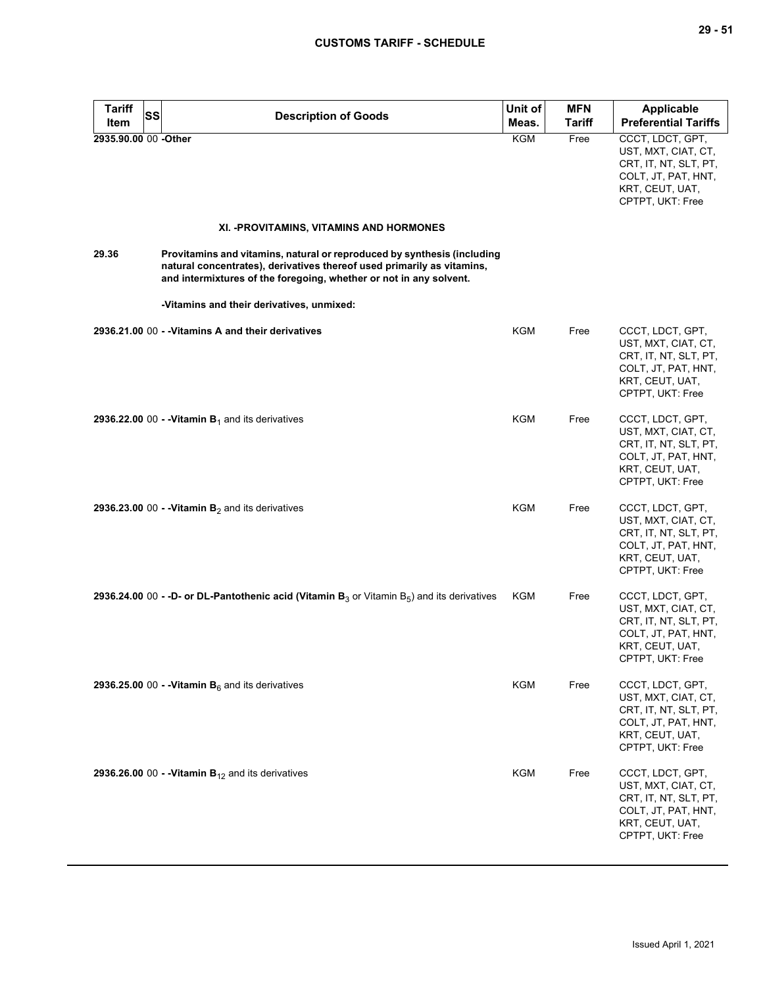| <b>Tariff</b><br>Item | <b>SS</b><br><b>Description of Goods</b>                                                                                                                                                                                | Unit of<br>Meas. | <b>MFN</b><br><b>Tariff</b> | <b>Applicable</b><br><b>Preferential Tariffs</b>                                                                               |
|-----------------------|-------------------------------------------------------------------------------------------------------------------------------------------------------------------------------------------------------------------------|------------------|-----------------------------|--------------------------------------------------------------------------------------------------------------------------------|
| 2935.90.00 00 -Other  |                                                                                                                                                                                                                         | <b>KGM</b>       | Free                        | CCCT, LDCT, GPT,<br>UST, MXT, CIAT, CT,<br>CRT, IT, NT, SLT, PT,<br>COLT, JT, PAT, HNT,<br>KRT, CEUT, UAT,<br>CPTPT, UKT: Free |
|                       | XI. - PROVITAMINS, VITAMINS AND HORMONES                                                                                                                                                                                |                  |                             |                                                                                                                                |
| 29.36                 | Provitamins and vitamins, natural or reproduced by synthesis (including<br>natural concentrates), derivatives thereof used primarily as vitamins,<br>and intermixtures of the foregoing, whether or not in any solvent. |                  |                             |                                                                                                                                |
|                       | -Vitamins and their derivatives, unmixed:                                                                                                                                                                               |                  |                             |                                                                                                                                |
|                       | 2936.21.00 00 - - Vitamins A and their derivatives                                                                                                                                                                      | <b>KGM</b>       | Free                        | CCCT, LDCT, GPT,<br>UST, MXT, CIAT, CT,<br>CRT, IT, NT, SLT, PT,<br>COLT, JT, PAT, HNT,<br>KRT, CEUT, UAT,<br>CPTPT, UKT: Free |
|                       | 2936.22.00 00 - - Vitamin $B_1$ and its derivatives                                                                                                                                                                     | <b>KGM</b>       | Free                        | CCCT, LDCT, GPT,<br>UST, MXT, CIAT, CT,<br>CRT, IT, NT, SLT, PT,<br>COLT, JT, PAT, HNT,<br>KRT, CEUT, UAT,<br>CPTPT, UKT: Free |
|                       | 2936.23.00 00 - - Vitamin $B_2$ and its derivatives                                                                                                                                                                     | <b>KGM</b>       | Free                        | CCCT, LDCT, GPT,<br>UST, MXT, CIAT, CT,<br>CRT, IT, NT, SLT, PT,<br>COLT, JT, PAT, HNT,<br>KRT, CEUT, UAT,<br>CPTPT, UKT: Free |
|                       | <b>2936.24.00 00 - -D- or DL-Pantothenic acid (Vitamin B</b> <sub>3</sub> or Vitamin B <sub>5</sub> ) and its derivatives                                                                                               | <b>KGM</b>       | Free                        | CCCT, LDCT, GPT,<br>UST, MXT, CIAT, CT,<br>CRT, IT, NT, SLT, PT,<br>COLT, JT, PAT, HNT,<br>KRT, CEUT, UAT,<br>CPTPT, UKT: Free |
|                       | 2936.25.00 00 - - Vitamin $B_6$ and its derivatives                                                                                                                                                                     | KGM              | Free                        | CCCT, LDCT, GPT,<br>UST, MXT, CIAT, CT,<br>CRT, IT, NT, SLT, PT,<br>COLT, JT, PAT, HNT,<br>KRT, CEUT, UAT,<br>CPTPT, UKT: Free |
|                       | 2936.26.00 00 - - Vitamin $B_{12}$ and its derivatives                                                                                                                                                                  | <b>KGM</b>       | Free                        | CCCT, LDCT, GPT,<br>UST, MXT, CIAT, CT,<br>CRT, IT, NT, SLT, PT,<br>COLT, JT, PAT, HNT,<br>KRT, CEUT, UAT,<br>CPTPT, UKT: Free |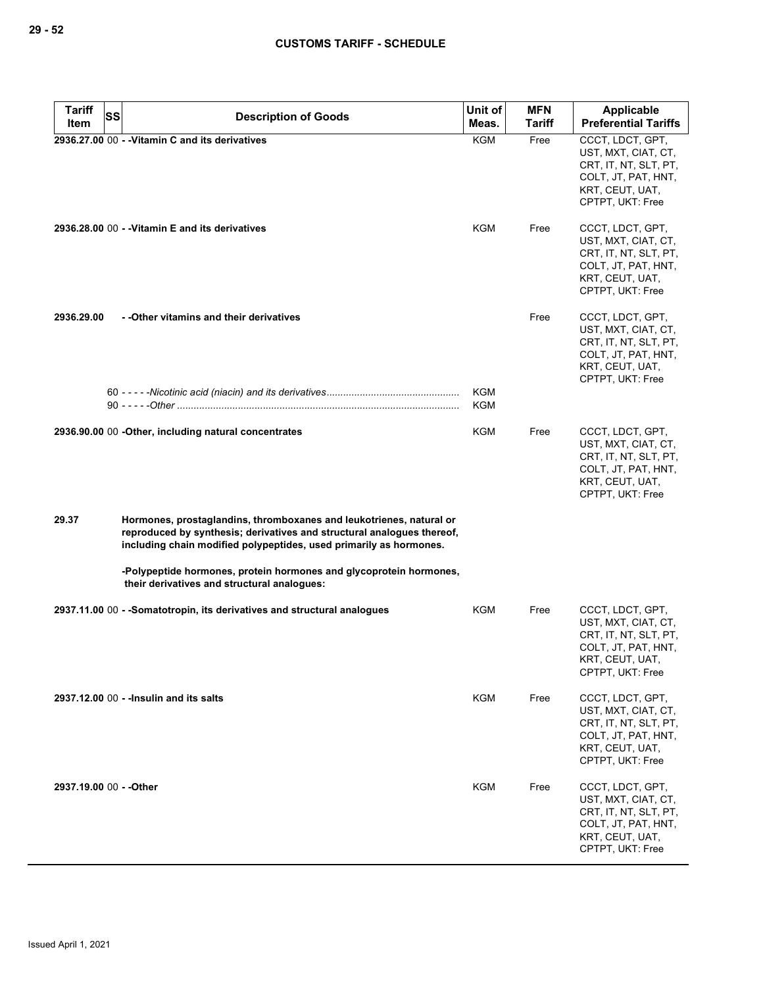| <b>Tariff</b>           | <b>SS</b><br><b>Description of Goods</b>                                                                                                                                                                            | Unit of    | <b>MFN</b>    | <b>Applicable</b>                                                                                                              |
|-------------------------|---------------------------------------------------------------------------------------------------------------------------------------------------------------------------------------------------------------------|------------|---------------|--------------------------------------------------------------------------------------------------------------------------------|
| Item                    |                                                                                                                                                                                                                     | Meas.      | <b>Tariff</b> | <b>Preferential Tariffs</b>                                                                                                    |
|                         | 2936.27.00 00 - - Vitamin C and its derivatives                                                                                                                                                                     | <b>KGM</b> | Free          | CCCT, LDCT, GPT,<br>UST, MXT, CIAT, CT,<br>CRT, IT, NT, SLT, PT,<br>COLT, JT, PAT, HNT,<br>KRT, CEUT, UAT,<br>CPTPT, UKT: Free |
|                         | 2936.28.00 00 - - Vitamin E and its derivatives                                                                                                                                                                     | KGM        | Free          | CCCT, LDCT, GPT,<br>UST, MXT, CIAT, CT,<br>CRT, IT, NT, SLT, PT,<br>COLT, JT, PAT, HNT,<br>KRT, CEUT, UAT,<br>CPTPT, UKT: Free |
| 2936.29.00              | - - Other vitamins and their derivatives                                                                                                                                                                            | <b>KGM</b> | Free          | CCCT, LDCT, GPT,<br>UST, MXT, CIAT, CT,<br>CRT, IT, NT, SLT, PT,<br>COLT, JT, PAT, HNT,<br>KRT, CEUT, UAT,<br>CPTPT, UKT: Free |
|                         |                                                                                                                                                                                                                     | <b>KGM</b> |               |                                                                                                                                |
|                         | 2936.90.00 00 - Other, including natural concentrates                                                                                                                                                               | KGM        | Free          | CCCT, LDCT, GPT,<br>UST, MXT, CIAT, CT,<br>CRT, IT, NT, SLT, PT,<br>COLT, JT, PAT, HNT,<br>KRT, CEUT, UAT,<br>CPTPT, UKT: Free |
| 29.37                   | Hormones, prostaglandins, thromboxanes and leukotrienes, natural or<br>reproduced by synthesis; derivatives and structural analogues thereof,<br>including chain modified polypeptides, used primarily as hormones. |            |               |                                                                                                                                |
|                         | -Polypeptide hormones, protein hormones and glycoprotein hormones,<br>their derivatives and structural analogues:                                                                                                   |            |               |                                                                                                                                |
|                         | 2937.11.00 00 - -Somatotropin, its derivatives and structural analogues                                                                                                                                             | KGM        | Free          | CCCT, LDCT, GPT,<br>UST, MXT, CIAT, CT,<br>CRT, IT, NT, SLT, PT,<br>COLT, JT, PAT, HNT,<br>KRT, CEUT, UAT,<br>CPTPT, UKT: Free |
|                         | 2937.12.00 00 - - Insulin and its salts                                                                                                                                                                             | <b>KGM</b> | Free          | CCCT, LDCT, GPT,<br>UST, MXT, CIAT, CT,<br>CRT, IT, NT, SLT, PT,<br>COLT, JT, PAT, HNT,<br>KRT, CEUT, UAT,<br>CPTPT, UKT: Free |
| 2937.19.00 00 - - Other |                                                                                                                                                                                                                     | <b>KGM</b> | Free          | CCCT, LDCT, GPT,<br>UST, MXT, CIAT, CT,<br>CRT, IT, NT, SLT, PT,<br>COLT, JT, PAT, HNT,<br>KRT, CEUT, UAT,<br>CPTPT, UKT: Free |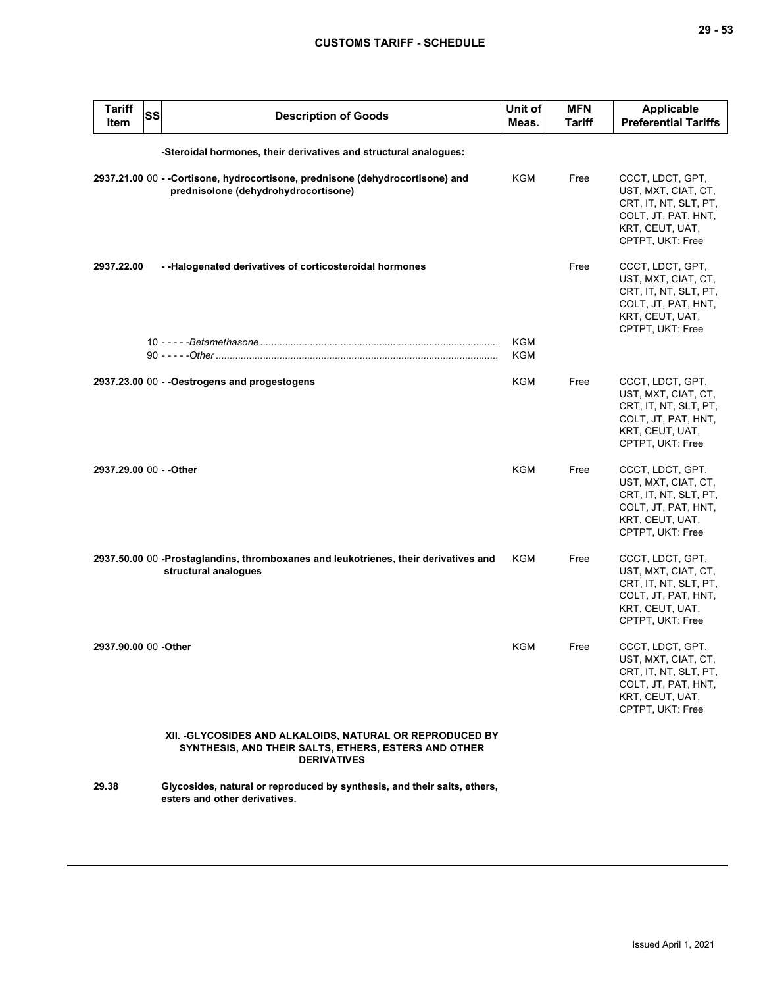| <b>Tariff</b><br><b>SS</b><br>Item | <b>Description of Goods</b>                                                                                                             | Unit of<br>Meas. | <b>MFN</b><br>Tariff | Applicable<br><b>Preferential Tariffs</b>                                                                                      |
|------------------------------------|-----------------------------------------------------------------------------------------------------------------------------------------|------------------|----------------------|--------------------------------------------------------------------------------------------------------------------------------|
|                                    | -Steroidal hormones, their derivatives and structural analogues:                                                                        |                  |                      |                                                                                                                                |
|                                    | 2937.21.00 00 - -Cortisone, hydrocortisone, prednisone (dehydrocortisone) and<br>prednisolone (dehydrohydrocortisone)                   | KGM              | Free                 | CCCT, LDCT, GPT,<br>UST, MXT, CIAT, CT,<br>CRT, IT, NT, SLT, PT,<br>COLT, JT, PAT, HNT,<br>KRT, CEUT, UAT,<br>CPTPT, UKT: Free |
| 2937.22.00                         | - - Halogenated derivatives of corticosteroidal hormones                                                                                | <b>KGM</b>       | Free                 | CCCT, LDCT, GPT,<br>UST, MXT, CIAT, CT,<br>CRT, IT, NT, SLT, PT,<br>COLT, JT, PAT, HNT,<br>KRT, CEUT, UAT,<br>CPTPT, UKT: Free |
|                                    |                                                                                                                                         | KGM              |                      |                                                                                                                                |
|                                    | 2937.23.00 00 - - Oestrogens and progestogens                                                                                           | <b>KGM</b>       | Free                 | CCCT, LDCT, GPT,<br>UST, MXT, CIAT, CT,<br>CRT, IT, NT, SLT, PT,<br>COLT, JT, PAT, HNT,<br>KRT, CEUT, UAT,<br>CPTPT, UKT: Free |
| 2937.29.00 00 - - Other            |                                                                                                                                         | <b>KGM</b>       | Free                 | CCCT, LDCT, GPT,<br>UST, MXT, CIAT, CT,<br>CRT, IT, NT, SLT, PT,<br>COLT, JT, PAT, HNT,<br>KRT, CEUT, UAT,<br>CPTPT, UKT: Free |
|                                    | 2937.50.00 00 -Prostaglandins, thromboxanes and leukotrienes, their derivatives and<br>structural analogues                             | KGM              | Free                 | CCCT, LDCT, GPT,<br>UST, MXT, CIAT, CT,<br>CRT, IT, NT, SLT, PT,<br>COLT, JT, PAT, HNT,<br>KRT, CEUT, UAT,<br>CPTPT, UKT: Free |
| 2937.90.00 00 - Other              |                                                                                                                                         | <b>KGM</b>       | Free                 | CCCT, LDCT, GPT,<br>UST, MXT, CIAT, CT,<br>CRT, IT, NT, SLT, PT,<br>COLT, JT, PAT, HNT,<br>KRT, CEUT, UAT,<br>CPTPT, UKT: Free |
|                                    | XII. - GLYCOSIDES AND ALKALOIDS, NATURAL OR REPRODUCED BY<br>SYNTHESIS, AND THEIR SALTS, ETHERS, ESTERS AND OTHER<br><b>DERIVATIVES</b> |                  |                      |                                                                                                                                |
| 29.38                              | Glycosides, natural or reproduced by synthesis, and their salts, ethers,<br>esters and other derivatives.                               |                  |                      |                                                                                                                                |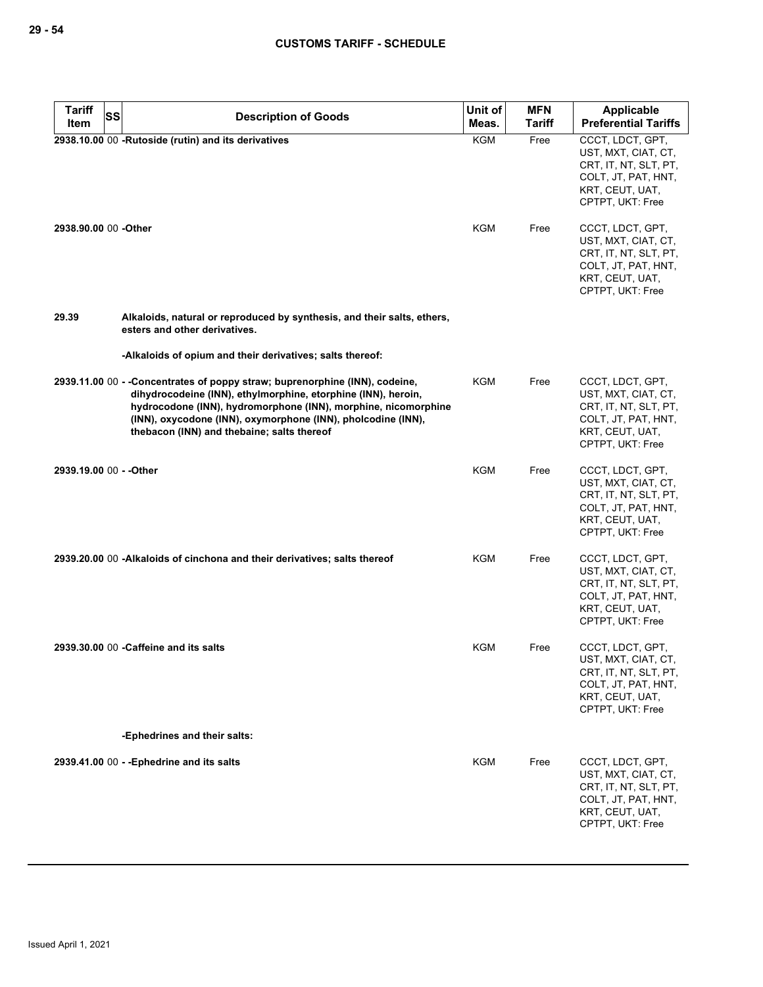| <b>Tariff</b>           | <b>SS</b><br><b>Description of Goods</b>                                                                                                                                                                                                                                                                                     | Unit of    | <b>MFN</b>    | Applicable                                                                                                                     |
|-------------------------|------------------------------------------------------------------------------------------------------------------------------------------------------------------------------------------------------------------------------------------------------------------------------------------------------------------------------|------------|---------------|--------------------------------------------------------------------------------------------------------------------------------|
| Item                    |                                                                                                                                                                                                                                                                                                                              | Meas.      | <b>Tariff</b> | <b>Preferential Tariffs</b>                                                                                                    |
|                         | 2938.10.00 00 -Rutoside (rutin) and its derivatives                                                                                                                                                                                                                                                                          | <b>KGM</b> | Free          | CCCT, LDCT, GPT,<br>UST, MXT, CIAT, CT,<br>CRT, IT, NT, SLT, PT,<br>COLT, JT, PAT, HNT,<br>KRT, CEUT, UAT,<br>CPTPT, UKT: Free |
| 2938.90.00 00 -Other    |                                                                                                                                                                                                                                                                                                                              | KGM        | Free          | CCCT, LDCT, GPT,<br>UST, MXT, CIAT, CT,<br>CRT, IT, NT, SLT, PT,<br>COLT, JT, PAT, HNT,<br>KRT, CEUT, UAT,<br>CPTPT, UKT: Free |
| 29.39                   | Alkaloids, natural or reproduced by synthesis, and their salts, ethers,<br>esters and other derivatives.                                                                                                                                                                                                                     |            |               |                                                                                                                                |
|                         | -Alkaloids of opium and their derivatives; salts thereof:                                                                                                                                                                                                                                                                    |            |               |                                                                                                                                |
|                         | 2939.11.00 00 - -Concentrates of poppy straw; buprenorphine (INN), codeine,<br>dihydrocodeine (INN), ethylmorphine, etorphine (INN), heroin,<br>hydrocodone (INN), hydromorphone (INN), morphine, nicomorphine<br>(INN), oxycodone (INN), oxymorphone (INN), pholcodine (INN),<br>thebacon (INN) and thebaine; salts thereof | KGM        | Free          | CCCT, LDCT, GPT,<br>UST, MXT, CIAT, CT,<br>CRT, IT, NT, SLT, PT,<br>COLT, JT, PAT, HNT,<br>KRT, CEUT, UAT,<br>CPTPT, UKT: Free |
| 2939.19.00 00 - - Other |                                                                                                                                                                                                                                                                                                                              | KGM        | Free          | CCCT, LDCT, GPT,<br>UST, MXT, CIAT, CT,<br>CRT, IT, NT, SLT, PT,<br>COLT, JT, PAT, HNT,<br>KRT, CEUT, UAT,<br>CPTPT, UKT: Free |
|                         | 2939.20.00 00 -Alkaloids of cinchona and their derivatives; salts thereof                                                                                                                                                                                                                                                    | KGM        | Free          | CCCT, LDCT, GPT,<br>UST, MXT, CIAT, CT,<br>CRT, IT, NT, SLT, PT,<br>COLT, JT, PAT, HNT,<br>KRT, CEUT, UAT,<br>CPTPT, UKT: Free |
|                         | 2939.30.00 00 - Caffeine and its salts                                                                                                                                                                                                                                                                                       | KGM        | Free          | CCCT, LDCT, GPT,<br>UST, MXT, CIAT, CT,<br>CRT, IT, NT, SLT, PT,<br>COLT, JT, PAT, HNT,<br>KRT, CEUT, UAT,<br>CPTPT, UKT: Free |
|                         | -Ephedrines and their salts:                                                                                                                                                                                                                                                                                                 |            |               |                                                                                                                                |
|                         | 2939.41.00 00 - - Ephedrine and its salts                                                                                                                                                                                                                                                                                    | <b>KGM</b> | Free          | CCCT, LDCT, GPT,<br>UST, MXT, CIAT, CT,<br>CRT, IT, NT, SLT, PT,<br>COLT, JT, PAT, HNT,<br>KRT, CEUT, UAT,<br>CPTPT, UKT: Free |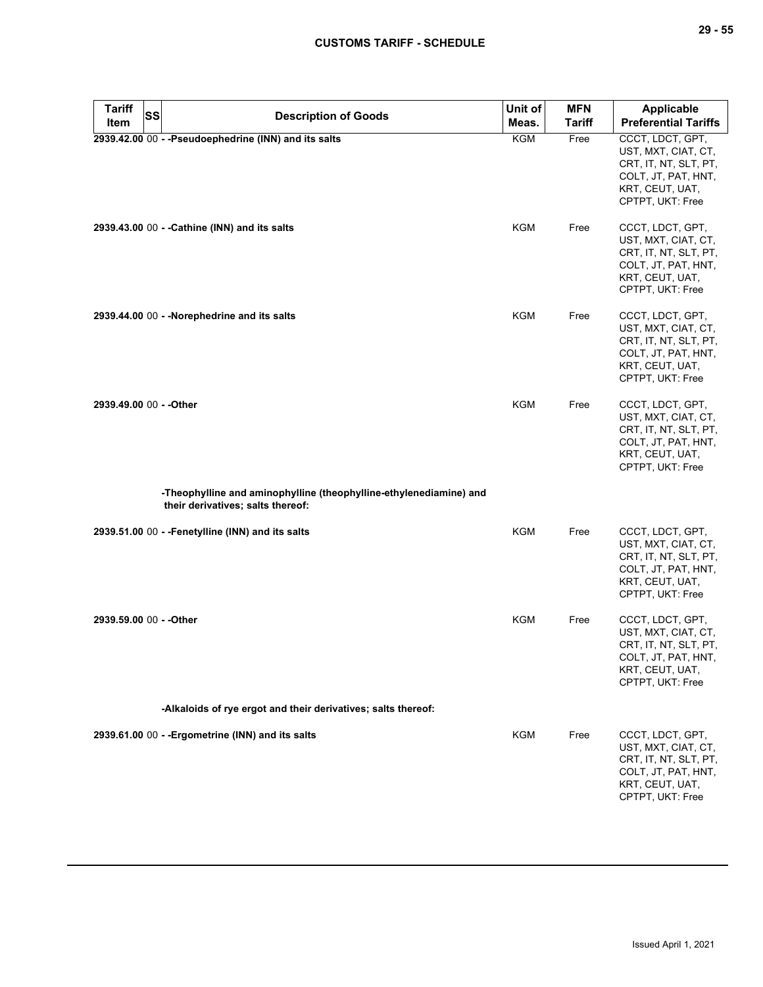| <b>Tariff</b><br><b>SS</b> | <b>Description of Goods</b>                                                                             | Unit of    | <b>MFN</b>    | <b>Applicable</b>                                                                                                              |
|----------------------------|---------------------------------------------------------------------------------------------------------|------------|---------------|--------------------------------------------------------------------------------------------------------------------------------|
| Item                       |                                                                                                         | Meas.      | <b>Tariff</b> | <b>Preferential Tariffs</b>                                                                                                    |
|                            | 2939.42.00 00 - - Pseudoephedrine (INN) and its salts                                                   | KGM        | Free          | CCCT, LDCT, GPT,<br>UST, MXT, CIAT, CT,<br>CRT, IT, NT, SLT, PT,<br>COLT, JT, PAT, HNT,<br>KRT, CEUT, UAT,<br>CPTPT, UKT: Free |
|                            | 2939.43.00 00 - - Cathine (INN) and its salts                                                           | KGM        | Free          | CCCT, LDCT, GPT,<br>UST, MXT, CIAT, CT,<br>CRT, IT, NT, SLT, PT,<br>COLT, JT, PAT, HNT,<br>KRT, CEUT, UAT,<br>CPTPT, UKT: Free |
|                            | 2939.44.00 00 - - Norephedrine and its salts                                                            | <b>KGM</b> | Free          | CCCT, LDCT, GPT,<br>UST, MXT, CIAT, CT,<br>CRT, IT, NT, SLT, PT,<br>COLT, JT, PAT, HNT,<br>KRT, CEUT, UAT,<br>CPTPT, UKT: Free |
| 2939.49.00 00 - - Other    |                                                                                                         | KGM        | Free          | CCCT, LDCT, GPT,<br>UST, MXT, CIAT, CT,<br>CRT, IT, NT, SLT, PT,<br>COLT, JT, PAT, HNT,<br>KRT, CEUT, UAT,<br>CPTPT, UKT: Free |
|                            | -Theophylline and aminophylline (theophylline-ethylenediamine) and<br>their derivatives; salts thereof: |            |               |                                                                                                                                |
|                            | 2939.51.00 00 - - Fenetylline (INN) and its salts                                                       | KGM        | Free          | CCCT, LDCT, GPT,<br>UST, MXT, CIAT, CT,<br>CRT, IT, NT, SLT, PT,<br>COLT, JT, PAT, HNT,<br>KRT, CEUT, UAT,<br>CPTPT, UKT: Free |
| 2939.59.00 00 - - Other    |                                                                                                         | <b>KGM</b> | Free          | CCCT, LDCT, GPT,<br>UST, MXT, CIAT, CT,<br>CRT, IT, NT, SLT, PT,<br>COLT, JT, PAT, HNT,<br>KRT, CEUT, UAT,<br>CPTPT, UKT: Free |
|                            | -Alkaloids of rye ergot and their derivatives; salts thereof:                                           |            |               |                                                                                                                                |
|                            | 2939.61.00 00 - - Ergometrine (INN) and its salts                                                       | <b>KGM</b> | Free          | CCCT, LDCT, GPT,<br>UST, MXT, CIAT, CT,<br>CRT, IT, NT, SLT, PT,<br>COLT, JT, PAT, HNT,<br>KRT, CEUT, UAT,<br>CPTPT, UKT: Free |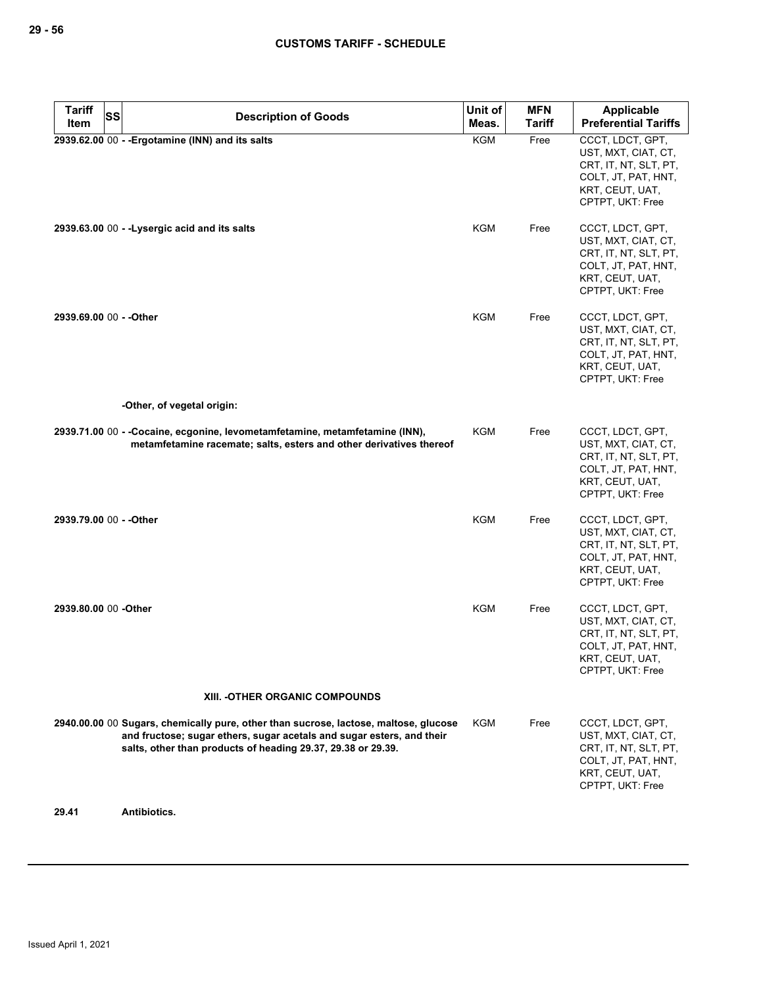| <b>Tariff</b><br><b>SS</b> | <b>Description of Goods</b>                                                                                                                                                                                                   | Unit of    | <b>MFN</b>    | <b>Applicable</b>                                                                                                              |
|----------------------------|-------------------------------------------------------------------------------------------------------------------------------------------------------------------------------------------------------------------------------|------------|---------------|--------------------------------------------------------------------------------------------------------------------------------|
| Item                       |                                                                                                                                                                                                                               | Meas.      | <b>Tariff</b> | <b>Preferential Tariffs</b>                                                                                                    |
|                            | 2939.62.00 00 - - Ergotamine (INN) and its salts                                                                                                                                                                              | <b>KGM</b> | Free          | CCCT, LDCT, GPT,<br>UST, MXT, CIAT, CT,<br>CRT, IT, NT, SLT, PT,<br>COLT, JT, PAT, HNT,<br>KRT, CEUT, UAT,<br>CPTPT, UKT: Free |
|                            | 2939.63.00 00 - - Lysergic acid and its salts                                                                                                                                                                                 | KGM        | Free          | CCCT, LDCT, GPT,<br>UST, MXT, CIAT, CT,<br>CRT, IT, NT, SLT, PT,<br>COLT, JT, PAT, HNT,<br>KRT, CEUT, UAT,<br>CPTPT, UKT: Free |
| 2939.69.00 00 - - Other    |                                                                                                                                                                                                                               | KGM        | Free          | CCCT, LDCT, GPT,<br>UST, MXT, CIAT, CT,<br>CRT, IT, NT, SLT, PT,<br>COLT, JT, PAT, HNT,<br>KRT, CEUT, UAT,<br>CPTPT, UKT: Free |
|                            | -Other, of vegetal origin:                                                                                                                                                                                                    |            |               |                                                                                                                                |
|                            | 2939.71.00 00 - -Cocaine, ecgonine, levometamfetamine, metamfetamine (INN),<br>metamfetamine racemate; salts, esters and other derivatives thereof                                                                            | KGM        | Free          | CCCT, LDCT, GPT,<br>UST, MXT, CIAT, CT,<br>CRT, IT, NT, SLT, PT,<br>COLT, JT, PAT, HNT,<br>KRT, CEUT, UAT,<br>CPTPT, UKT: Free |
| 2939.79.00 00 - - Other    |                                                                                                                                                                                                                               | <b>KGM</b> | Free          | CCCT, LDCT, GPT,<br>UST, MXT, CIAT, CT,<br>CRT, IT, NT, SLT, PT,<br>COLT, JT, PAT, HNT,<br>KRT, CEUT, UAT,<br>CPTPT, UKT: Free |
| 2939.80.00 00 -Other       |                                                                                                                                                                                                                               | <b>KGM</b> | Free          | CCCT, LDCT, GPT,<br>UST, MXT, CIAT, CT,<br>CRT, IT, NT, SLT, PT,<br>COLT, JT, PAT, HNT,<br>KRT, CEUT, UAT,<br>CPTPT, UKT: Free |
|                            | XIII. -OTHER ORGANIC COMPOUNDS                                                                                                                                                                                                |            |               |                                                                                                                                |
|                            | 2940.00.00 00 Sugars, chemically pure, other than sucrose, lactose, maltose, glucose<br>and fructose; sugar ethers, sugar acetals and sugar esters, and their<br>salts, other than products of heading 29.37, 29.38 or 29.39. | KGM        | Free          | CCCT, LDCT, GPT,<br>UST, MXT, CIAT, CT,<br>CRT, IT, NT, SLT, PT,<br>COLT, JT, PAT, HNT,<br>KRT, CEUT, UAT,<br>CPTPT, UKT: Free |

**29.41 Antibiotics.**